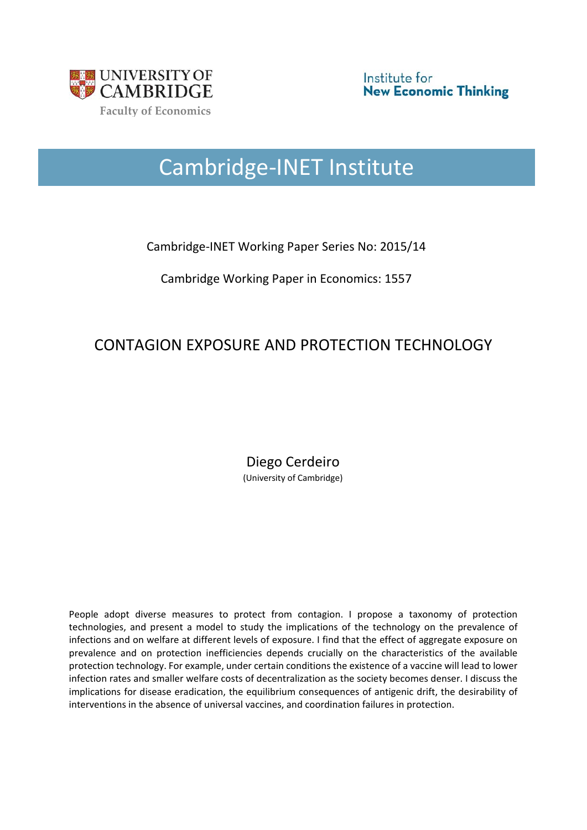

Institute for **New Economic Thinking** 

# Cambridge‐INET Institute

### Cambridge-INET Working Paper Series No: 2015/14

Cambridge Working Paper in Economics: 1557

### CONTAGION EXPOSURE AND PROTECTION TECHNOLOGY

Diego Cerdeiro (University of Cambridge)

People adopt diverse measures to protect from contagion. I propose a taxonomy of protection technologies, and present a model to study the implications of the technology on the prevalence of infections and on welfare at different levels of exposure. I find that the effect of aggregate exposure on prevalence and on protection inefficiencies depends crucially on the characteristics of the available protection technology. For example, under certain conditions the existence of a vaccine will lead to lower infection rates and smaller welfare costs of decentralization as the society becomes denser. I discuss the implications for disease eradication, the equilibrium consequences of antigenic drift, the desirability of interventions in the absence of universal vaccines, and coordination failures in protection.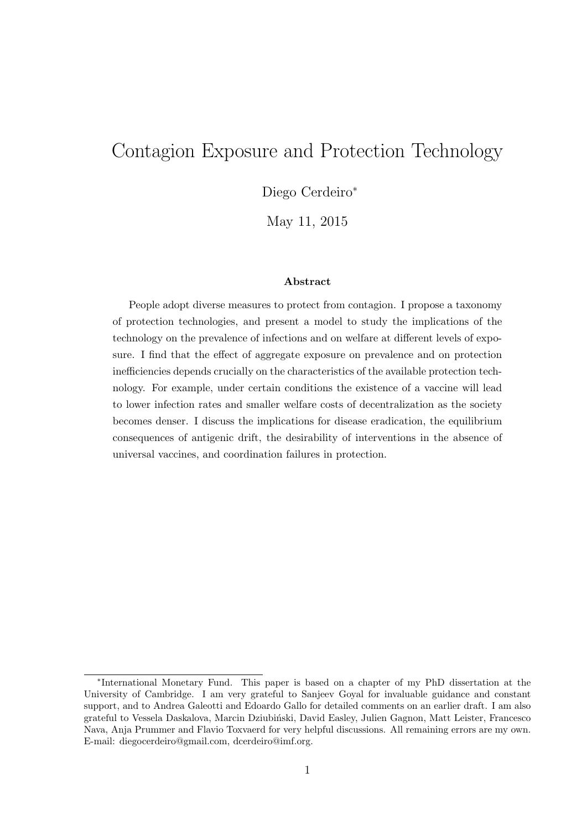## Contagion Exposure and Protection Technology

Diego Cerdeiro<sup>∗</sup>

May 11, 2015

#### Abstract

People adopt diverse measures to protect from contagion. I propose a taxonomy of protection technologies, and present a model to study the implications of the technology on the prevalence of infections and on welfare at different levels of exposure. I find that the effect of aggregate exposure on prevalence and on protection inefficiencies depends crucially on the characteristics of the available protection technology. For example, under certain conditions the existence of a vaccine will lead to lower infection rates and smaller welfare costs of decentralization as the society becomes denser. I discuss the implications for disease eradication, the equilibrium consequences of antigenic drift, the desirability of interventions in the absence of universal vaccines, and coordination failures in protection.

<sup>∗</sup> International Monetary Fund. This paper is based on a chapter of my PhD dissertation at the University of Cambridge. I am very grateful to Sanjeev Goyal for invaluable guidance and constant support, and to Andrea Galeotti and Edoardo Gallo for detailed comments on an earlier draft. I am also grateful to Vessela Daskalova, Marcin Dziubiński, David Easley, Julien Gagnon, Matt Leister, Francesco Nava, Anja Prummer and Flavio Toxvaerd for very helpful discussions. All remaining errors are my own. E-mail: diegocerdeiro@gmail.com, dcerdeiro@imf.org.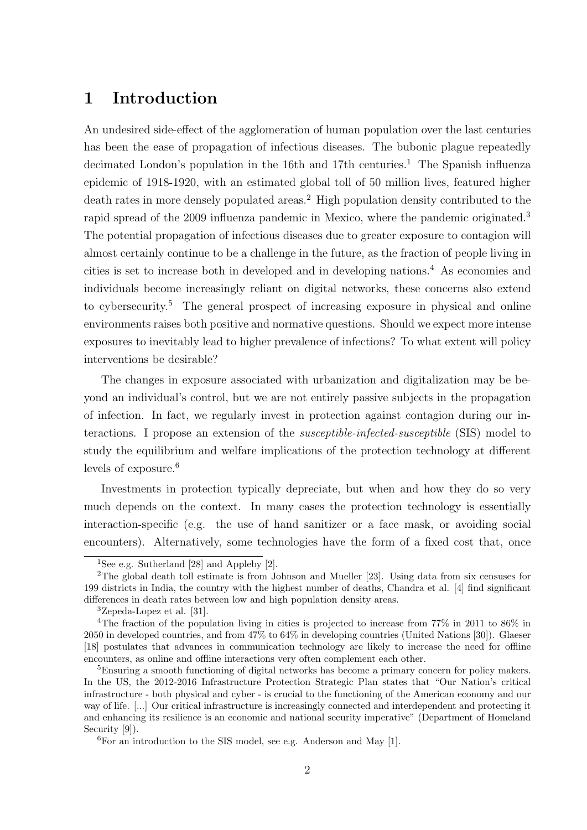### 1 Introduction

An undesired side-effect of the agglomeration of human population over the last centuries has been the ease of propagation of infectious diseases. The bubonic plague repeatedly decimated London's population in the 16th and 17th centuries.<sup>1</sup> The Spanish influenza epidemic of 1918-1920, with an estimated global toll of 50 million lives, featured higher death rates in more densely populated areas.<sup>2</sup> High population density contributed to the rapid spread of the 2009 influenza pandemic in Mexico, where the pandemic originated.<sup>3</sup> The potential propagation of infectious diseases due to greater exposure to contagion will almost certainly continue to be a challenge in the future, as the fraction of people living in cities is set to increase both in developed and in developing nations.<sup>4</sup> As economies and individuals become increasingly reliant on digital networks, these concerns also extend to cybersecurity.<sup>5</sup> The general prospect of increasing exposure in physical and online environments raises both positive and normative questions. Should we expect more intense exposures to inevitably lead to higher prevalence of infections? To what extent will policy interventions be desirable?

The changes in exposure associated with urbanization and digitalization may be beyond an individual's control, but we are not entirely passive subjects in the propagation of infection. In fact, we regularly invest in protection against contagion during our interactions. I propose an extension of the susceptible-infected-susceptible (SIS) model to study the equilibrium and welfare implications of the protection technology at different levels of exposure.<sup>6</sup>

Investments in protection typically depreciate, but when and how they do so very much depends on the context. In many cases the protection technology is essentially interaction-specific (e.g. the use of hand sanitizer or a face mask, or avoiding social encounters). Alternatively, some technologies have the form of a fixed cost that, once

<sup>&</sup>lt;sup>1</sup>See e.g. Sutherland [28] and Appleby  $[2]$ .

<sup>&</sup>lt;sup>2</sup>The global death toll estimate is from Johnson and Mueller [23]. Using data from six censuses for 199 districts in India, the country with the highest number of deaths, Chandra et al. [4] find significant differences in death rates between low and high population density areas.

<sup>3</sup>Zepeda-Lopez et al. [31].

<sup>4</sup>The fraction of the population living in cities is projected to increase from 77% in 2011 to 86% in 2050 in developed countries, and from 47% to 64% in developing countries (United Nations [30]). Glaeser [18] postulates that advances in communication technology are likely to increase the need for offline encounters, as online and offline interactions very often complement each other.

<sup>&</sup>lt;sup>5</sup>Ensuring a smooth functioning of digital networks has become a primary concern for policy makers. In the US, the 2012-2016 Infrastructure Protection Strategic Plan states that "Our Nation's critical infrastructure - both physical and cyber - is crucial to the functioning of the American economy and our way of life. [...] Our critical infrastructure is increasingly connected and interdependent and protecting it and enhancing its resilience is an economic and national security imperative" (Department of Homeland Security [9]).

 ${}^{6}$ For an introduction to the SIS model, see e.g. Anderson and May [1].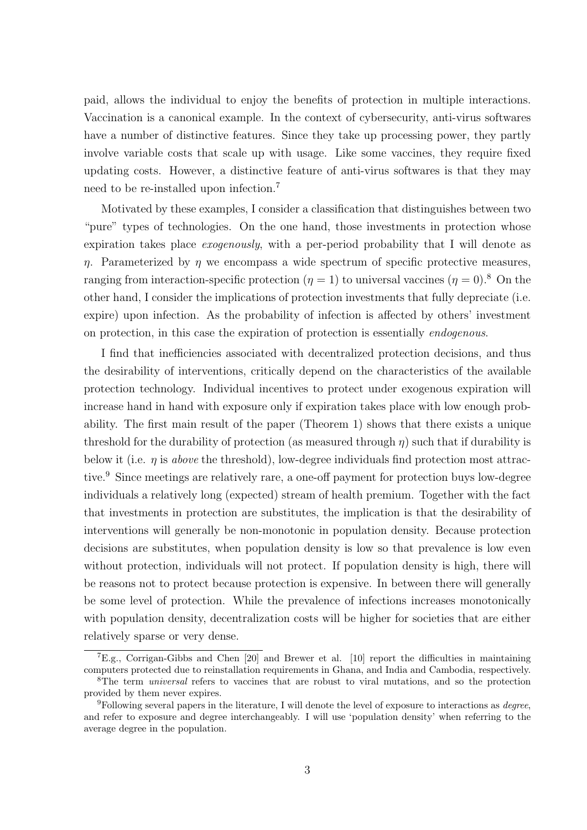paid, allows the individual to enjoy the benefits of protection in multiple interactions. Vaccination is a canonical example. In the context of cybersecurity, anti-virus softwares have a number of distinctive features. Since they take up processing power, they partly involve variable costs that scale up with usage. Like some vaccines, they require fixed updating costs. However, a distinctive feature of anti-virus softwares is that they may need to be re-installed upon infection.<sup>7</sup>

Motivated by these examples, I consider a classification that distinguishes between two "pure" types of technologies. On the one hand, those investments in protection whose expiration takes place *exogenously*, with a per-period probability that I will denote as η. Parameterized by η we encompass a wide spectrum of specific protective measures, ranging from interaction-specific protection ( $\eta = 1$ ) to universal vaccines ( $\eta = 0$ ).<sup>8</sup> On the other hand, I consider the implications of protection investments that fully depreciate (i.e. expire) upon infection. As the probability of infection is affected by others' investment on protection, in this case the expiration of protection is essentially endogenous.

I find that inefficiencies associated with decentralized protection decisions, and thus the desirability of interventions, critically depend on the characteristics of the available protection technology. Individual incentives to protect under exogenous expiration will increase hand in hand with exposure only if expiration takes place with low enough probability. The first main result of the paper (Theorem 1) shows that there exists a unique threshold for the durability of protection (as measured through  $\eta$ ) such that if durability is below it (i.e.  $\eta$  is *above* the threshold), low-degree individuals find protection most attractive.<sup>9</sup> Since meetings are relatively rare, a one-off payment for protection buys low-degree individuals a relatively long (expected) stream of health premium. Together with the fact that investments in protection are substitutes, the implication is that the desirability of interventions will generally be non-monotonic in population density. Because protection decisions are substitutes, when population density is low so that prevalence is low even without protection, individuals will not protect. If population density is high, there will be reasons not to protect because protection is expensive. In between there will generally be some level of protection. While the prevalence of infections increases monotonically with population density, decentralization costs will be higher for societies that are either relatively sparse or very dense.

<sup>7</sup>E.g., Corrigan-Gibbs and Chen [20] and Brewer et al. [10] report the difficulties in maintaining computers protected due to reinstallation requirements in Ghana, and India and Cambodia, respectively.

<sup>&</sup>lt;sup>8</sup>The term *universal* refers to vaccines that are robust to viral mutations, and so the protection provided by them never expires.

 $^{9}$ Following several papers in the literature, I will denote the level of exposure to interactions as *degree*, and refer to exposure and degree interchangeably. I will use 'population density' when referring to the average degree in the population.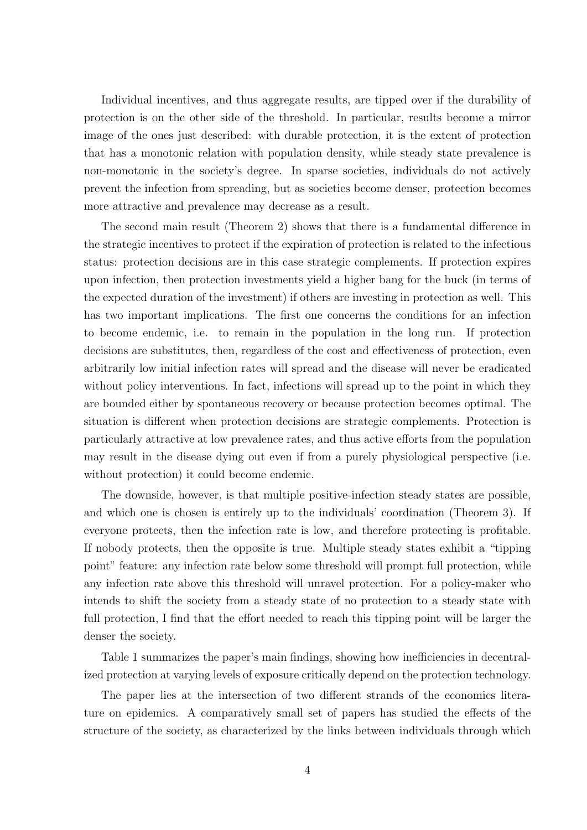Individual incentives, and thus aggregate results, are tipped over if the durability of protection is on the other side of the threshold. In particular, results become a mirror image of the ones just described: with durable protection, it is the extent of protection that has a monotonic relation with population density, while steady state prevalence is non-monotonic in the society's degree. In sparse societies, individuals do not actively prevent the infection from spreading, but as societies become denser, protection becomes more attractive and prevalence may decrease as a result.

The second main result (Theorem 2) shows that there is a fundamental difference in the strategic incentives to protect if the expiration of protection is related to the infectious status: protection decisions are in this case strategic complements. If protection expires upon infection, then protection investments yield a higher bang for the buck (in terms of the expected duration of the investment) if others are investing in protection as well. This has two important implications. The first one concerns the conditions for an infection to become endemic, i.e. to remain in the population in the long run. If protection decisions are substitutes, then, regardless of the cost and effectiveness of protection, even arbitrarily low initial infection rates will spread and the disease will never be eradicated without policy interventions. In fact, infections will spread up to the point in which they are bounded either by spontaneous recovery or because protection becomes optimal. The situation is different when protection decisions are strategic complements. Protection is particularly attractive at low prevalence rates, and thus active efforts from the population may result in the disease dying out even if from a purely physiological perspective (i.e. without protection) it could become endemic.

The downside, however, is that multiple positive-infection steady states are possible, and which one is chosen is entirely up to the individuals' coordination (Theorem 3). If everyone protects, then the infection rate is low, and therefore protecting is profitable. If nobody protects, then the opposite is true. Multiple steady states exhibit a "tipping point" feature: any infection rate below some threshold will prompt full protection, while any infection rate above this threshold will unravel protection. For a policy-maker who intends to shift the society from a steady state of no protection to a steady state with full protection, I find that the effort needed to reach this tipping point will be larger the denser the society.

Table 1 summarizes the paper's main findings, showing how inefficiencies in decentralized protection at varying levels of exposure critically depend on the protection technology.

The paper lies at the intersection of two different strands of the economics literature on epidemics. A comparatively small set of papers has studied the effects of the structure of the society, as characterized by the links between individuals through which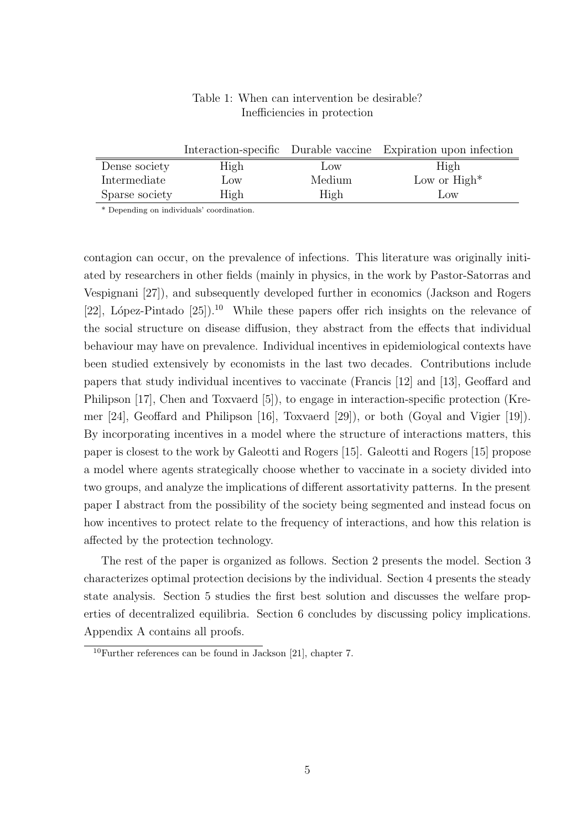|                |              |                 | Interaction-specific Durable vaccine Expiration upon infection |
|----------------|--------------|-----------------|----------------------------------------------------------------|
| Dense society  | High         | $_{\text{LOW}}$ | High                                                           |
| Intermediate   | $_{\rm Low}$ | Medium          | Low or $High^*$                                                |
| Sparse society | High         | High            | $_{\text{LOW}}$                                                |

### Table 1: When can intervention be desirable? Inefficiencies in protection

\* Depending on individuals' coordination.

contagion can occur, on the prevalence of infections. This literature was originally initiated by researchers in other fields (mainly in physics, in the work by Pastor-Satorras and Vespignani [27]), and subsequently developed further in economics (Jackson and Rogers [22], López-Pintado [25]).<sup>10</sup> While these papers offer rich insights on the relevance of the social structure on disease diffusion, they abstract from the effects that individual behaviour may have on prevalence. Individual incentives in epidemiological contexts have been studied extensively by economists in the last two decades. Contributions include papers that study individual incentives to vaccinate (Francis [12] and [13], Geoffard and Philipson [17], Chen and Toxvaerd [5]), to engage in interaction-specific protection (Kremer [24], Geoffard and Philipson [16], Toxvaerd [29]), or both (Goyal and Vigier [19]). By incorporating incentives in a model where the structure of interactions matters, this paper is closest to the work by Galeotti and Rogers [15]. Galeotti and Rogers [15] propose a model where agents strategically choose whether to vaccinate in a society divided into two groups, and analyze the implications of different assortativity patterns. In the present paper I abstract from the possibility of the society being segmented and instead focus on how incentives to protect relate to the frequency of interactions, and how this relation is affected by the protection technology.

The rest of the paper is organized as follows. Section 2 presents the model. Section 3 characterizes optimal protection decisions by the individual. Section 4 presents the steady state analysis. Section 5 studies the first best solution and discusses the welfare properties of decentralized equilibria. Section 6 concludes by discussing policy implications. Appendix A contains all proofs.

 $10$ Further references can be found in Jackson [21], chapter 7.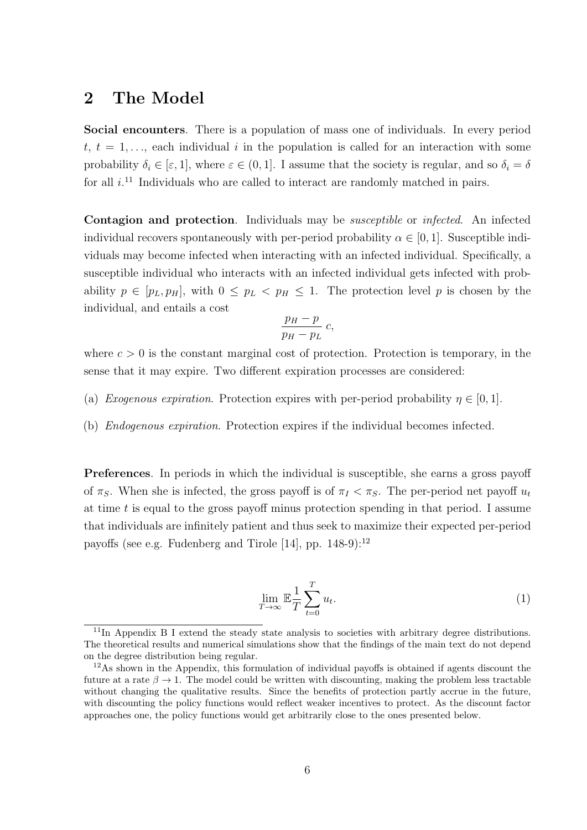### 2 The Model

Social encounters. There is a population of mass one of individuals. In every period t,  $t = 1, \ldots$ , each individual i in the population is called for an interaction with some probability  $\delta_i \in [\varepsilon, 1]$ , where  $\varepsilon \in (0, 1]$ . I assume that the society is regular, and so  $\delta_i = \delta$ for all  $i$ .<sup>11</sup> Individuals who are called to interact are randomly matched in pairs.

Contagion and protection. Individuals may be *susceptible* or *infected*. An infected individual recovers spontaneously with per-period probability  $\alpha \in [0,1]$ . Susceptible individuals may become infected when interacting with an infected individual. Specifically, a susceptible individual who interacts with an infected individual gets infected with probability  $p \in [p_L, p_H]$ , with  $0 \leq p_L < p_H \leq 1$ . The protection level p is chosen by the individual, and entails a cost

$$
\frac{p_H - p}{p_H - p_L} c,
$$

where  $c > 0$  is the constant marginal cost of protection. Protection is temporary, in the sense that it may expire. Two different expiration processes are considered:

- (a) Exogenous expiration. Protection expires with per-period probability  $\eta \in [0, 1]$ .
- (b) Endogenous expiration. Protection expires if the individual becomes infected.

Preferences. In periods in which the individual is susceptible, she earns a gross payoff of  $\pi_S$ . When she is infected, the gross payoff is of  $\pi_I < \pi_S$ . The per-period net payoff  $u_t$ at time t is equal to the gross payoff minus protection spending in that period. I assume that individuals are infinitely patient and thus seek to maximize their expected per-period payoffs (see e.g. Fudenberg and Tirole [14], pp. 148-9):<sup>12</sup>

$$
\lim_{T \to \infty} \mathbb{E} \frac{1}{T} \sum_{t=0}^{T} u_t.
$$
\n(1)

<sup>&</sup>lt;sup>11</sup>In Appendix B I extend the steady state analysis to societies with arbitrary degree distributions. The theoretical results and numerical simulations show that the findings of the main text do not depend on the degree distribution being regular.

<sup>12</sup>As shown in the Appendix, this formulation of individual payoffs is obtained if agents discount the future at a rate  $\beta \to 1$ . The model could be written with discounting, making the problem less tractable without changing the qualitative results. Since the benefits of protection partly accrue in the future, with discounting the policy functions would reflect weaker incentives to protect. As the discount factor approaches one, the policy functions would get arbitrarily close to the ones presented below.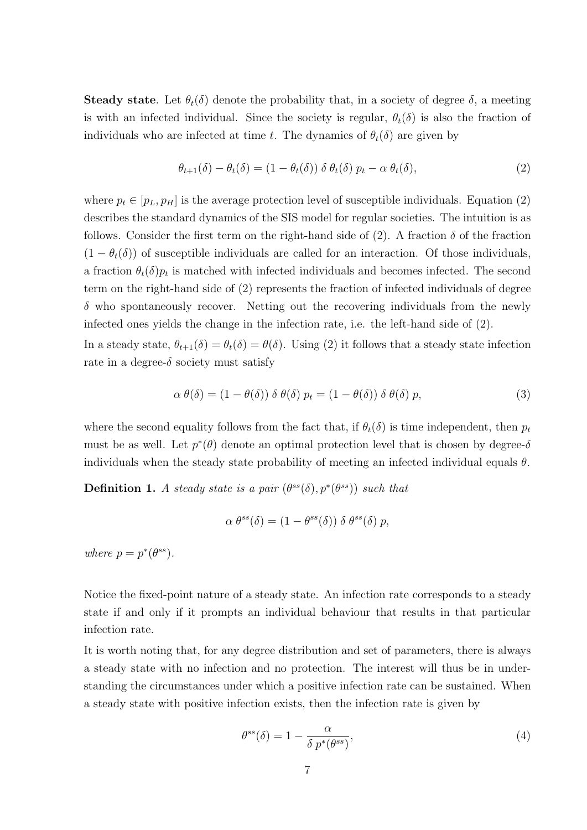**Steady state.** Let  $\theta_t(\delta)$  denote the probability that, in a society of degree  $\delta$ , a meeting is with an infected individual. Since the society is regular,  $\theta_t(\delta)$  is also the fraction of individuals who are infected at time t. The dynamics of  $\theta_t(\delta)$  are given by

$$
\theta_{t+1}(\delta) - \theta_t(\delta) = (1 - \theta_t(\delta)) \delta \theta_t(\delta) p_t - \alpha \theta_t(\delta), \qquad (2)
$$

where  $p_t \in [p_L, p_H]$  is the average protection level of susceptible individuals. Equation (2) describes the standard dynamics of the SIS model for regular societies. The intuition is as follows. Consider the first term on the right-hand side of (2). A fraction  $\delta$  of the fraction  $(1 - \theta_t(\delta))$  of susceptible individuals are called for an interaction. Of those individuals, a fraction  $\theta_t(\delta)p_t$  is matched with infected individuals and becomes infected. The second term on the right-hand side of (2) represents the fraction of infected individuals of degree  $\delta$  who spontaneously recover. Netting out the recovering individuals from the newly infected ones yields the change in the infection rate, i.e. the left-hand side of (2).

In a steady state,  $\theta_{t+1}(\delta) = \theta_t(\delta) = \theta(\delta)$ . Using (2) it follows that a steady state infection rate in a degree- $\delta$  society must satisfy

$$
\alpha \theta(\delta) = (1 - \theta(\delta)) \delta \theta(\delta) p_t = (1 - \theta(\delta)) \delta \theta(\delta) p, \tag{3}
$$

where the second equality follows from the fact that, if  $\theta_t(\delta)$  is time independent, then  $p_t$ must be as well. Let  $p^*(\theta)$  denote an optimal protection level that is chosen by degree- $\delta$ individuals when the steady state probability of meeting an infected individual equals  $\theta$ .

**Definition 1.** A steady state is a pair  $(\theta^{ss}(\delta), p^*(\theta^{ss}))$  such that

$$
\alpha \theta^{ss}(\delta) = (1 - \theta^{ss}(\delta)) \delta \theta^{ss}(\delta) p,
$$

where  $p = p^*(\theta^{ss})$ .

Notice the fixed-point nature of a steady state. An infection rate corresponds to a steady state if and only if it prompts an individual behaviour that results in that particular infection rate.

It is worth noting that, for any degree distribution and set of parameters, there is always a steady state with no infection and no protection. The interest will thus be in understanding the circumstances under which a positive infection rate can be sustained. When a steady state with positive infection exists, then the infection rate is given by

$$
\theta^{ss}(\delta) = 1 - \frac{\alpha}{\delta p^*(\theta^{ss})},\tag{4}
$$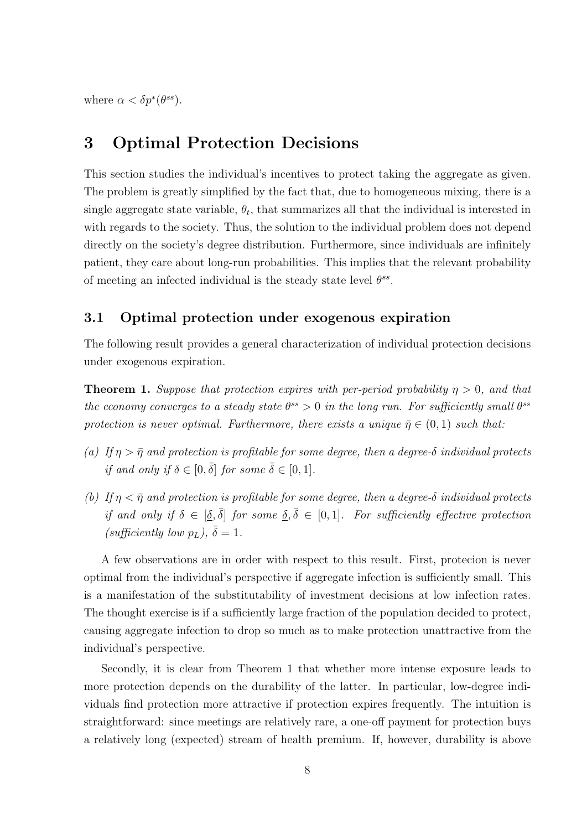where  $\alpha < \delta p^*(\theta^{ss})$ .

### 3 Optimal Protection Decisions

This section studies the individual's incentives to protect taking the aggregate as given. The problem is greatly simplified by the fact that, due to homogeneous mixing, there is a single aggregate state variable,  $\theta_t$ , that summarizes all that the individual is interested in with regards to the society. Thus, the solution to the individual problem does not depend directly on the society's degree distribution. Furthermore, since individuals are infinitely patient, they care about long-run probabilities. This implies that the relevant probability of meeting an infected individual is the steady state level  $\theta^{ss}$ .

#### 3.1 Optimal protection under exogenous expiration

The following result provides a general characterization of individual protection decisions under exogenous expiration.

**Theorem 1.** Suppose that protection expires with per-period probability  $\eta > 0$ , and that the economy converges to a steady state  $\theta^{ss} > 0$  in the long run. For sufficiently small  $\theta^{ss}$ protection is never optimal. Furthermore, there exists a unique  $\bar{\eta} \in (0,1)$  such that:

- (a) If  $\eta > \bar{\eta}$  and protection is profitable for some degree, then a degree-δ individual protects if and only if  $\delta \in [0, \bar{\delta}]$  for some  $\bar{\delta} \in [0, 1]$ .
- (b) If  $\eta < \bar{\eta}$  and protection is profitable for some degree, then a degree- $\delta$  individual protects if and only if  $\delta \in [\underline{\delta}, \overline{\delta}]$  for some  $\underline{\delta}, \overline{\delta} \in [0,1]$ . For sufficiently effective protection (sufficiently low  $p_L$ ),  $\bar{\delta} = 1$ .

A few observations are in order with respect to this result. First, protecion is never optimal from the individual's perspective if aggregate infection is sufficiently small. This is a manifestation of the substitutability of investment decisions at low infection rates. The thought exercise is if a sufficiently large fraction of the population decided to protect, causing aggregate infection to drop so much as to make protection unattractive from the individual's perspective.

Secondly, it is clear from Theorem 1 that whether more intense exposure leads to more protection depends on the durability of the latter. In particular, low-degree individuals find protection more attractive if protection expires frequently. The intuition is straightforward: since meetings are relatively rare, a one-off payment for protection buys a relatively long (expected) stream of health premium. If, however, durability is above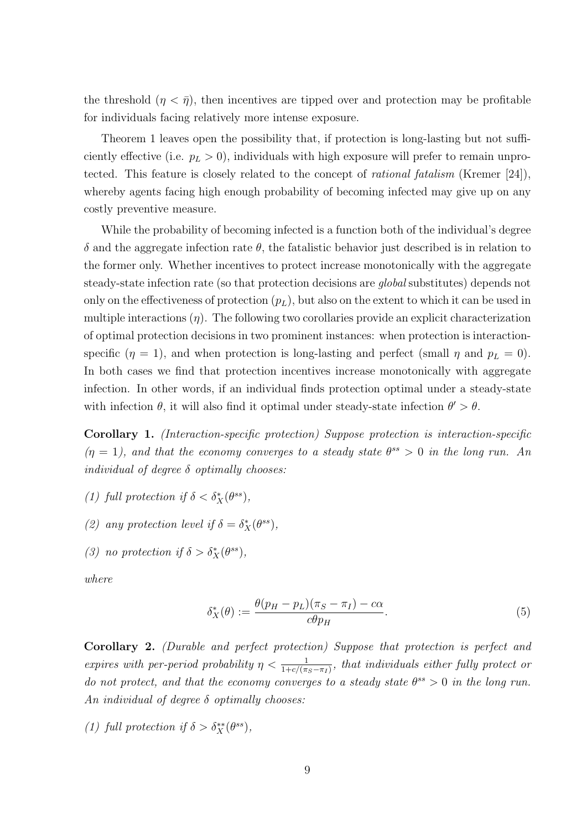the threshold  $(\eta < \bar{\eta})$ , then incentives are tipped over and protection may be profitable for individuals facing relatively more intense exposure.

Theorem 1 leaves open the possibility that, if protection is long-lasting but not sufficiently effective (i.e.  $p_L > 0$ ), individuals with high exposure will prefer to remain unprotected. This feature is closely related to the concept of *rational fatalism* (Kremer [24]), whereby agents facing high enough probability of becoming infected may give up on any costly preventive measure.

While the probability of becoming infected is a function both of the individual's degree δ and the aggregate infection rate θ, the fatalistic behavior just described is in relation to the former only. Whether incentives to protect increase monotonically with the aggregate steady-state infection rate (so that protection decisions are global substitutes) depends not only on the effectiveness of protection  $(p_L)$ , but also on the extent to which it can be used in multiple interactions  $(\eta)$ . The following two corollaries provide an explicit characterization of optimal protection decisions in two prominent instances: when protection is interactionspecific ( $\eta = 1$ ), and when protection is long-lasting and perfect (small  $\eta$  and  $p_L = 0$ ). In both cases we find that protection incentives increase monotonically with aggregate infection. In other words, if an individual finds protection optimal under a steady-state with infection  $\theta$ , it will also find it optimal under steady-state infection  $\theta' > \theta$ .

Corollary 1. (Interaction-specific protection) Suppose protection is interaction-specific  $(\eta = 1)$ , and that the economy converges to a steady state  $\theta^{ss} > 0$  in the long run. An individual of degree  $\delta$  optimally chooses:

- (1) full protection if  $\delta < \delta_X^*(\theta^{ss})$ ,
- (2) any protection level if  $\delta = \delta^*_X(\theta^{ss})$ ,
- (3) no protection if  $\delta > \delta_X^*(\theta^{ss})$ ,

where

$$
\delta_X^*(\theta) := \frac{\theta(p_H - p_L)(\pi_S - \pi_I) - c\alpha}{c\theta p_H}.
$$
\n(5)

Corollary 2. (Durable and perfect protection) Suppose that protection is perfect and expires with per-period probability  $\eta < \frac{1}{1+c/(\pi_S-\pi_I)}$ , that individuals either fully protect or do not protect, and that the economy converges to a steady state  $\theta^{ss} > 0$  in the long run. An individual of degree  $\delta$  optimally chooses:

(1) full protection if  $\delta > \delta_X^{**}(\theta^{ss})$ ,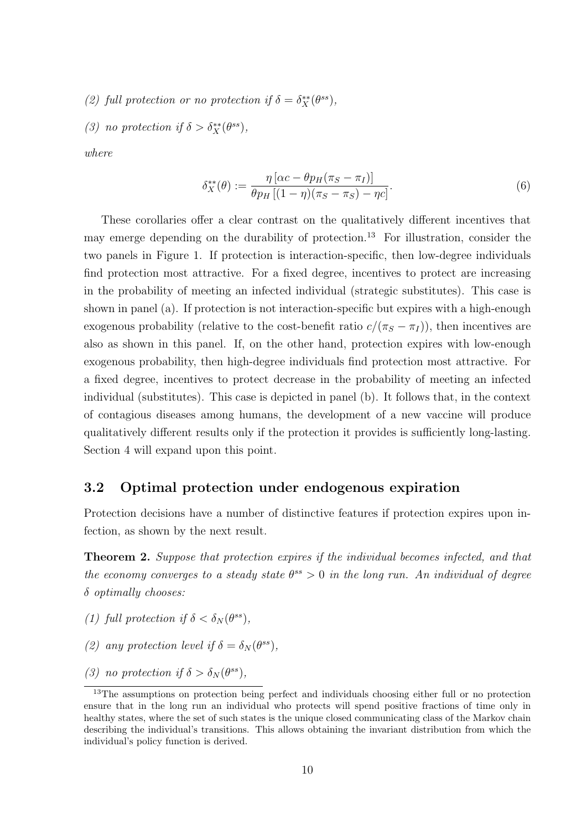(2) full protection or no protection if  $\delta = \delta_X^{**}(\theta^{ss})$ ,

(3) no protection if  $\delta > \delta_X^{**}(\theta^{ss})$ ,

where

$$
\delta_X^{**}(\theta) := \frac{\eta \left[ \alpha c - \theta p_H(\pi_S - \pi_I) \right]}{\theta p_H \left[ (1 - \eta)(\pi_S - \pi_S) - \eta c \right]}.
$$
\n
$$
(6)
$$

These corollaries offer a clear contrast on the qualitatively different incentives that may emerge depending on the durability of protection.<sup>13</sup> For illustration, consider the two panels in Figure 1. If protection is interaction-specific, then low-degree individuals find protection most attractive. For a fixed degree, incentives to protect are increasing in the probability of meeting an infected individual (strategic substitutes). This case is shown in panel (a). If protection is not interaction-specific but expires with a high-enough exogenous probability (relative to the cost-benefit ratio  $c/(\pi_S - \pi_I)$ ), then incentives are also as shown in this panel. If, on the other hand, protection expires with low-enough exogenous probability, then high-degree individuals find protection most attractive. For a fixed degree, incentives to protect decrease in the probability of meeting an infected individual (substitutes). This case is depicted in panel (b). It follows that, in the context of contagious diseases among humans, the development of a new vaccine will produce qualitatively different results only if the protection it provides is sufficiently long-lasting. Section 4 will expand upon this point.

#### 3.2 Optimal protection under endogenous expiration

Protection decisions have a number of distinctive features if protection expires upon infection, as shown by the next result.

Theorem 2. Suppose that protection expires if the individual becomes infected, and that the economy converges to a steady state  $\theta^{ss} > 0$  in the long run. An individual of degree δ optimally chooses:

- (1) full protection if  $\delta < \delta_N(\theta^{ss})$ ,
- (2) any protection level if  $\delta = \delta_N(\theta^{ss})$ ,
- (3) no protection if  $\delta > \delta_N(\theta^{ss}),$

<sup>&</sup>lt;sup>13</sup>The assumptions on protection being perfect and individuals choosing either full or no protection ensure that in the long run an individual who protects will spend positive fractions of time only in healthy states, where the set of such states is the unique closed communicating class of the Markov chain describing the individual's transitions. This allows obtaining the invariant distribution from which the individual's policy function is derived.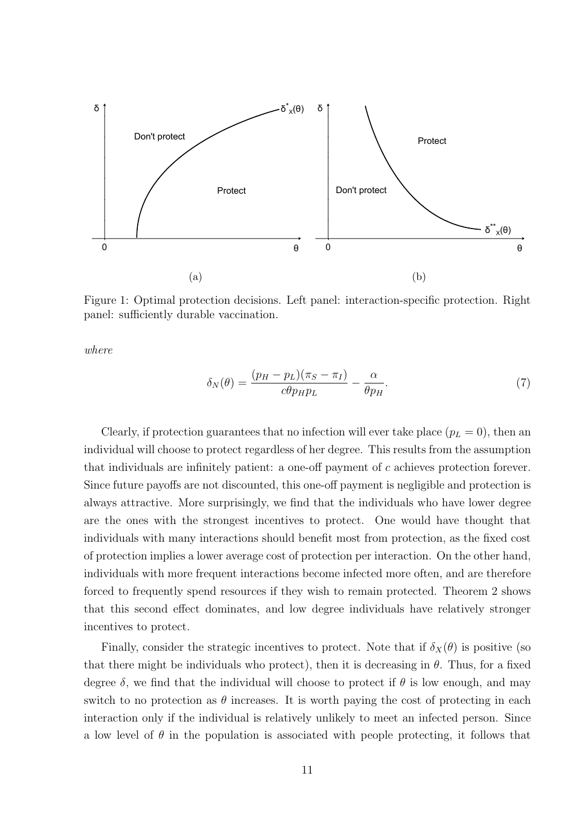

Figure 1: Optimal protection decisions. Left panel: interaction-specific protection. Right panel: sufficiently durable vaccination.

where

$$
\delta_N(\theta) = \frac{(p_H - p_L)(\pi_S - \pi_I)}{c\theta p_H p_L} - \frac{\alpha}{\theta p_H}.\tag{7}
$$

Clearly, if protection guarantees that no infection will ever take place  $(p_L = 0)$ , then an individual will choose to protect regardless of her degree. This results from the assumption that individuals are infinitely patient: a one-off payment of  $c$  achieves protection forever. Since future payoffs are not discounted, this one-off payment is negligible and protection is always attractive. More surprisingly, we find that the individuals who have lower degree are the ones with the strongest incentives to protect. One would have thought that individuals with many interactions should benefit most from protection, as the fixed cost of protection implies a lower average cost of protection per interaction. On the other hand, individuals with more frequent interactions become infected more often, and are therefore forced to frequently spend resources if they wish to remain protected. Theorem 2 shows that this second effect dominates, and low degree individuals have relatively stronger incentives to protect.

Finally, consider the strategic incentives to protect. Note that if  $\delta_X(\theta)$  is positive (so that there might be individuals who protect), then it is decreasing in  $\theta$ . Thus, for a fixed degree  $\delta$ , we find that the individual will choose to protect if  $\theta$  is low enough, and may switch to no protection as  $\theta$  increases. It is worth paying the cost of protecting in each interaction only if the individual is relatively unlikely to meet an infected person. Since a low level of  $\theta$  in the population is associated with people protecting, it follows that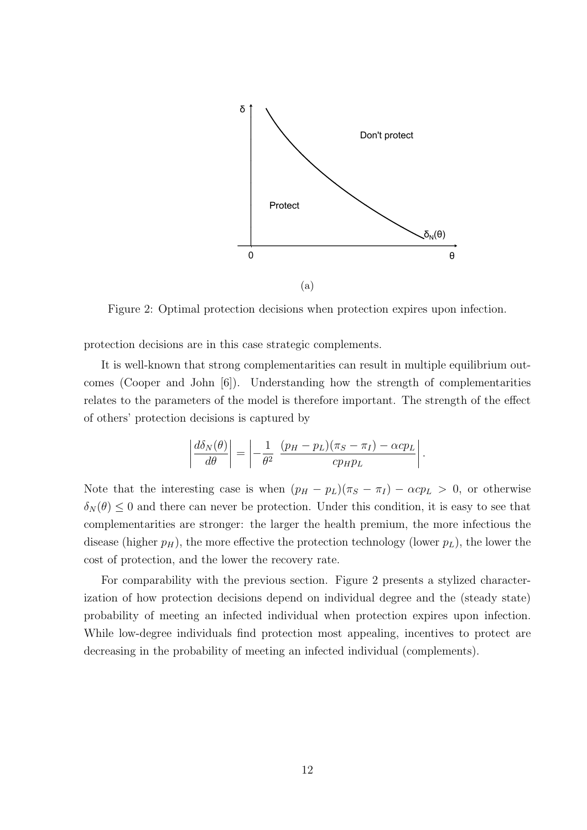

Figure 2: Optimal protection decisions when protection expires upon infection.

protection decisions are in this case strategic complements.

It is well-known that strong complementarities can result in multiple equilibrium outcomes (Cooper and John [6]). Understanding how the strength of complementarities relates to the parameters of the model is therefore important. The strength of the effect of others' protection decisions is captured by

$$
\left|\frac{d\delta_N(\theta)}{d\theta}\right| = \left|-\frac{1}{\theta^2}\left(\frac{(p_H - p_L)(\pi_S - \pi_I) - \alpha c p_L}{c p_H p_L}\right)\right|.
$$

Note that the interesting case is when  $(p_H - p_L)(\pi_S - \pi_I) - \alpha c p_L > 0$ , or otherwise  $\delta_N(\theta) \leq 0$  and there can never be protection. Under this condition, it is easy to see that complementarities are stronger: the larger the health premium, the more infectious the disease (higher  $p_H$ ), the more effective the protection technology (lower  $p_L$ ), the lower the cost of protection, and the lower the recovery rate.

For comparability with the previous section. Figure 2 presents a stylized characterization of how protection decisions depend on individual degree and the (steady state) probability of meeting an infected individual when protection expires upon infection. While low-degree individuals find protection most appealing, incentives to protect are decreasing in the probability of meeting an infected individual (complements).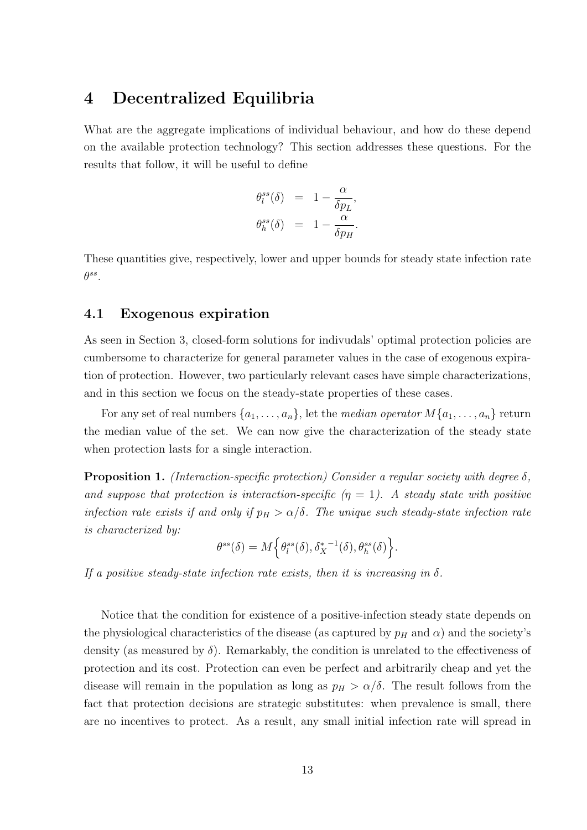### 4 Decentralized Equilibria

What are the aggregate implications of individual behaviour, and how do these depend on the available protection technology? This section addresses these questions. For the results that follow, it will be useful to define

$$
\begin{aligned}\n\theta_l^{ss}(\delta) &= 1 - \frac{\alpha}{\delta p_L}, \\
\theta_h^{ss}(\delta) &= 1 - \frac{\alpha}{\delta p_H}.\n\end{aligned}
$$

These quantities give, respectively, lower and upper bounds for steady state infection rate  $\theta^{ss}$ .

#### 4.1 Exogenous expiration

As seen in Section 3, closed-form solutions for indivudals' optimal protection policies are cumbersome to characterize for general parameter values in the case of exogenous expiration of protection. However, two particularly relevant cases have simple characterizations, and in this section we focus on the steady-state properties of these cases.

For any set of real numbers  $\{a_1, \ldots, a_n\}$ , let the *median operator*  $M\{a_1, \ldots, a_n\}$  return the median value of the set. We can now give the characterization of the steady state when protection lasts for a single interaction.

**Proposition 1.** (Interaction-specific protection) Consider a regular society with degree  $\delta$ , and suppose that protection is interaction-specific  $(\eta = 1)$ . A steady state with positive infection rate exists if and only if  $p_H > \alpha/\delta$ . The unique such steady-state infection rate is characterized by:

$$
\theta^{ss}(\delta) = M\Big\{\theta^{ss}_l(\delta), \delta^{s-1}_X(\delta), \theta^{ss}_h(\delta)\Big\}.
$$

If a positive steady-state infection rate exists, then it is increasing in  $\delta$ .

Notice that the condition for existence of a positive-infection steady state depends on the physiological characteristics of the disease (as captured by  $p_H$  and  $\alpha$ ) and the society's density (as measured by  $\delta$ ). Remarkably, the condition is unrelated to the effectiveness of protection and its cost. Protection can even be perfect and arbitrarily cheap and yet the disease will remain in the population as long as  $p_H > \alpha/\delta$ . The result follows from the fact that protection decisions are strategic substitutes: when prevalence is small, there are no incentives to protect. As a result, any small initial infection rate will spread in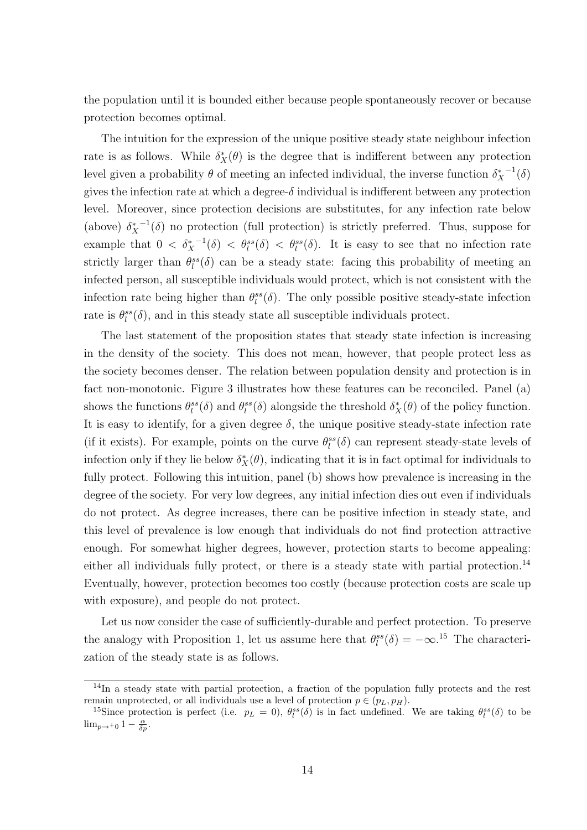the population until it is bounded either because people spontaneously recover or because protection becomes optimal.

The intuition for the expression of the unique positive steady state neighbour infection rate is as follows. While  $\delta_X^*(\theta)$  is the degree that is indifferent between any protection level given a probability  $\theta$  of meeting an infected individual, the inverse function  $\delta_X^*$  $^{-1}(\delta)$ gives the infection rate at which a degree- $\delta$  individual is indifferent between any protection level. Moreover, since protection decisions are substitutes, for any infection rate below (above)  $\delta^*_X$  $\sigma$ <sup>-1</sup>(δ) no protection (full protection) is strictly preferred. Thus, suppose for example that  $0 < \delta_X^*$  $\int_{0}^{-1}(\delta) < \theta_{l}^{ss}(\delta) < \theta_{l}^{ss}(\delta)$ . It is easy to see that no infection rate strictly larger than  $\theta_l^{ss}(\delta)$  can be a steady state: facing this probability of meeting an infected person, all susceptible individuals would protect, which is not consistent with the infection rate being higher than  $\theta_i^{ss}(\delta)$ . The only possible positive steady-state infection rate is  $\theta_l^{ss}(\delta)$ , and in this steady state all susceptible individuals protect.

The last statement of the proposition states that steady state infection is increasing in the density of the society. This does not mean, however, that people protect less as the society becomes denser. The relation between population density and protection is in fact non-monotonic. Figure 3 illustrates how these features can be reconciled. Panel (a) shows the functions  $\theta_l^{ss}(\delta)$  and  $\theta_l^{ss}(\delta)$  alongside the threshold  $\delta_X^*(\theta)$  of the policy function. It is easy to identify, for a given degree  $\delta$ , the unique positive steady-state infection rate (if it exists). For example, points on the curve  $\theta_l^{ss}(\delta)$  can represent steady-state levels of infection only if they lie below  $\delta_X^*(\theta)$ , indicating that it is in fact optimal for individuals to fully protect. Following this intuition, panel (b) shows how prevalence is increasing in the degree of the society. For very low degrees, any initial infection dies out even if individuals do not protect. As degree increases, there can be positive infection in steady state, and this level of prevalence is low enough that individuals do not find protection attractive enough. For somewhat higher degrees, however, protection starts to become appealing: either all individuals fully protect, or there is a steady state with partial protection.<sup>14</sup> Eventually, however, protection becomes too costly (because protection costs are scale up with exposure), and people do not protect.

Let us now consider the case of sufficiently-durable and perfect protection. To preserve the analogy with Proposition 1, let us assume here that  $\theta_l^{ss}(\delta) = -\infty$ .<sup>15</sup> The characterization of the steady state is as follows.

 $14$ In a steady state with partial protection, a fraction of the population fully protects and the rest remain unprotected, or all individuals use a level of protection  $p \in (p_L, p_H)$ .

<sup>&</sup>lt;sup>15</sup>Since protection is perfect (i.e.  $p_L = 0$ ),  $\theta_l^{ss}(\delta)$  is in fact undefined. We are taking  $\theta_l^{ss}(\delta)$  to be  $\lim_{p\to 0} 1 - \frac{\alpha}{\delta p}.$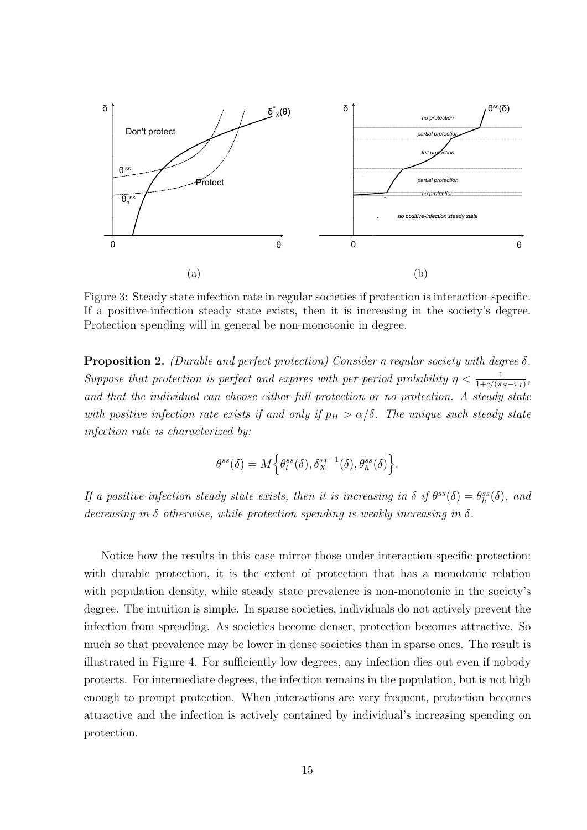

Figure 3: Steady state infection rate in regular societies if protection is interaction-specific. If a positive-infection steady state exists, then it is increasing in the society's degree. Protection spending will in general be non-monotonic in degree.

**Proposition 2.** (Durable and perfect protection) Consider a regular society with degree  $\delta$ . Suppose that protection is perfect and expires with per-period probability  $\eta < \frac{1}{1+c/(\pi_S-\pi_I)}$ , and that the individual can choose either full protection or no protection. A steady state with positive infection rate exists if and only if  $p_H > \alpha/\delta$ . The unique such steady state infection rate is characterized by:

$$
\theta^{ss}(\delta) = M\Big\{\theta^{ss}_l(\delta), \delta^{**-1}_X(\delta), \theta^{ss}_h(\delta)\Big\}.
$$

If a positive-infection steady state exists, then it is increasing in  $\delta$  if  $\theta^{ss}(\delta) = \theta^{ss}_h(\delta)$ , and decreasing in  $\delta$  otherwise, while protection spending is weakly increasing in  $\delta$ .

Notice how the results in this case mirror those under interaction-specific protection: with durable protection, it is the extent of protection that has a monotonic relation with population density, while steady state prevalence is non-monotonic in the society's degree. The intuition is simple. In sparse societies, individuals do not actively prevent the infection from spreading. As societies become denser, protection becomes attractive. So much so that prevalence may be lower in dense societies than in sparse ones. The result is illustrated in Figure 4. For sufficiently low degrees, any infection dies out even if nobody protects. For intermediate degrees, the infection remains in the population, but is not high enough to prompt protection. When interactions are very frequent, protection becomes attractive and the infection is actively contained by individual's increasing spending on protection.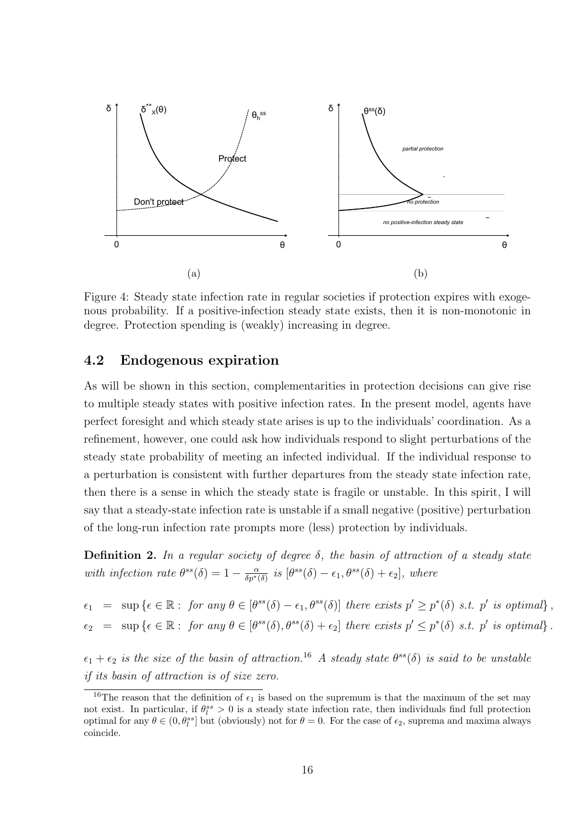

Figure 4: Steady state infection rate in regular societies if protection expires with exogenous probability. If a positive-infection steady state exists, then it is non-monotonic in degree. Protection spending is (weakly) increasing in degree.

### 4.2 Endogenous expiration

As will be shown in this section, complementarities in protection decisions can give rise to multiple steady states with positive infection rates. In the present model, agents have perfect foresight and which steady state arises is up to the individuals' coordination. As a refinement, however, one could ask how individuals respond to slight perturbations of the steady state probability of meeting an infected individual. If the individual response to a perturbation is consistent with further departures from the steady state infection rate, then there is a sense in which the steady state is fragile or unstable. In this spirit, I will say that a steady-state infection rate is unstable if a small negative (positive) perturbation of the long-run infection rate prompts more (less) protection by individuals.

**Definition 2.** In a regular society of degree  $\delta$ , the basin of attraction of a steady state with infection rate  $\theta^{ss}(\delta) = 1 - \frac{\alpha}{\delta n^{*}}$  $\frac{\alpha}{\delta p^*(\delta)}$  is  $[\theta^{ss}(\delta) - \epsilon_1, \theta^{ss}(\delta) + \epsilon_2]$ , where

 $\epsilon_1 = \sup \{\epsilon \in \mathbb{R} : \text{ for any } \theta \in [\theta^{ss}(\delta) - \epsilon_1, \theta^{ss}(\delta)] \text{ there exists } p' \geq p^*(\delta) \text{ s.t. } p' \text{ is optimal}\},\$  $\epsilon_2 = \sup \{\epsilon \in \mathbb{R} : \text{ for any } \theta \in [\theta^{ss}(\delta), \theta^{ss}(\delta) + \epsilon_2] \text{ there exists } p' \leq p^*(\delta) \text{ s.t. } p' \text{ is optimal}\}.$ 

 $\epsilon_1 + \epsilon_2$  is the size of the basin of attraction.<sup>16</sup> A steady state  $\theta^{ss}(\delta)$  is said to be unstable if its basin of attraction is of size zero.

<sup>&</sup>lt;sup>16</sup>The reason that the definition of  $\epsilon_1$  is based on the supremum is that the maximum of the set may not exist. In particular, if  $\theta_l^{ss} > 0$  is a steady state infection rate, then individuals find full protection optimal for any  $\theta \in (0, \theta_l^{ss}]$  but (obviously) not for  $\theta = 0$ . For the case of  $\epsilon_2$ , suprema and maxima always coincide.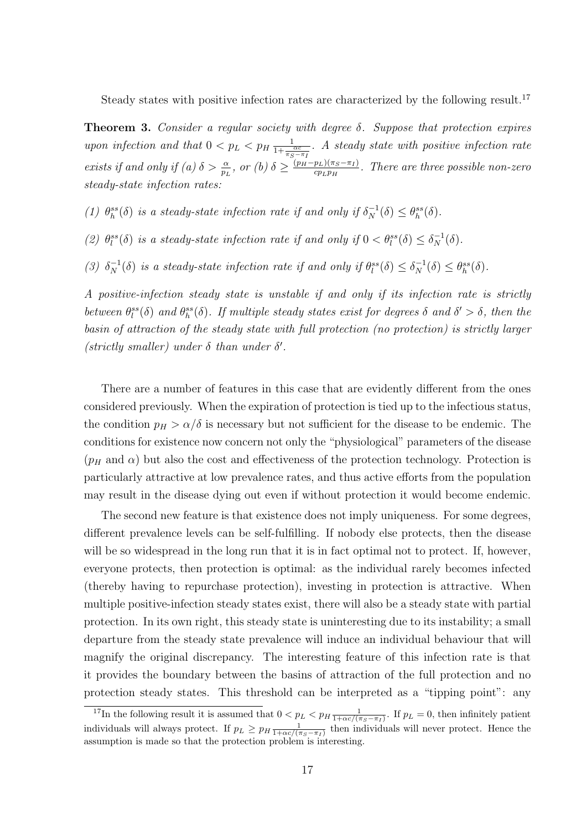Steady states with positive infection rates are characterized by the following result.<sup>17</sup>

**Theorem 3.** Consider a regular society with degree  $\delta$ . Suppose that protection expires upon infection and that  $0 < p_L < p_H \frac{1}{1 + \frac{\alpha c}{\pi_S - \pi_I}}$ . A steady state with positive infection rate exists if and only if (a)  $\delta > \frac{\alpha}{p_L}$ , or (b)  $\delta \geq \frac{(p_H - p_L)(\pi_S - \pi_I)}{cp_L p_H}$  $\frac{p_{L}(\sqrt{\pi_{S}-\pi_{I}})}{p_{L}p_{H}}$ . There are three possible non-zero steady-state infection rates:

- (1)  $\theta_h^{ss}(\delta)$  is a steady-state infection rate if and only if  $\delta_N^{-1}(\delta) \leq \theta_h^{ss}(\delta)$ .
- (2)  $\theta_l^{ss}(\delta)$  is a steady-state infection rate if and only if  $0 < \theta_l^{ss}(\delta) \leq \delta_N^{-1}(\delta)$ .
- (3)  $\delta_N^{-1}(\delta)$  is a steady-state infection rate if and only if  $\theta_l^{ss}(\delta) \leq \delta_N^{-1}(\delta) \leq \theta_h^{ss}(\delta)$ .

A positive-infection steady state is unstable if and only if its infection rate is strictly between  $\theta_l^{ss}(\delta)$  and  $\theta_h^{ss}(\delta)$ . If multiple steady states exist for degrees  $\delta$  and  $\delta' > \delta$ , then the basin of attraction of the steady state with full protection (no protection) is strictly larger (strictly smaller) under  $\delta$  than under  $\delta'$ .

There are a number of features in this case that are evidently different from the ones considered previously. When the expiration of protection is tied up to the infectious status, the condition  $p_H > \alpha/\delta$  is necessary but not sufficient for the disease to be endemic. The conditions for existence now concern not only the "physiological" parameters of the disease  $(p_H$  and  $\alpha)$  but also the cost and effectiveness of the protection technology. Protection is particularly attractive at low prevalence rates, and thus active efforts from the population may result in the disease dying out even if without protection it would become endemic.

The second new feature is that existence does not imply uniqueness. For some degrees, different prevalence levels can be self-fulfilling. If nobody else protects, then the disease will be so widespread in the long run that it is in fact optimal not to protect. If, however, everyone protects, then protection is optimal: as the individual rarely becomes infected (thereby having to repurchase protection), investing in protection is attractive. When multiple positive-infection steady states exist, there will also be a steady state with partial protection. In its own right, this steady state is uninteresting due to its instability; a small departure from the steady state prevalence will induce an individual behaviour that will magnify the original discrepancy. The interesting feature of this infection rate is that it provides the boundary between the basins of attraction of the full protection and no protection steady states. This threshold can be interpreted as a "tipping point": any

<sup>&</sup>lt;sup>17</sup>In the following result it is assumed that  $0 < p_L < p_H \frac{1}{1 + \alpha c / (\pi_S - \pi_I)}$ . If  $p_L = 0$ , then infinitely patient individuals will always protect. If  $p_L \geq p_H \frac{1}{1+\alpha c/(\pi_S-\pi_I)}$  then individuals will never protect. Hence the assumption is made so that the protection problem is interesting.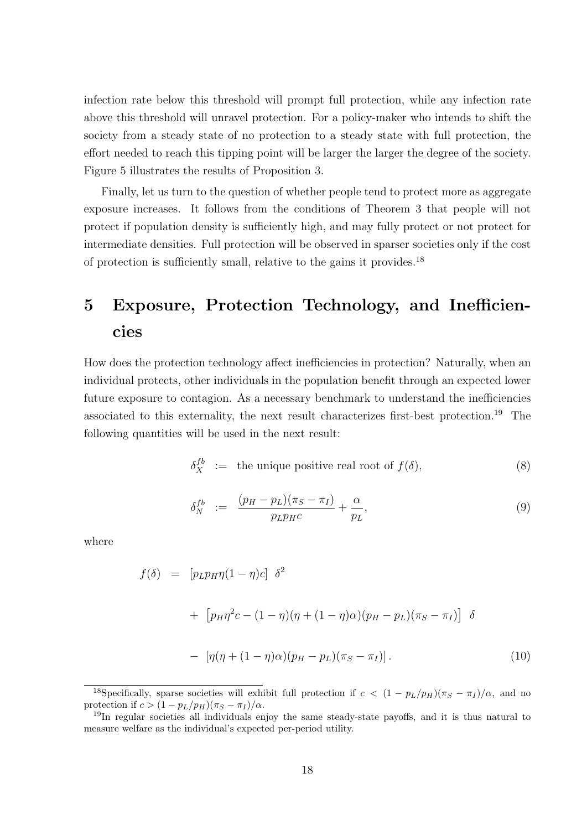infection rate below this threshold will prompt full protection, while any infection rate above this threshold will unravel protection. For a policy-maker who intends to shift the society from a steady state of no protection to a steady state with full protection, the effort needed to reach this tipping point will be larger the larger the degree of the society. Figure 5 illustrates the results of Proposition 3.

Finally, let us turn to the question of whether people tend to protect more as aggregate exposure increases. It follows from the conditions of Theorem 3 that people will not protect if population density is sufficiently high, and may fully protect or not protect for intermediate densities. Full protection will be observed in sparser societies only if the cost of protection is sufficiently small, relative to the gains it provides.<sup>18</sup>

# 5 Exposure, Protection Technology, and Inefficiencies

How does the protection technology affect inefficiencies in protection? Naturally, when an individual protects, other individuals in the population benefit through an expected lower future exposure to contagion. As a necessary benchmark to understand the inefficiencies associated to this externality, the next result characterizes first-best protection.<sup>19</sup> The following quantities will be used in the next result:

$$
\delta_X^{fb} := \text{the unique positive real root of } f(\delta), \tag{8}
$$

$$
\delta_N^{fb} := \frac{(p_H - p_L)(\pi_S - \pi_I)}{p_L p_H c} + \frac{\alpha}{p_L},\tag{9}
$$

where

$$
f(\delta) = [p_L p_H \eta (1 - \eta) c] \delta^2
$$
  
+ 
$$
[p_H \eta^2 c - (1 - \eta) (\eta + (1 - \eta) \alpha) (p_H - p_L) (\pi_S - \pi_I)] \delta
$$
  
- 
$$
[ \eta (\eta + (1 - \eta) \alpha) (p_H - p_L) (\pi_S - \pi_I)].
$$
 (10)

<sup>&</sup>lt;sup>18</sup>Specifically, sparse societies will exhibit full protection if  $c < (1 - p_L/p_H)(\pi_S - \pi_I)/\alpha$ , and no protection if  $c > (1 - p_L/p_H)(\pi_S - \pi_I)/\alpha$ .

<sup>19</sup>In regular societies all individuals enjoy the same steady-state payoffs, and it is thus natural to measure welfare as the individual's expected per-period utility.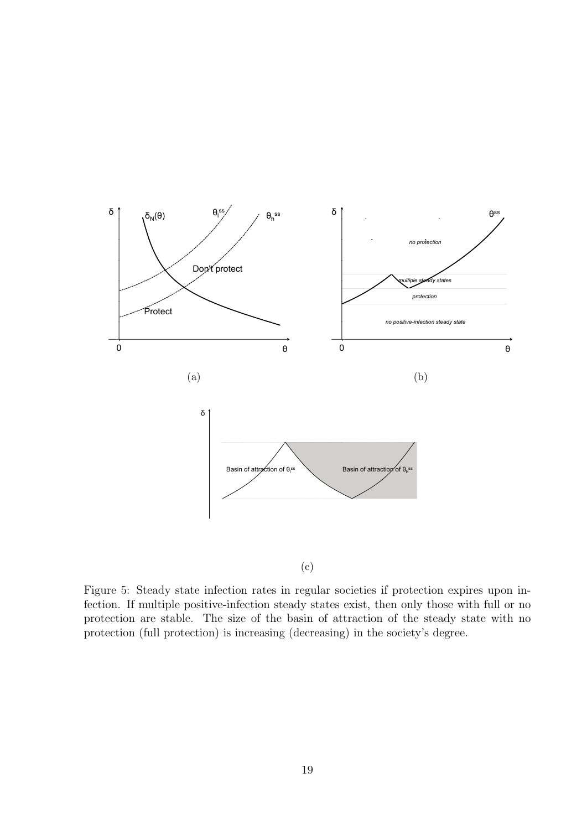



Figure 5: Steady state infection rates in regular societies if protection expires upon infection. If multiple positive-infection steady states exist, then only those with full or no protection are stable. The size of the basin of attraction of the steady state with no protection (full protection) is increasing (decreasing) in the society's degree.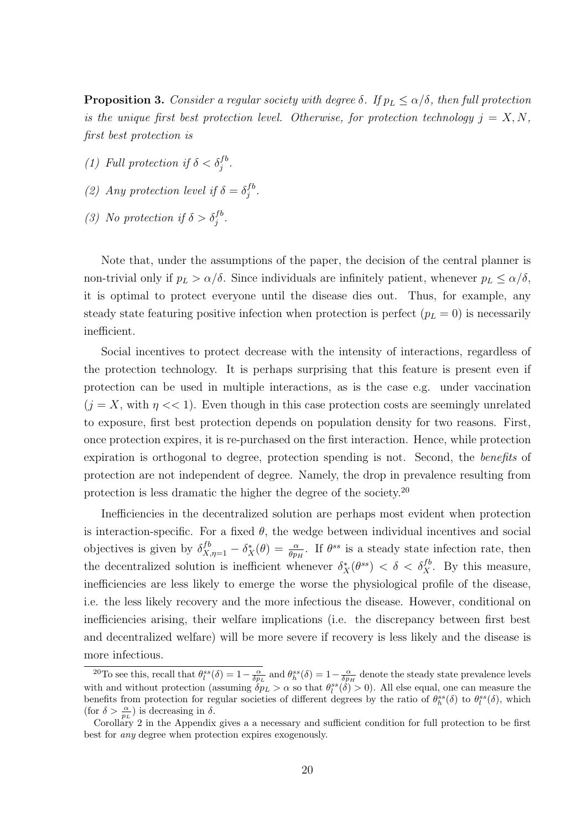**Proposition 3.** Consider a regular society with degree  $\delta$ . If  $p_L \leq \alpha/\delta$ , then full protection is the unique first best protection level. Otherwise, for protection technology  $j = X, N$ , first best protection is

- (1) Full protection if  $\delta < \delta_j^{fb}$ .
- (2) Any protection level if  $\delta = \delta_i^{fb}$ j .
- (3) No protection if  $\delta > \delta_j^{fb}$ .

Note that, under the assumptions of the paper, the decision of the central planner is non-trivial only if  $p_L > \alpha/\delta$ . Since individuals are infinitely patient, whenever  $p_L \leq \alpha/\delta$ , it is optimal to protect everyone until the disease dies out. Thus, for example, any steady state featuring positive infection when protection is perfect  $(p_L = 0)$  is necessarily inefficient.

Social incentives to protect decrease with the intensity of interactions, regardless of the protection technology. It is perhaps surprising that this feature is present even if protection can be used in multiple interactions, as is the case e.g. under vaccination  $(j = X, \text{ with } \eta \ll 1)$ . Even though in this case protection costs are seemingly unrelated to exposure, first best protection depends on population density for two reasons. First, once protection expires, it is re-purchased on the first interaction. Hence, while protection expiration is orthogonal to degree, protection spending is not. Second, the *benefits* of protection are not independent of degree. Namely, the drop in prevalence resulting from protection is less dramatic the higher the degree of the society.<sup>20</sup>

Inefficiencies in the decentralized solution are perhaps most evident when protection is interaction-specific. For a fixed  $\theta$ , the wedge between individual incentives and social objectives is given by  $\delta_{X,\eta=1}^{fb} - \delta_X^*(\theta) = \frac{\alpha}{\theta p_H}$ . If  $\theta^{ss}$  is a steady state infection rate, then the decentralized solution is inefficient whenever  $\delta_X^*(\theta^{ss}) < \delta < \delta_X^{fb}$ . By this measure, inefficiencies are less likely to emerge the worse the physiological profile of the disease, i.e. the less likely recovery and the more infectious the disease. However, conditional on inefficiencies arising, their welfare implications (i.e. the discrepancy between first best and decentralized welfare) will be more severe if recovery is less likely and the disease is more infectious.

<sup>&</sup>lt;sup>20</sup>To see this, recall that  $\theta_l^{ss}(\delta) = 1 - \frac{\alpha}{\delta p_L}$  and  $\theta_h^{ss}(\delta) = 1 - \frac{\alpha}{\delta p_H}$  denote the steady state prevalence levels with and without protection (assuming  $\delta p_L > \alpha$  so that  $\theta_l^{ss}(\delta) > 0$ ). All else equal, one can measure the benefits from protection for regular societies of different degrees by the ratio of  $\theta_h^{ss}(\delta)$  to  $\theta_l^{ss}(\delta)$ , which (for  $\delta > \frac{\alpha}{p_L}$ ) is decreasing in  $\delta$ .

Corollary 2 in the Appendix gives a a necessary and sufficient condition for full protection to be first best for any degree when protection expires exogenously.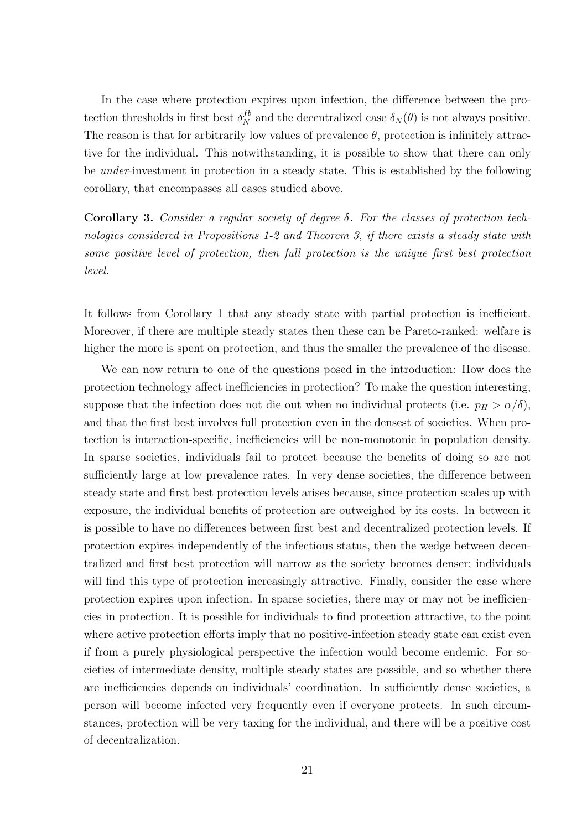In the case where protection expires upon infection, the difference between the protection thresholds in first best  $\delta_N^{fb}$  and the decentralized case  $\delta_N(\theta)$  is not always positive. The reason is that for arbitrarily low values of prevalence  $\theta$ , protection is infinitely attractive for the individual. This notwithstanding, it is possible to show that there can only be under-investment in protection in a steady state. This is established by the following corollary, that encompasses all cases studied above.

**Corollary 3.** Consider a regular society of degree  $\delta$ . For the classes of protection technologies considered in Propositions 1-2 and Theorem 3, if there exists a steady state with some positive level of protection, then full protection is the unique first best protection level.

It follows from Corollary 1 that any steady state with partial protection is inefficient. Moreover, if there are multiple steady states then these can be Pareto-ranked: welfare is higher the more is spent on protection, and thus the smaller the prevalence of the disease.

We can now return to one of the questions posed in the introduction: How does the protection technology affect inefficiencies in protection? To make the question interesting, suppose that the infection does not die out when no individual protects (i.e.  $p_H > \alpha/\delta$ ), and that the first best involves full protection even in the densest of societies. When protection is interaction-specific, inefficiencies will be non-monotonic in population density. In sparse societies, individuals fail to protect because the benefits of doing so are not sufficiently large at low prevalence rates. In very dense societies, the difference between steady state and first best protection levels arises because, since protection scales up with exposure, the individual benefits of protection are outweighed by its costs. In between it is possible to have no differences between first best and decentralized protection levels. If protection expires independently of the infectious status, then the wedge between decentralized and first best protection will narrow as the society becomes denser; individuals will find this type of protection increasingly attractive. Finally, consider the case where protection expires upon infection. In sparse societies, there may or may not be inefficiencies in protection. It is possible for individuals to find protection attractive, to the point where active protection efforts imply that no positive-infection steady state can exist even if from a purely physiological perspective the infection would become endemic. For societies of intermediate density, multiple steady states are possible, and so whether there are inefficiencies depends on individuals' coordination. In sufficiently dense societies, a person will become infected very frequently even if everyone protects. In such circumstances, protection will be very taxing for the individual, and there will be a positive cost of decentralization.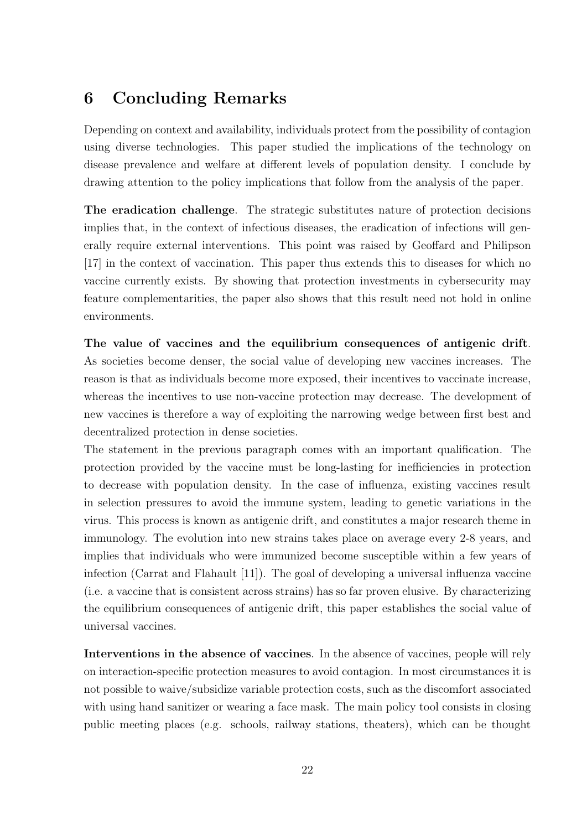### 6 Concluding Remarks

Depending on context and availability, individuals protect from the possibility of contagion using diverse technologies. This paper studied the implications of the technology on disease prevalence and welfare at different levels of population density. I conclude by drawing attention to the policy implications that follow from the analysis of the paper.

The eradication challenge. The strategic substitutes nature of protection decisions implies that, in the context of infectious diseases, the eradication of infections will generally require external interventions. This point was raised by Geoffard and Philipson [17] in the context of vaccination. This paper thus extends this to diseases for which no vaccine currently exists. By showing that protection investments in cybersecurity may feature complementarities, the paper also shows that this result need not hold in online environments.

The value of vaccines and the equilibrium consequences of antigenic drift. As societies become denser, the social value of developing new vaccines increases. The reason is that as individuals become more exposed, their incentives to vaccinate increase, whereas the incentives to use non-vaccine protection may decrease. The development of new vaccines is therefore a way of exploiting the narrowing wedge between first best and decentralized protection in dense societies.

The statement in the previous paragraph comes with an important qualification. The protection provided by the vaccine must be long-lasting for inefficiencies in protection to decrease with population density. In the case of influenza, existing vaccines result in selection pressures to avoid the immune system, leading to genetic variations in the virus. This process is known as antigenic drift, and constitutes a major research theme in immunology. The evolution into new strains takes place on average every 2-8 years, and implies that individuals who were immunized become susceptible within a few years of infection (Carrat and Flahault [11]). The goal of developing a universal influenza vaccine (i.e. a vaccine that is consistent across strains) has so far proven elusive. By characterizing the equilibrium consequences of antigenic drift, this paper establishes the social value of universal vaccines.

Interventions in the absence of vaccines. In the absence of vaccines, people will rely on interaction-specific protection measures to avoid contagion. In most circumstances it is not possible to waive/subsidize variable protection costs, such as the discomfort associated with using hand sanitizer or wearing a face mask. The main policy tool consists in closing public meeting places (e.g. schools, railway stations, theaters), which can be thought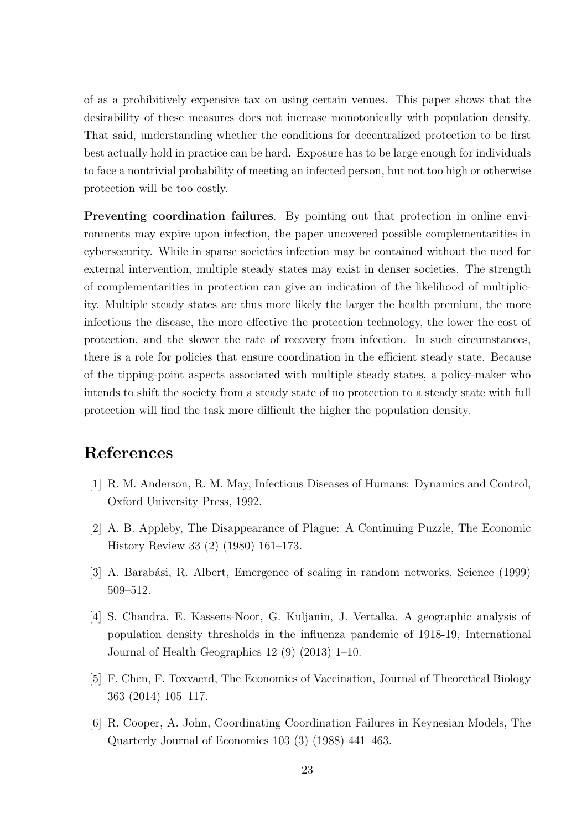of as a prohibitively expensive tax on using certain venues. This paper shows that the desirability of these measures does not increase monotonically with population density. That said, understanding whether the conditions for decentralized protection to be first best actually hold in practice can be hard. Exposure has to be large enough for individuals to face a nontrivial probability of meeting an infected person, but not too high or otherwise protection will be too costly.

Preventing coordination failures. By pointing out that protection in online environments may expire upon infection, the paper uncovered possible complementarities in cybersecurity. While in sparse societies infection may be contained without the need for external intervention, multiple steady states may exist in denser societies. The strength of complementarities in protection can give an indication of the likelihood of multiplicity. Multiple steady states are thus more likely the larger the health premium, the more infectious the disease, the more effective the protection technology, the lower the cost of protection, and the slower the rate of recovery from infection. In such circumstances, there is a role for policies that ensure coordination in the efficient steady state. Because of the tipping-point aspects associated with multiple steady states, a policy-maker who intends to shift the society from a steady state of no protection to a steady state with full protection will find the task more difficult the higher the population density.

### References

- [1] R. M. Anderson, R. M. May, Infectious Diseases of Humans: Dynamics and Control, Oxford University Press, 1992.
- [2] A. B. Appleby, The Disappearance of Plague: A Continuing Puzzle, The Economic History Review 33 (2) (1980) 161–173.
- [3] A. Barabási, R. Albert, Emergence of scaling in random networks, Science (1999) 509–512.
- [4] S. Chandra, E. Kassens-Noor, G. Kuljanin, J. Vertalka, A geographic analysis of population density thresholds in the influenza pandemic of 1918-19, International Journal of Health Geographics 12 (9) (2013) 1–10.
- [5] F. Chen, F. Toxvaerd, The Economics of Vaccination, Journal of Theoretical Biology 363 (2014) 105–117.
- [6] R. Cooper, A. John, Coordinating Coordination Failures in Keynesian Models, The Quarterly Journal of Economics 103 (3) (1988) 441–463.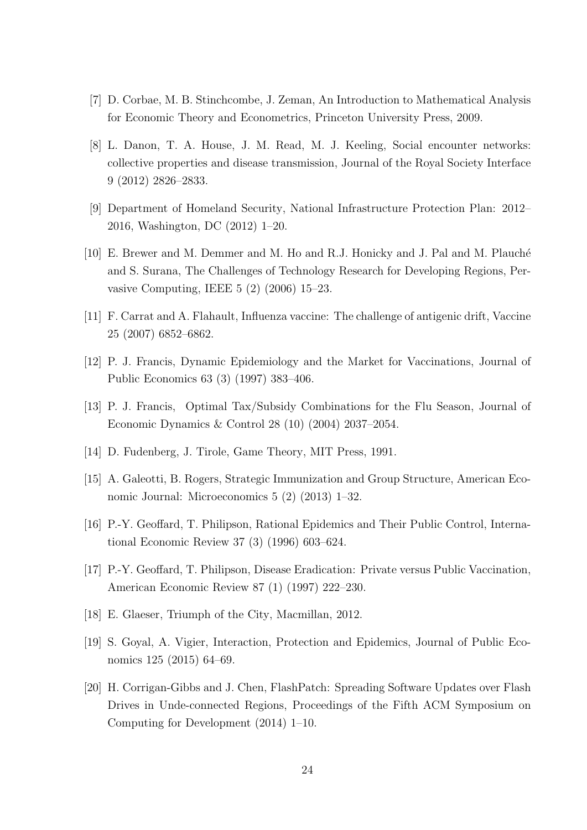- [7] D. Corbae, M. B. Stinchcombe, J. Zeman, An Introduction to Mathematical Analysis for Economic Theory and Econometrics, Princeton University Press, 2009.
- [8] L. Danon, T. A. House, J. M. Read, M. J. Keeling, Social encounter networks: collective properties and disease transmission, Journal of the Royal Society Interface 9 (2012) 2826–2833.
- [9] Department of Homeland Security, National Infrastructure Protection Plan: 2012– 2016, Washington, DC (2012) 1–20.
- [10] E. Brewer and M. Demmer and M. Ho and R.J. Honicky and J. Pal and M. Plauch´e and S. Surana, The Challenges of Technology Research for Developing Regions, Pervasive Computing, IEEE 5 (2) (2006) 15–23.
- [11] F. Carrat and A. Flahault, Influenza vaccine: The challenge of antigenic drift, Vaccine 25 (2007) 6852–6862.
- [12] P. J. Francis, Dynamic Epidemiology and the Market for Vaccinations, Journal of Public Economics 63 (3) (1997) 383–406.
- [13] P. J. Francis, Optimal Tax/Subsidy Combinations for the Flu Season, Journal of Economic Dynamics & Control 28 (10) (2004) 2037–2054.
- [14] D. Fudenberg, J. Tirole, Game Theory, MIT Press, 1991.
- [15] A. Galeotti, B. Rogers, Strategic Immunization and Group Structure, American Economic Journal: Microeconomics 5 (2) (2013) 1–32.
- [16] P.-Y. Geoffard, T. Philipson, Rational Epidemics and Their Public Control, International Economic Review 37 (3) (1996) 603–624.
- [17] P.-Y. Geoffard, T. Philipson, Disease Eradication: Private versus Public Vaccination, American Economic Review 87 (1) (1997) 222–230.
- [18] E. Glaeser, Triumph of the City, Macmillan, 2012.
- [19] S. Goyal, A. Vigier, Interaction, Protection and Epidemics, Journal of Public Economics 125 (2015) 64–69.
- [20] H. Corrigan-Gibbs and J. Chen, FlashPatch: Spreading Software Updates over Flash Drives in Unde-connected Regions, Proceedings of the Fifth ACM Symposium on Computing for Development (2014) 1–10.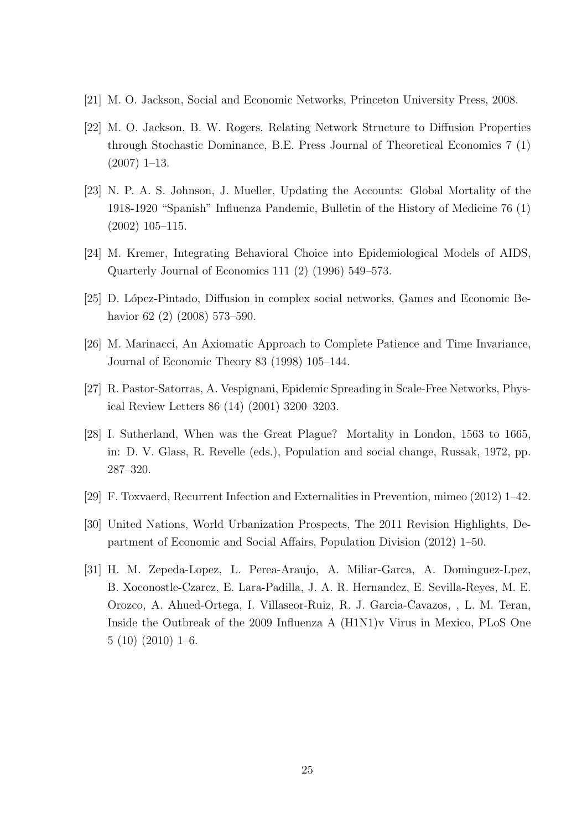- [21] M. O. Jackson, Social and Economic Networks, Princeton University Press, 2008.
- [22] M. O. Jackson, B. W. Rogers, Relating Network Structure to Diffusion Properties through Stochastic Dominance, B.E. Press Journal of Theoretical Economics 7 (1) (2007) 1–13.
- [23] N. P. A. S. Johnson, J. Mueller, Updating the Accounts: Global Mortality of the 1918-1920 "Spanish" Influenza Pandemic, Bulletin of the History of Medicine 76 (1) (2002) 105–115.
- [24] M. Kremer, Integrating Behavioral Choice into Epidemiological Models of AIDS, Quarterly Journal of Economics 111 (2) (1996) 549–573.
- [25] D. López-Pintado, Diffusion in complex social networks, Games and Economic Behavior 62 (2) (2008) 573–590.
- [26] M. Marinacci, An Axiomatic Approach to Complete Patience and Time Invariance, Journal of Economic Theory 83 (1998) 105–144.
- [27] R. Pastor-Satorras, A. Vespignani, Epidemic Spreading in Scale-Free Networks, Physical Review Letters 86 (14) (2001) 3200–3203.
- [28] I. Sutherland, When was the Great Plague? Mortality in London, 1563 to 1665, in: D. V. Glass, R. Revelle (eds.), Population and social change, Russak, 1972, pp. 287–320.
- [29] F. Toxvaerd, Recurrent Infection and Externalities in Prevention, mimeo (2012) 1–42.
- [30] United Nations, World Urbanization Prospects, The 2011 Revision Highlights, Department of Economic and Social Affairs, Population Division (2012) 1–50.
- [31] H. M. Zepeda-Lopez, L. Perea-Araujo, A. Miliar-Garca, A. Dominguez-Lpez, B. Xoconostle-Czarez, E. Lara-Padilla, J. A. R. Hernandez, E. Sevilla-Reyes, M. E. Orozco, A. Ahued-Ortega, I. Villaseor-Ruiz, R. J. Garcia-Cavazos, , L. M. Teran, Inside the Outbreak of the 2009 Influenza A (H1N1)v Virus in Mexico, PLoS One  $5(10)(2010)1-6.$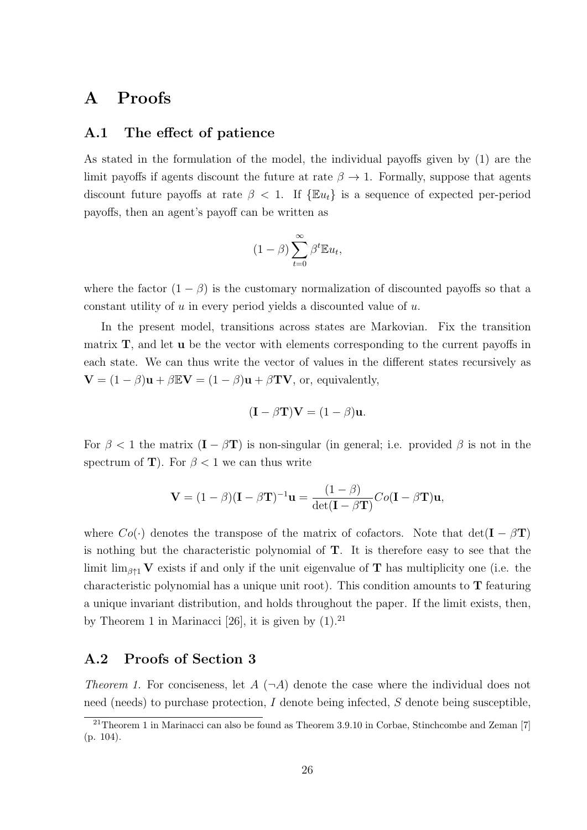### A Proofs

#### A.1 The effect of patience

As stated in the formulation of the model, the individual payoffs given by (1) are the limit payoffs if agents discount the future at rate  $\beta \to 1$ . Formally, suppose that agents discount future payoffs at rate  $\beta$  < 1. If  $\{Eu_t\}$  is a sequence of expected per-period payoffs, then an agent's payoff can be written as

$$
(1 - \beta) \sum_{t=0}^{\infty} \beta^t \mathbb{E} u_t,
$$

where the factor  $(1 - \beta)$  is the customary normalization of discounted payoffs so that a constant utility of  $u$  in every period yields a discounted value of  $u$ .

In the present model, transitions across states are Markovian. Fix the transition matrix  $\mathbf{T}$ , and let  $\mathbf{u}$  be the vector with elements corresponding to the current payoffs in each state. We can thus write the vector of values in the different states recursively as  $\mathbf{V} = (1 - \beta)\mathbf{u} + \beta \mathbb{E}\mathbf{V} = (1 - \beta)\mathbf{u} + \beta \mathbf{T}\mathbf{V}$ , or, equivalently,

$$
(\mathbf{I} - \beta \mathbf{T})\mathbf{V} = (1 - \beta)\mathbf{u}.
$$

For  $\beta < 1$  the matrix  $(I - \beta T)$  is non-singular (in general; i.e. provided  $\beta$  is not in the spectrum of **T**). For  $\beta < 1$  we can thus write

$$
\mathbf{V} = (1 - \beta)(\mathbf{I} - \beta \mathbf{T})^{-1}\mathbf{u} = \frac{(1 - \beta)}{\det(\mathbf{I} - \beta \mathbf{T})}Co(\mathbf{I} - \beta \mathbf{T})\mathbf{u},
$$

where  $Co(\cdot)$  denotes the transpose of the matrix of cofactors. Note that  $det(\mathbf{I} - \beta \mathbf{T})$ is nothing but the characteristic polynomial of  $T$ . It is therefore easy to see that the limit lim<sub>β↑1</sub> V exists if and only if the unit eigenvalue of T has multiplicity one (i.e. the characteristic polynomial has a unique unit root). This condition amounts to  $T$  featuring a unique invariant distribution, and holds throughout the paper. If the limit exists, then, by Theorem 1 in Marinacci [26], it is given by  $(1).^{21}$ 

### A.2 Proofs of Section 3

Theorem 1. For conciseness, let  $A(\neg A)$  denote the case where the individual does not need (needs) to purchase protection, I denote being infected, S denote being susceptible.

 $21$ Theorem 1 in Marinacci can also be found as Theorem 3.9.10 in Corbae, Stinchcombe and Zeman [7] (p. 104).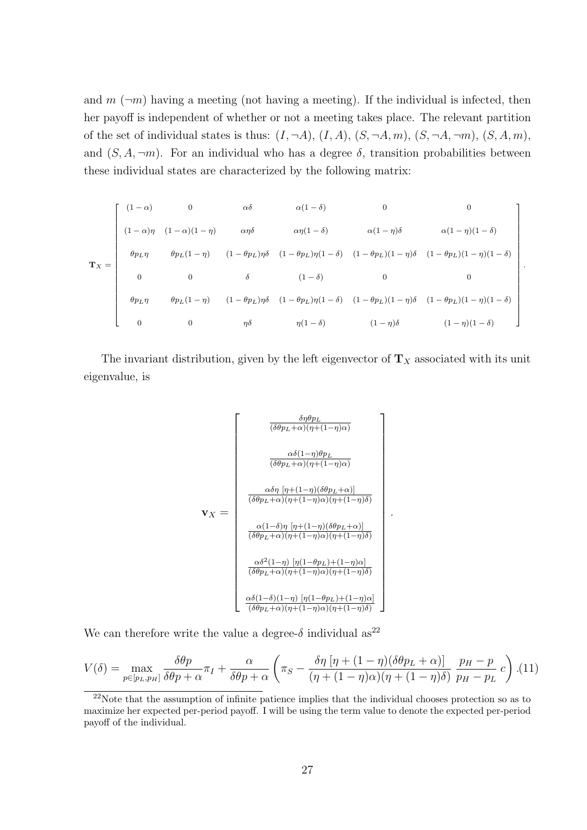and  $m(\neg m)$  having a meeting (not having a meeting). If the individual is infected, then her payoff is independent of whether or not a meeting takes place. The relevant partition of the set of individual states is thus:  $(I, \neg A)$ ,  $(I, A)$ ,  $(S, \neg A, m)$ ,  $(S, \neg A, \neg m)$ ,  $(S, A, m)$ , and  $(S, A, \neg m)$ . For an individual who has a degree  $\delta$ , transition probabilities between these individual states are characterized by the following matrix:

$$
\mathbf{T}_{X} = \begin{bmatrix}\n(1-\alpha) & 0 & \alpha\delta & \alpha(1-\delta) & 0 & 0 \\
(1-\alpha)\eta & (1-\alpha)(1-\eta) & \alpha\eta\delta & \alpha\eta(1-\delta) & \alpha(1-\eta)\delta & \alpha(1-\eta)(1-\delta) \\
\theta p_{L}\eta & \theta p_{L}(1-\eta) & (1-\theta p_{L})\eta\delta & (1-\theta p_{L})\eta(1-\delta) & (1-\theta p_{L})(1-\eta)\delta & (1-\theta p_{L})(1-\eta)(1-\delta) \\
0 & 0 & \delta & (1-\delta) & 0 & 0 \\
\theta p_{L}\eta & \theta p_{L}(1-\eta) & (1-\theta p_{L})\eta\delta & (1-\theta p_{L})\eta(1-\delta) & (1-\theta p_{L})(1-\eta)\delta & (1-\theta p_{L})(1-\eta)(1-\delta) \\
0 & 0 & \eta\delta & \eta(1-\delta) & (1-\eta)\delta & (1-\eta)(1-\delta)\n\end{bmatrix}
$$

.

The invariant distribution, given by the left eigenvector of  $T_X$  associated with its unit eigenvalue, is

$$
\mathbf{v}_X = \begin{bmatrix}\n\frac{\delta \eta \theta p_L}{(\delta \theta p_L + \alpha)(\eta + (1 - \eta)\alpha)} \\
\frac{\alpha \delta (1 - \eta) \theta p_L}{(\delta \theta p_L + \alpha)(\eta + (1 - \eta)\alpha)}\n\end{bmatrix}
$$
\n
$$
\mathbf{v}_X = \frac{\alpha \delta \eta \left[ \eta + (1 - \eta)(\delta \theta p_L + \alpha) \right]}{(\delta \theta p_L + \alpha)(\eta + (1 - \eta)\alpha)(\eta + (1 - \eta)\delta)}
$$
\n
$$
\frac{\alpha (1 - \delta)\eta \left[ \eta + (1 - \eta)(\delta \theta p_L + \alpha) \right]}{(\delta \theta p_L + \alpha)(\eta + (1 - \eta)\alpha)(\eta + (1 - \eta)\delta)}
$$
\n
$$
\frac{\alpha \delta^2 (1 - \eta) \left[ \eta (1 - \theta p_L) + (1 - \eta)\alpha \right]}{(\delta \theta p_L + \alpha)(\eta + (1 - \eta)\alpha)(\eta + (1 - \eta)\delta)}
$$
\n
$$
\frac{\alpha \delta (1 - \delta)(1 - \eta) \left[ \eta (1 - \theta p_L) + (1 - \eta)\alpha \right]}{(\delta \theta p_L + \alpha)(\eta + (1 - \eta)\alpha)(\eta + (1 - \eta)\delta)}\n\end{bmatrix}
$$

.

We can therefore write the value a degree- $\delta$  individual as<sup>22</sup>

$$
V(\delta) = \max_{p \in [p_L, p_H]} \frac{\delta \theta p}{\delta \theta p + \alpha} \pi_I + \frac{\alpha}{\delta \theta p + \alpha} \left( \pi_S - \frac{\delta \eta \left[ \eta + (1 - \eta)(\delta \theta p_L + \alpha) \right]}{(\eta + (1 - \eta)\alpha)(\eta + (1 - \eta)\delta)} \frac{p_H - p}{p_H - p_L} c \right). (11)
$$

<sup>&</sup>lt;sup>22</sup>Note that the assumption of infinite patience implies that the individual chooses protection so as to maximize her expected per-period payoff. I will be using the term value to denote the expected per-period payoff of the individual.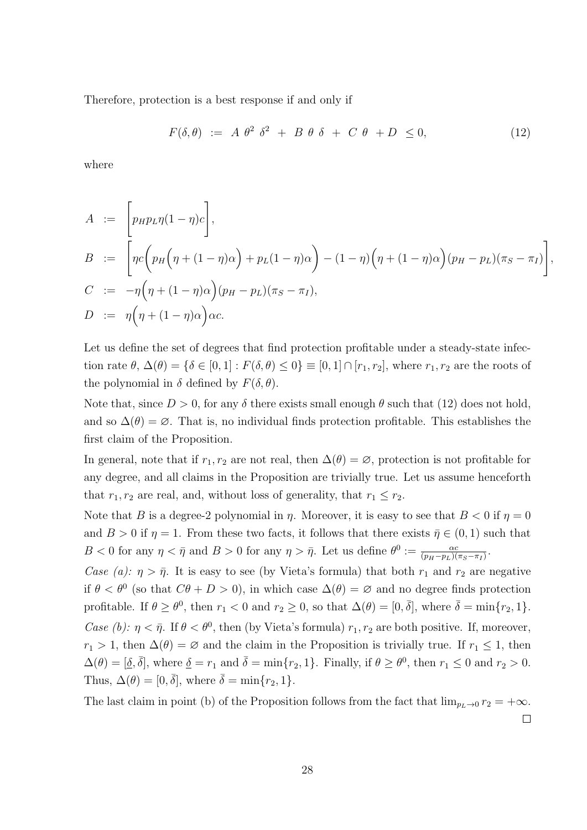Therefore, protection is a best response if and only if

$$
F(\delta,\theta) := A \theta^2 \delta^2 + B \theta \delta + C \theta + D \le 0, \tag{12}
$$

where

$$
A := \left[ p_H p_L \eta (1 - \eta) c \right],
$$
  
\n
$$
B := \left[ \eta c \left( p_H \left( \eta + (1 - \eta) \alpha \right) + p_L (1 - \eta) \alpha \right) - (1 - \eta) \left( \eta + (1 - \eta) \alpha \right) (p_H - p_L) (\pi_S - \pi_I) \right],
$$
  
\n
$$
C := -\eta \left( \eta + (1 - \eta) \alpha \right) (p_H - p_L) (\pi_S - \pi_I),
$$
  
\n
$$
D := \eta \left( \eta + (1 - \eta) \alpha \right) \alpha c.
$$

Let us define the set of degrees that find protection profitable under a steady-state infection rate  $\theta$ ,  $\Delta(\theta) = {\delta \in [0,1]: F(\delta, \theta) \leq 0} \equiv [0,1] \cap [r_1, r_2]$ , where  $r_1, r_2$  are the roots of the polynomial in  $\delta$  defined by  $F(\delta, \theta)$ .

Note that, since  $D > 0$ , for any  $\delta$  there exists small enough  $\theta$  such that (12) does not hold, and so  $\Delta(\theta) = \emptyset$ . That is, no individual finds protection profitable. This establishes the first claim of the Proposition.

In general, note that if  $r_1, r_2$  are not real, then  $\Delta(\theta) = \emptyset$ , protection is not profitable for any degree, and all claims in the Proposition are trivially true. Let us assume henceforth that  $r_1, r_2$  are real, and, without loss of generality, that  $r_1 \leq r_2$ .

Note that B is a degree-2 polynomial in  $\eta$ . Moreover, it is easy to see that  $B < 0$  if  $\eta = 0$ and  $B > 0$  if  $\eta = 1$ . From these two facts, it follows that there exists  $\bar{\eta} \in (0, 1)$  such that  $B < 0$  for any  $\eta < \bar{\eta}$  and  $B > 0$  for any  $\eta > \bar{\eta}$ . Let us define  $\theta^0 := \frac{\alpha c}{(p_H - p_L)(\pi_S - \pi_I)}$ .

Case (a):  $\eta > \bar{\eta}$ . It is easy to see (by Vieta's formula) that both  $r_1$  and  $r_2$  are negative if  $\theta < \theta^0$  (so that  $C\theta + D > 0$ ), in which case  $\Delta(\theta) = \emptyset$  and no degree finds protection profitable. If  $\theta \geq \theta^0$ , then  $r_1 < 0$  and  $r_2 \geq 0$ , so that  $\Delta(\theta) = [0, \overline{\delta}]$ , where  $\overline{\delta} = \min\{r_2, 1\}$ . Case (b):  $\eta < \bar{\eta}$ . If  $\theta < \theta^0$ , then (by Vieta's formula)  $r_1, r_2$  are both positive. If, moreover,  $r_1 > 1$ , then  $\Delta(\theta) = \emptyset$  and the claim in the Proposition is trivially true. If  $r_1 \leq 1$ , then  $\Delta(\theta) = [\underline{\delta}, \overline{\delta}]$ , where  $\underline{\delta} = r_1$  and  $\overline{\delta} = \min\{r_2, 1\}$ . Finally, if  $\theta \geq \theta^0$ , then  $r_1 \leq 0$  and  $r_2 > 0$ . Thus,  $\Delta(\theta) = [0, \bar{\delta}],$  where  $\bar{\delta} = \min\{r_2, 1\}.$ 

The last claim in point (b) of the Proposition follows from the fact that  $\lim_{p_L \to 0} r_2 = +\infty$ .  $\Box$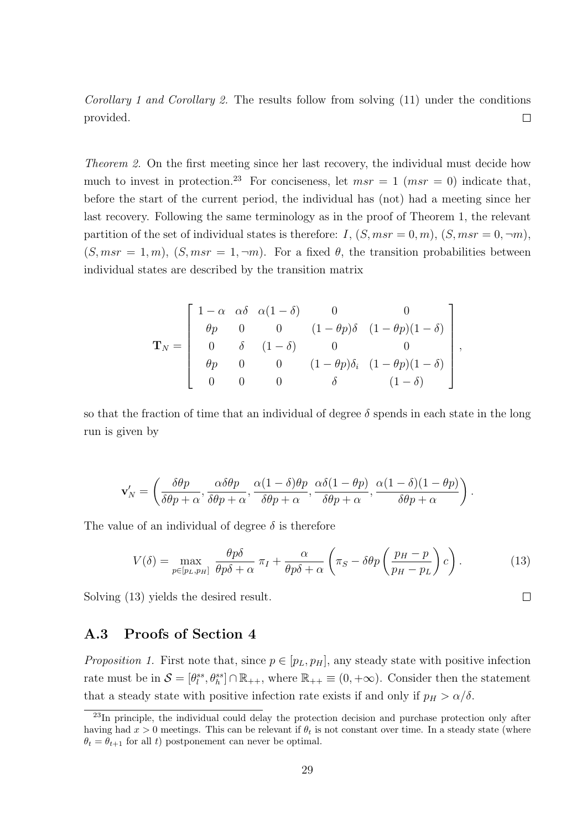Corollary 1 and Corollary 2. The results follow from solving (11) under the conditions provided.  $\Box$ 

Theorem 2. On the first meeting since her last recovery, the individual must decide how much to invest in protection.<sup>23</sup> For conciseness, let  $msr = 1$  ( $msr = 0$ ) indicate that, before the start of the current period, the individual has (not) had a meeting since her last recovery. Following the same terminology as in the proof of Theorem 1, the relevant partition of the set of individual states is therefore: I,  $(S, msr = 0, m)$ ,  $(S, msr = 0, \neg m)$ ,  $(S, msr = 1, m)$ ,  $(S, msr = 1, \neg m)$ . For a fixed  $\theta$ , the transition probabilities between individual states are described by the transition matrix

$$
\mathbf{T}_N = \begin{bmatrix} 1 - \alpha & \alpha\delta & \alpha(1 - \delta) & 0 & 0 \\ \theta p & 0 & 0 & (1 - \theta p)\delta & (1 - \theta p)(1 - \delta) \\ 0 & \delta & (1 - \delta) & 0 & 0 \\ \theta p & 0 & 0 & (1 - \theta p)\delta_i & (1 - \theta p)(1 - \delta) \\ 0 & 0 & 0 & \delta & (1 - \delta) \end{bmatrix},
$$

so that the fraction of time that an individual of degree  $\delta$  spends in each state in the long run is given by

$$
\mathbf{v}'_N = \left(\frac{\delta\theta p}{\delta\theta p + \alpha}, \frac{\alpha\delta\theta p}{\delta\theta p + \alpha}, \frac{\alpha(1-\delta)\theta p}{\delta\theta p + \alpha}, \frac{\alpha\delta(1-\theta p)}{\delta\theta p + \alpha}, \frac{\alpha(1-\delta)(1-\theta p)}{\delta\theta p + \alpha}\right).
$$

The value of an individual of degree  $\delta$  is therefore

$$
V(\delta) = \max_{p \in [p_L, p_H]} \frac{\theta p \delta}{\theta p \delta + \alpha} \pi_I + \frac{\alpha}{\theta p \delta + \alpha} \left( \pi_S - \delta \theta p \left( \frac{p_H - p}{p_H - p_L} \right) c \right). \tag{13}
$$

Solving (13) yields the desired result.

### A.3 Proofs of Section 4

*Proposition 1.* First note that, since  $p \in [p_L, p_H]$ , any steady state with positive infection rate must be in  $S = [\theta_i^{ss}, \theta_h^{ss}] \cap \mathbb{R}_{++}$ , where  $\mathbb{R}_{++} \equiv (0, +\infty)$ . Consider then the statement that a steady state with positive infection rate exists if and only if  $p_H > \alpha/\delta$ .

 $\Box$ 

<sup>23</sup>In principle, the individual could delay the protection decision and purchase protection only after having had  $x > 0$  meetings. This can be relevant if  $\theta_t$  is not constant over time. In a steady state (where  $\theta_t = \theta_{t+1}$  for all t) postponement can never be optimal.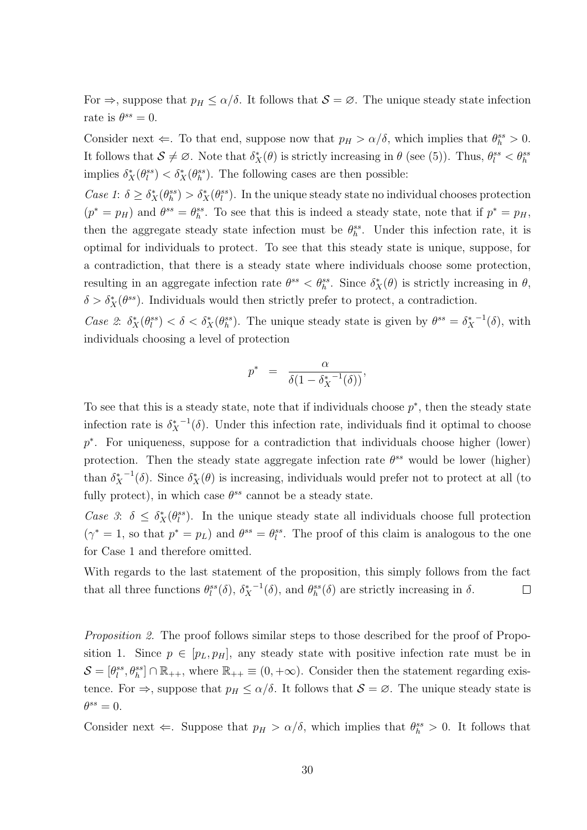For  $\Rightarrow$ , suppose that  $p_H \le \alpha/\delta$ . It follows that  $S = \emptyset$ . The unique steady state infection rate is  $\theta^{ss} = 0$ .

Consider next  $\Leftarrow$ . To that end, suppose now that  $p_H > \alpha/\delta$ , which implies that  $\theta_h^{ss} > 0$ . It follows that  $S \neq \emptyset$ . Note that  $\delta_X^*(\theta)$  is strictly increasing in  $\theta$  (see (5)). Thus,  $\theta_l^{ss} < \theta_h^{ss}$ implies  $\delta_X^*(\theta_l^{ss}) < \delta_X^*(\theta_h^{ss})$ . The following cases are then possible:

Case 1:  $\delta \geq \delta_X^*(\theta_h^{ss}) > \delta_X^*(\theta_l^{ss})$ . In the unique steady state no individual chooses protection  $(p^* = p_H)$  and  $\theta^{ss} = \theta_h^{ss}$ . To see that this is indeed a steady state, note that if  $p^* = p_H$ , then the aggregate steady state infection must be  $\theta_h^{ss}$ . Under this infection rate, it is optimal for individuals to protect. To see that this steady state is unique, suppose, for a contradiction, that there is a steady state where individuals choose some protection, resulting in an aggregate infection rate  $\theta^{ss} < \theta_h^{ss}$ . Since  $\delta_X^*(\theta)$  is strictly increasing in  $\theta$ ,  $\delta > \delta_X^*(\theta^{ss})$ . Individuals would then strictly prefer to protect, a contradiction.

Case 2:  $\delta_X^*(\theta_i^{ss}) < \delta < \delta_X^*(\theta_i^{ss})$ . The unique steady state is given by  $\theta^{ss} = \delta_X^*$  $^{-1}(\delta)$ , with individuals choosing a level of protection

$$
p^* = \frac{\alpha}{\delta(1 - \delta_X^{*-1}(\delta))},
$$

To see that this is a steady state, note that if individuals choose  $p^*$ , then the steady state infection rate is  $\delta_X^*$  $\lambda^{-1}(\delta)$ . Under this infection rate, individuals find it optimal to choose p<sup>\*</sup>. For uniqueness, suppose for a contradiction that individuals choose higher (lower) protection. Then the steady state aggregate infection rate  $\theta^{ss}$  would be lower (higher) than  $\delta_X^*$ <sup>-1</sup>(δ). Since  $\delta_X^*(\theta)$  is increasing, individuals would prefer not to protect at all (to fully protect), in which case  $\theta^{ss}$  cannot be a steady state.

Case 3:  $\delta \leq \delta_X^*(\theta_l^{ss})$ . In the unique steady state all individuals choose full protection  $(\gamma^* = 1, \text{ so that } p^* = p_L)$  and  $\theta^{ss} = \theta^{ss}_l$ . The proof of this claim is analogous to the one for Case 1 and therefore omitted.

With regards to the last statement of the proposition, this simply follows from the fact <sup>-1</sup>(δ), and  $\theta_h^{ss}(\delta)$  are strictly increasing in δ. that all three functions  $\theta_l^{ss}(\delta)$ ,  $\delta_X^*$  $\Box$ 

Proposition 2. The proof follows similar steps to those described for the proof of Proposition 1. Since  $p \in [p_L, p_H]$ , any steady state with positive infection rate must be in  $\mathcal{S} = [\theta_l^{ss}, \theta_h^{ss}] \cap \mathbb{R}_{++}$ , where  $\mathbb{R}_{++} \equiv (0, +\infty)$ . Consider then the statement regarding existence. For  $\Rightarrow$ , suppose that  $p_H \le \alpha/\delta$ . It follows that  $\mathcal{S} = \emptyset$ . The unique steady state is  $\theta^{ss}=0.$ 

Consider next  $\Leftarrow$ . Suppose that  $p_H > \alpha/\delta$ , which implies that  $\theta_h^{ss} > 0$ . It follows that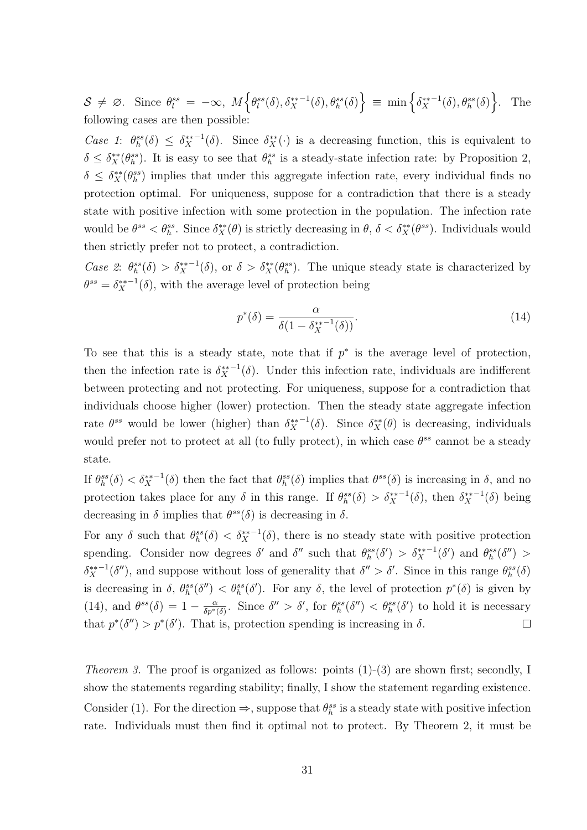$S \neq \emptyset$ . Since  $\theta_l^{ss} = -\infty$ ,  $M\Big\{\theta_l^{ss}(\delta), \delta_X^{**}$  $\left\{ \sigma^{1}(\delta),\theta_{h}^{ss}(\delta)\right\} \equiv\ \min\left\{ \delta_{X}^{**}\right\}$  $\left\{ \begin{matrix} -1(\delta), \theta_h^{ss}(\delta) \end{matrix} \right\}$ . The following cases are then possible:

Case 1:  $\theta_h^{ss}(\delta) \leq \delta_X^{**}$ <sup>-1</sup>(δ). Since  $\delta_X^{**}(\cdot)$  is a decreasing function, this is equivalent to  $\delta \leq \delta_X^{**}(\theta_h^{ss})$ . It is easy to see that  $\theta_h^{ss}$  is a steady-state infection rate: by Proposition 2,  $\delta \leq \delta_X^{**}(\theta_h^{ss})$  implies that under this aggregate infection rate, every individual finds no protection optimal. For uniqueness, suppose for a contradiction that there is a steady state with positive infection with some protection in the population. The infection rate would be  $\theta^{ss} < \theta_h^{ss}$ . Since  $\delta_X^{**}(\theta)$  is strictly decreasing in  $\theta$ ,  $\delta < \delta_X^{**}(\theta^{ss})$ . Individuals would then strictly prefer not to protect, a contradiction.

Case 2:  $\theta_h^{ss}(\delta) > \delta_X^{**}$ <sup>-1</sup>(δ), or  $\delta > \delta_X^{**}(\theta_h^{ss})$ . The unique steady state is characterized by  $\theta^{ss} = \delta^{**}_X$  $^{-1}(\delta)$ , with the average level of protection being

$$
p^*(\delta) = \frac{\alpha}{\delta(1 - \delta_X^{**^{-1}}(\delta))}.
$$
\n(14)

To see that this is a steady state, note that if  $p^*$  is the average level of protection, then the infection rate is  $\delta_X^{**}$  $\overline{a}^{-1}(\delta)$ . Under this infection rate, individuals are indifferent between protecting and not protecting. For uniqueness, suppose for a contradiction that individuals choose higher (lower) protection. Then the steady state aggregate infection rate  $\theta^{ss}$  would be lower (higher) than  $\delta_X^{**}$ <sup>-1</sup>(δ). Since  $\delta_X^{**}(\theta)$  is decreasing, individuals would prefer not to protect at all (to fully protect), in which case  $\theta^{ss}$  cannot be a steady state.

If  $\theta_h^{ss}(\delta) < \delta_X^{**}$ <sup>-1</sup>(δ) then the fact that  $\theta_h^{ss}(\delta)$  implies that  $\theta_s^{ss}(\delta)$  is increasing in δ, and no protection takes place for any  $\delta$  in this range. If  $\theta_h^{ss}(\delta) > \delta_X^{**}$ <sup>-1</sup>( $\delta$ ), then  $\delta_X^{**}$  $^{-1}(\delta)$  being decreasing in  $\delta$  implies that  $\theta^{ss}(\delta)$  is decreasing in  $\delta$ .

 $\lambda^{-1}(\delta)$ , there is no steady state with positive protection For any  $\delta$  such that  $\theta_h^{ss}(\delta) < \delta_X^{**}$ spending. Consider now degrees  $\delta'$  and  $\delta''$  such that  $\theta_h^{ss}(\delta') > \delta_X^{**}$ <sup>-1</sup>( $\delta'$ ) and  $\theta_h^{ss}(\delta'')$  > <sup>-1</sup>( $\delta''$ ), and suppose without loss of generality that  $\delta'' > \delta'$ . Since in this range  $\theta_h^{ss}(\delta)$  $\delta_X^{**}$ is decreasing in  $\delta$ ,  $\theta_h^{ss}(\delta'') < \theta_h^{ss}(\delta')$ . For any  $\delta$ , the level of protection  $p^*(\delta)$  is given by (14), and  $\theta^{ss}(\delta) = 1 - \frac{\alpha}{\delta n^{*}}$  $\frac{\alpha}{\delta p^*(\delta)}$ . Since  $\delta'' > \delta'$ , for  $\theta_h^{ss}(\delta'') < \theta_h^{ss}(\delta')$  to hold it is necessary that  $p^*(\delta'') > p^*(\delta')$ . That is, protection spending is increasing in  $\delta$ .  $\Box$ 

*Theorem 3.* The proof is organized as follows: points  $(1)-(3)$  are shown first; secondly, I show the statements regarding stability; finally, I show the statement regarding existence. Consider (1). For the direction  $\Rightarrow$ , suppose that  $\theta_h^{ss}$  is a steady state with positive infection rate. Individuals must then find it optimal not to protect. By Theorem 2, it must be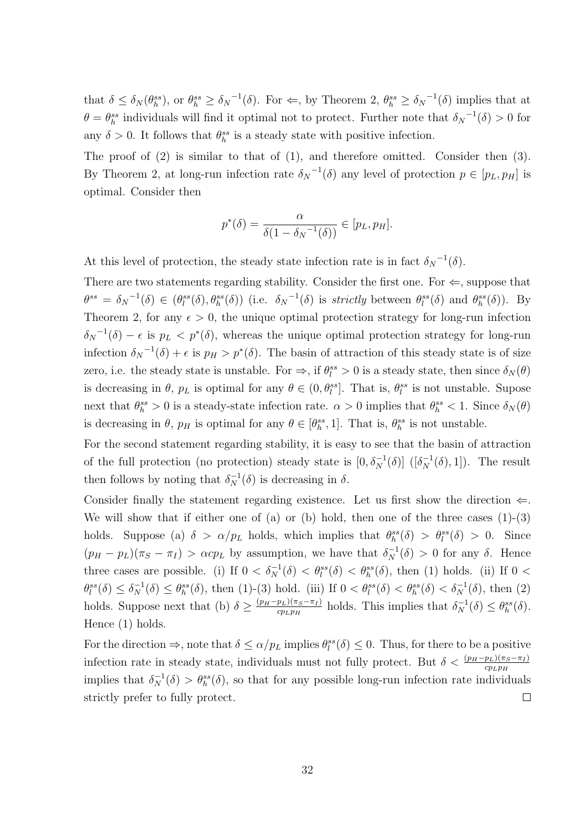that  $\delta \leq \delta_N(\theta_h^{ss})$ , or  $\theta_h^{ss} \geq \delta_N^{-1}(\delta)$ . For  $\Leftarrow$ , by Theorem 2,  $\theta_h^{ss} \geq \delta_N^{-1}(\delta)$  implies that at  $\theta = \theta_h^{ss}$  individuals will find it optimal not to protect. Further note that  $\delta_N^{-1}(\delta) > 0$  for any  $\delta > 0$ . It follows that  $\theta_h^{ss}$  is a steady state with positive infection.

The proof of (2) is similar to that of (1), and therefore omitted. Consider then (3). By Theorem 2, at long-run infection rate  $\delta_N^{-1}(\delta)$  any level of protection  $p \in [p_L, p_H]$  is optimal. Consider then

$$
p^*(\delta) = \frac{\alpha}{\delta(1 - {\delta_N}^{-1}(\delta))} \in [p_L, p_H].
$$

At this level of protection, the steady state infection rate is in fact  $\delta_N^{-1}(\delta)$ .

There are two statements regarding stability. Consider the first one. For  $\Leftarrow$ , suppose that  $\theta^{ss} = \delta_N^{-1}(\delta) \in (\theta^{ss}_l(\delta), \theta^{ss}_h(\delta))$  (i.e.  $\delta_N^{-1}(\delta)$  is *strictly* between  $\theta^{ss}_l(\delta)$  and  $\theta^{ss}_h(\delta)$ ). By Theorem 2, for any  $\epsilon > 0$ , the unique optimal protection strategy for long-run infection  $\delta_N^{-1}(\delta) - \epsilon$  is  $p_L < p^*(\delta)$ , whereas the unique optimal protection strategy for long-run infection  $\delta_N^{-1}(\delta) + \epsilon$  is  $p_H > p^*(\delta)$ . The basin of attraction of this steady state is of size zero, i.e. the steady state is unstable. For  $\Rightarrow$ , if  $\theta_l^{ss} > 0$  is a steady state, then since  $\delta_N(\theta)$ is decreasing in  $\theta$ ,  $p_L$  is optimal for any  $\theta \in (0, \theta_l^{ss}]$ . That is,  $\theta_l^{ss}$  is not unstable. Supose next that  $\theta_h^{ss} > 0$  is a steady-state infection rate.  $\alpha > 0$  implies that  $\theta_h^{ss} < 1$ . Since  $\delta_N(\theta)$ is decreasing in  $\theta$ ,  $p_H$  is optimal for any  $\theta \in [\theta_h^{ss}, 1]$ . That is,  $\theta_h^{ss}$  is not unstable.

For the second statement regarding stability, it is easy to see that the basin of attraction of the full protection (no protection) steady state is  $[0, \delta_N^{-1}(\delta)]$   $([\delta_N^{-1}(\delta), 1])$ . The result then follows by noting that  $\delta_N^{-1}(\delta)$  is decreasing in  $\delta$ .

Consider finally the statement regarding existence. Let us first show the direction  $\Leftarrow$ . We will show that if either one of (a) or (b) hold, then one of the three cases  $(1)-(3)$ holds. Suppose (a)  $\delta > \alpha/p_L$  holds, which implies that  $\theta_h^{ss}(\delta) > \theta_l^{ss}(\delta) > 0$ . Since  $(p_H - p_L)(\pi_S - \pi_I) > \alpha c p_L$  by assumption, we have that  $\delta_N^{-1}(\delta) > 0$  for any  $\delta$ . Hence three cases are possible. (i) If  $0 < \delta_N^{-1}(\delta) < \theta_l^{ss}(\delta) < \theta_h^{ss}(\delta)$ , then (1) holds. (ii) If  $0 <$  $\theta_l^{ss}(\delta) \leq \delta_N^{-1}(\delta) \leq \theta_l^{ss}(\delta)$ , then (1)-(3) hold. (iii) If  $0 < \theta_l^{ss}(\delta) < \theta_l^{ss}(\delta) < \delta_N^{-1}(\delta)$ , then (2) holds. Suppose next that (b)  $\delta \geq \frac{(p_H-p_L)(\pi_S-\pi_I)}{cn_1m_L}$  $\frac{p_L}{(p_L p_H)}$  holds. This implies that  $\delta_N^{-1}(\delta) \leq \theta_h^{ss}(\delta)$ . Hence (1) holds.

For the direction  $\Rightarrow$ , note that  $\delta \le \alpha/p_L$  implies  $\theta_l^{ss}(\delta) \le 0$ . Thus, for there to be a positive infection rate in steady state, individuals must not fully protect. But  $\delta < \frac{(p_H - p_L)(\pi_S - \pi_I)}{cp_L p_H}$ implies that  $\delta_N^{-1}(\delta) > \theta_h^{ss}(\delta)$ , so that for any possible long-run infection rate individuals strictly prefer to fully protect.  $\Box$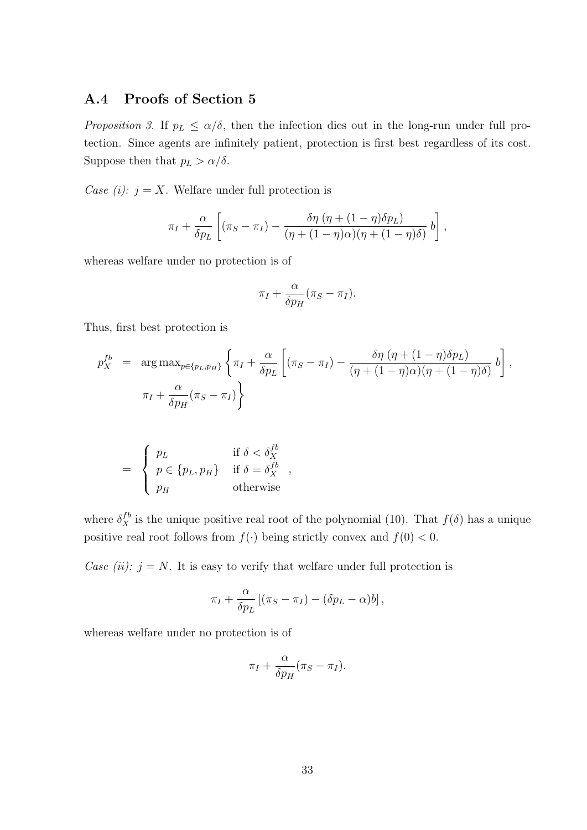### A.4 Proofs of Section 5

Proposition 3. If  $p_L \le \alpha/\delta$ , then the infection dies out in the long-run under full protection. Since agents are infinitely patient, protection is first best regardless of its cost. Suppose then that  $p_L > \alpha/\delta$ .

Case (i):  $j = X$ . Welfare under full protection is

$$
\pi_I + \frac{\alpha}{\delta p_L} \left[ (\pi_S - \pi_I) - \frac{\delta \eta (\eta + (1 - \eta) \delta p_L)}{(\eta + (1 - \eta)\alpha)(\eta + (1 - \eta)\delta)} b \right],
$$

whereas welfare under no protection is of

$$
\pi_I + \frac{\alpha}{\delta p_H} (\pi_S - \pi_I).
$$

Thus, first best protection is

$$
p_X^{fb} = \arg \max_{p \in \{p_L, p_H\}} \left\{ \pi_I + \frac{\alpha}{\delta p_L} \left[ (\pi_S - \pi_I) - \frac{\delta \eta (\eta + (1 - \eta)\delta p_L)}{(\eta + (1 - \eta)\alpha)(\eta + (1 - \eta)\delta)} b \right],
$$
  

$$
\pi_I + \frac{\alpha}{\delta p_H} (\pi_S - \pi_I) \right\}
$$

$$
= \begin{cases} p_L & \text{if } \delta < \delta_X^{fb} \\ p \in \{p_L, p_H\} & \text{if } \delta = \delta_X^{fb} \\ p_H & \text{otherwise} \end{cases}
$$

where  $\delta_X^{fb}$  is the unique positive real root of the polynomial (10). That  $f(\delta)$  has a unique positive real root follows from  $f(\cdot)$  being strictly convex and  $f(0) < 0$ .

Case (ii):  $j = N$ . It is easy to verify that welfare under full protection is

$$
\pi_I + \frac{\alpha}{\delta p_L} \left[ (\pi_S - \pi_I) - (\delta p_L - \alpha) b \right],
$$

whereas welfare under no protection is of

$$
\pi_I + \frac{\alpha}{\delta p_H} (\pi_S - \pi_I).
$$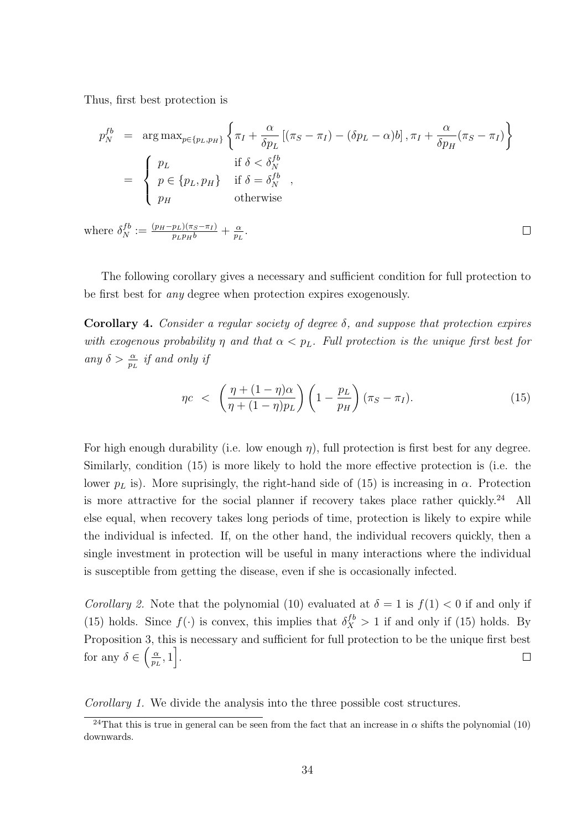Thus, first best protection is

$$
p_N^{fb} = \arg \max_{p \in \{p_L, p_H\}} \left\{ \pi_I + \frac{\alpha}{\delta p_L} \left[ (\pi_S - \pi_I) - (\delta p_L - \alpha) b \right], \pi_I + \frac{\alpha}{\delta p_H} (\pi_S - \pi_I) \right\}
$$
  

$$
= \begin{cases} p_L & \text{if } \delta < \delta_N^{fb} \\ p \in \{p_L, p_H\} & \text{if } \delta = \delta_N^{fb} \\ p_H & \text{otherwise} \end{cases}
$$

where  $\delta_N^{fb} := \frac{(p_H - p_L)(\pi_S - \pi_I)}{p_L p_H b} + \frac{\alpha}{p_I}$  $\frac{\alpha}{p_L}$ .

 $\Box$ 

The following corollary gives a necessary and sufficient condition for full protection to be first best for any degree when protection expires exogenously.

Corollary 4. Consider a regular society of degree  $\delta$ , and suppose that protection expires with exogenous probability  $\eta$  and that  $\alpha < p_L$ . Full protection is the unique first best for any  $\delta > \frac{\alpha}{p_L}$  if and only if

$$
\eta c \ < \ \left(\frac{\eta + (1 - \eta)\alpha}{\eta + (1 - \eta)p_L}\right) \left(1 - \frac{p_L}{p_H}\right) (\pi_S - \pi_I). \tag{15}
$$

For high enough durability (i.e. low enough  $\eta$ ), full protection is first best for any degree. Similarly, condition (15) is more likely to hold the more effective protection is (i.e. the lower  $p<sub>L</sub>$  is). More suprisingly, the right-hand side of (15) is increasing in  $\alpha$ . Protection is more attractive for the social planner if recovery takes place rather quickly.<sup>24</sup> All else equal, when recovery takes long periods of time, protection is likely to expire while the individual is infected. If, on the other hand, the individual recovers quickly, then a single investment in protection will be useful in many interactions where the individual is susceptible from getting the disease, even if she is occasionally infected.

Corollary 2. Note that the polynomial (10) evaluated at  $\delta = 1$  is  $f(1) < 0$  if and only if (15) holds. Since  $f(\cdot)$  is convex, this implies that  $\delta_X^{fb} > 1$  if and only if (15) holds. By Proposition 3, this is necessary and sufficient for full protection to be the unique first best for any  $\delta \in \left(\frac{\alpha}{n}\right)$  $\frac{\alpha}{p_L}, 1$ .  $\Box$ 

Corollary 1. We divide the analysis into the three possible cost structures.

<sup>&</sup>lt;sup>24</sup>That this is true in general can be seen from the fact that an increase in  $\alpha$  shifts the polynomial (10) downwards.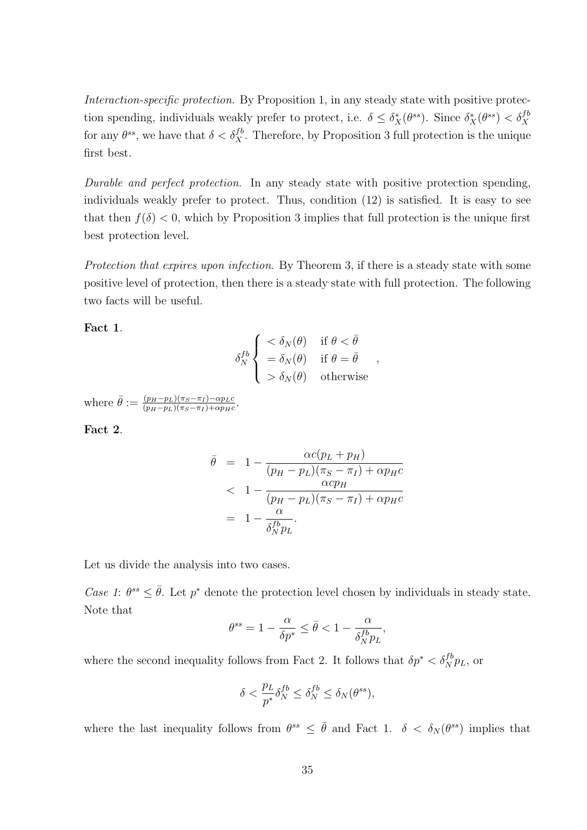Interaction-specific protection. By Proposition 1, in any steady state with positive protection spending, individuals weakly prefer to protect, i.e.  $\delta \leq \delta_X^*(\theta^{ss})$ . Since  $\delta_X^*(\theta^{ss}) < \delta_X^{fb}$ for any  $\theta^{ss}$ , we have that  $\delta < \delta_X^{fb}$ . Therefore, by Proposition 3 full protection is the unique first best.

Durable and perfect protection. In any steady state with positive protection spending, individuals weakly prefer to protect. Thus, condition (12) is satisfied. It is easy to see that then  $f(\delta) < 0$ , which by Proposition 3 implies that full protection is the unique first best protection level.

Protection that expires upon infection. By Theorem 3, if there is a steady state with some positive level of protection, then there is a steady state with full protection. The following two facts will be useful.

Fact 1.

$$
\delta_N^{fb} \begin{cases}\n< \delta_N(\theta) \quad \text{if } \theta < \bar{\theta} \\
> \delta_N(\theta) \quad \text{if } \theta = \bar{\theta} \\
> \delta_N(\theta) \quad \text{otherwise}\n\end{cases}
$$

where  $\bar{\theta} := \frac{(p_H - p_L)(\pi_S - \pi_I) - \alpha p_L c}{(p_H - p_L)(\pi_S - \pi_I) + \alpha p_H c}$  $\frac{(p_H-p_L)(\pi_S-\pi_I)-\alpha p_L c}{(p_H-p_L)(\pi_S-\pi_I)+\alpha p_H c}.$ 

Fact 2.

$$
\bar{\theta} = 1 - \frac{\alpha c (p_L + p_H)}{(p_H - p_L)(\pi_S - \pi_I) + \alpha p_H c}
$$
  
< 1 - \frac{\alpha c p\_H}{(p\_H - p\_L)(\pi\_S - \pi\_I) + \alpha p\_H c}  

$$
= 1 - \frac{\alpha}{\delta_N^{\{b\}} p_L}.
$$

Let us divide the analysis into two cases.

Case 1:  $\theta^{ss} \leq \bar{\theta}$ . Let  $p^*$  denote the protection level chosen by individuals in steady state. Note that

$$
\theta^{ss} = 1 - \frac{\alpha}{\delta p^*} \le \bar{\theta} < 1 - \frac{\alpha}{\delta_N^{fb} p_L},
$$

where the second inequality follows from Fact 2. It follows that  $\delta p^* < \delta_N^{fb} p_L$ , or

$$
\delta < \frac{p_L}{p^*} \delta_N^{fb} \le \delta_N^{fb} \le \delta_N(\theta^{ss}),
$$

where the last inequality follows from  $\theta^{ss} \leq \bar{\theta}$  and Fact 1.  $\delta < \delta_N(\theta^{ss})$  implies that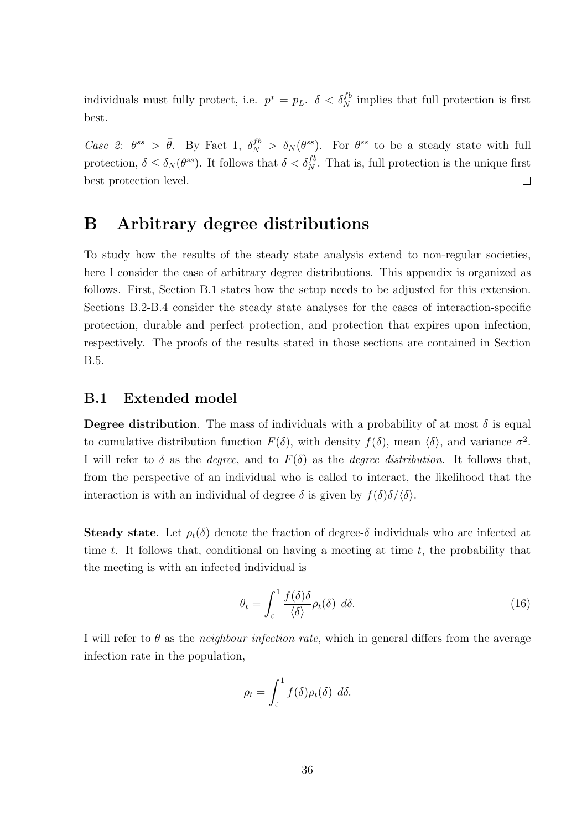individuals must fully protect, i.e.  $p^* = p_L$ .  $\delta < \delta_N^{fb}$  implies that full protection is first best.

Case 2:  $\theta^{ss} > \bar{\theta}$ . By Fact 1,  $\delta_N^{fb} > \delta_N(\theta^{ss})$ . For  $\theta^{ss}$  to be a steady state with full protection,  $\delta \leq \delta_N(\theta^{ss})$ . It follows that  $\delta < \delta_N^{fb}$ . That is, full protection is the unique first  $\Box$ best protection level.

### B Arbitrary degree distributions

To study how the results of the steady state analysis extend to non-regular societies, here I consider the case of arbitrary degree distributions. This appendix is organized as follows. First, Section B.1 states how the setup needs to be adjusted for this extension. Sections B.2-B.4 consider the steady state analyses for the cases of interaction-specific protection, durable and perfect protection, and protection that expires upon infection, respectively. The proofs of the results stated in those sections are contained in Section B.5.

### B.1 Extended model

**Degree distribution**. The mass of individuals with a probability of at most  $\delta$  is equal to cumulative distribution function  $F(\delta)$ , with density  $f(\delta)$ , mean  $\langle \delta \rangle$ , and variance  $\sigma^2$ . I will refer to  $\delta$  as the *degree*, and to  $F(\delta)$  as the *degree distribution*. It follows that, from the perspective of an individual who is called to interact, the likelihood that the interaction is with an individual of degree  $\delta$  is given by  $f(\delta)\delta/\langle\delta\rangle$ .

**Steady state.** Let  $\rho_t(\delta)$  denote the fraction of degree- $\delta$  individuals who are infected at time t. It follows that, conditional on having a meeting at time t, the probability that the meeting is with an infected individual is

$$
\theta_t = \int_{\varepsilon}^1 \frac{f(\delta)\delta}{\langle \delta \rangle} \rho_t(\delta) \, d\delta. \tag{16}
$$

I will refer to  $\theta$  as the *neighbour infection rate*, which in general differs from the average infection rate in the population,

$$
\rho_t = \int_{\varepsilon}^1 f(\delta) \rho_t(\delta) \ d\delta.
$$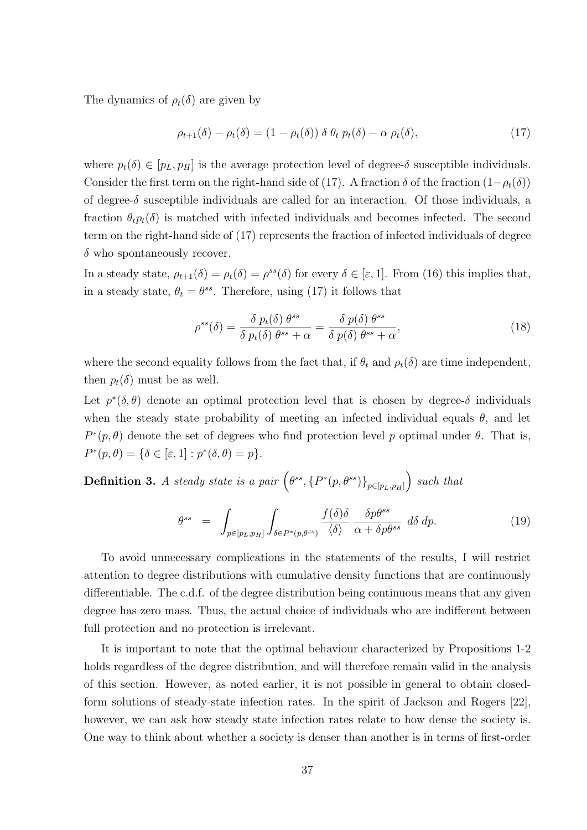The dynamics of  $\rho_t(\delta)$  are given by

$$
\rho_{t+1}(\delta) - \rho_t(\delta) = (1 - \rho_t(\delta)) \delta \theta_t \, p_t(\delta) - \alpha \, \rho_t(\delta), \tag{17}
$$

where  $p_t(\delta) \in [p_L, p_H]$  is the average protection level of degree- $\delta$  susceptible individuals. Consider the first term on the right-hand side of (17). A fraction  $\delta$  of the fraction  $(1-\rho_t(\delta))$ of degree- $\delta$  susceptible individuals are called for an interaction. Of those individuals, a fraction  $\theta_t p_t(\delta)$  is matched with infected individuals and becomes infected. The second term on the right-hand side of (17) represents the fraction of infected individuals of degree  $\delta$  who spontaneously recover.

In a steady state,  $\rho_{t+1}(\delta) = \rho_t(\delta) = \rho^{ss}(\delta)$  for every  $\delta \in [\varepsilon, 1]$ . From (16) this implies that, in a steady state,  $\theta_t = \theta^{ss}$ . Therefore, using (17) it follows that

$$
\rho^{ss}(\delta) = \frac{\delta p_t(\delta) \theta^{ss}}{\delta p_t(\delta) \theta^{ss} + \alpha} = \frac{\delta p(\delta) \theta^{ss}}{\delta p(\delta) \theta^{ss} + \alpha},\tag{18}
$$

where the second equality follows from the fact that, if  $\theta_t$  and  $\rho_t(\delta)$  are time independent, then  $p_t(\delta)$  must be as well.

Let  $p^*(\delta, \theta)$  denote an optimal protection level that is chosen by degree- $\delta$  individuals when the steady state probability of meeting an infected individual equals  $\theta$ , and let  $P^*(p, \theta)$  denote the set of degrees who find protection level p optimal under  $\theta$ . That is,  $P^*(p, \theta) = \{\delta \in [\varepsilon, 1] : p^*(\delta, \theta) = p\}.$ 

**Definition 3.** A steady state is a pair  $(\theta^{ss}, \{P^*(p, \theta^{ss})\}_{p \in [p_L, p_H]})$  such that

$$
\theta^{ss} = \int_{p \in [p_L, p_H]} \int_{\delta \in P^*(p, \theta^{ss})} \frac{f(\delta)\delta}{\langle \delta \rangle} \frac{\delta p\theta^{ss}}{\alpha + \delta p\theta^{ss}} d\delta dp. \tag{19}
$$

To avoid unnecessary complications in the statements of the results, I will restrict attention to degree distributions with cumulative density functions that are continuously differentiable. The c.d.f. of the degree distribution being continuous means that any given degree has zero mass. Thus, the actual choice of individuals who are indifferent between full protection and no protection is irrelevant.

It is important to note that the optimal behaviour characterized by Propositions 1-2 holds regardless of the degree distribution, and will therefore remain valid in the analysis of this section. However, as noted earlier, it is not possible in general to obtain closedform solutions of steady-state infection rates. In the spirit of Jackson and Rogers [22], however, we can ask how steady state infection rates relate to how dense the society is. One way to think about whether a society is denser than another is in terms of first-order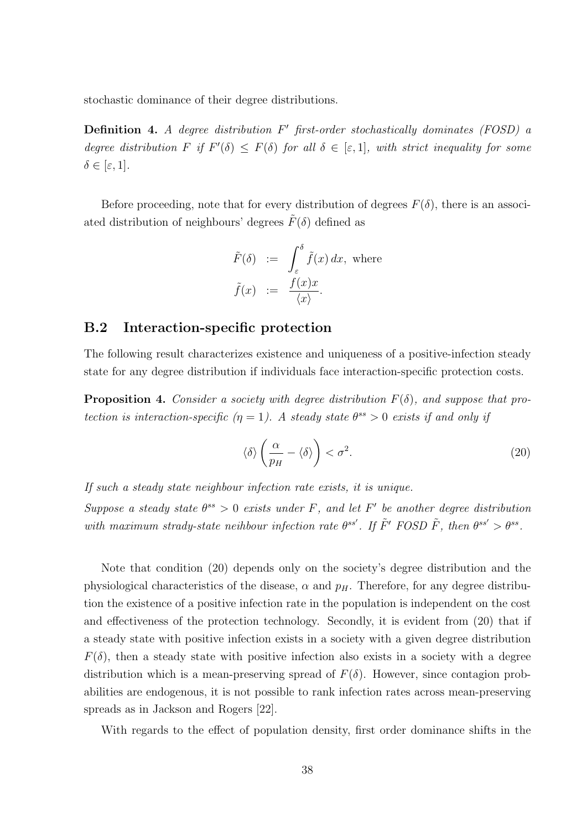stochastic dominance of their degree distributions.

**Definition 4.** A degree distribution  $F'$  first-order stochastically dominates (FOSD) a degree distribution F if  $F'(\delta) \leq F(\delta)$  for all  $\delta \in [\varepsilon, 1]$ , with strict inequality for some  $\delta \in [\varepsilon, 1].$ 

Before proceeding, note that for every distribution of degrees  $F(\delta)$ , there is an associated distribution of neighbours' degrees  $\tilde{F}(\delta)$  defined as

$$
\tilde{F}(\delta) := \int_{\varepsilon}^{\delta} \tilde{f}(x) dx, \text{ where}
$$

$$
\tilde{f}(x) := \frac{f(x)x}{\langle x \rangle}.
$$

#### B.2 Interaction-specific protection

The following result characterizes existence and uniqueness of a positive-infection steady state for any degree distribution if individuals face interaction-specific protection costs.

**Proposition 4.** Consider a society with degree distribution  $F(\delta)$ , and suppose that protection is interaction-specific  $(\eta = 1)$ . A steady state  $\theta^{ss} > 0$  exists if and only if

$$
\langle \delta \rangle \left( \frac{\alpha}{p_H} - \langle \delta \rangle \right) < \sigma^2. \tag{20}
$$

If such a steady state neighbour infection rate exists, it is unique.

Suppose a steady state  $\theta^{ss} > 0$  exists under F, and let F' be another degree distribution with maximum strady-state neihbour infection rate  $\theta^{ss'}$ . If  $\tilde{F}'$  FOSD  $\tilde{F}$ , then  $\theta^{ss'} > \theta^{ss}$ .

Note that condition (20) depends only on the society's degree distribution and the physiological characteristics of the disease,  $\alpha$  and  $p<sub>H</sub>$ . Therefore, for any degree distribution the existence of a positive infection rate in the population is independent on the cost and effectiveness of the protection technology. Secondly, it is evident from (20) that if a steady state with positive infection exists in a society with a given degree distribution  $F(\delta)$ , then a steady state with positive infection also exists in a society with a degree distribution which is a mean-preserving spread of  $F(\delta)$ . However, since contagion probabilities are endogenous, it is not possible to rank infection rates across mean-preserving spreads as in Jackson and Rogers [22].

With regards to the effect of population density, first order dominance shifts in the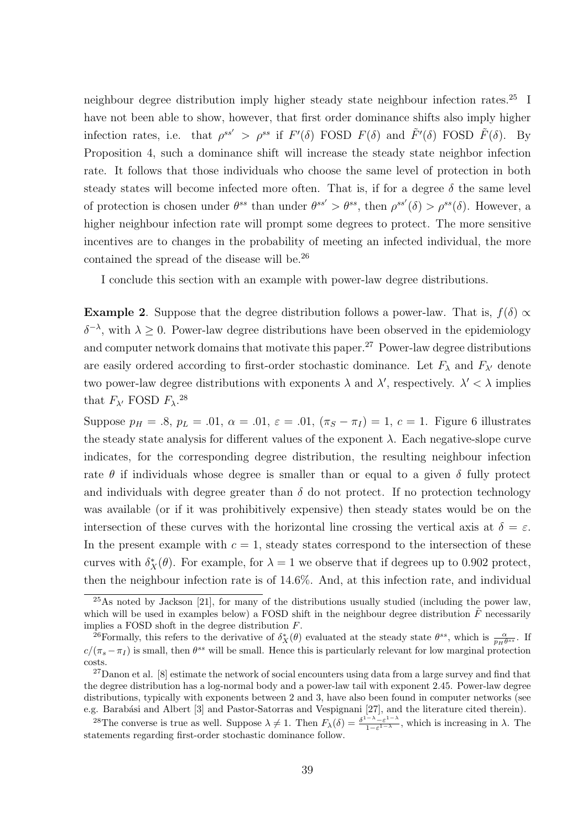neighbour degree distribution imply higher steady state neighbour infection rates.<sup>25</sup> I have not been able to show, however, that first order dominance shifts also imply higher infection rates, i.e. that  $\rho^{ss'} > \rho^{ss}$  if  $F'(\delta)$  FOSD  $F(\delta)$  and  $\tilde{F}'(\delta)$  FOSD  $\tilde{F}(\delta)$ . By Proposition 4, such a dominance shift will increase the steady state neighbor infection rate. It follows that those individuals who choose the same level of protection in both steady states will become infected more often. That is, if for a degree  $\delta$  the same level of protection is chosen under  $\theta^{ss}$  than under  $\theta^{ss'} > \theta^{ss}$ , then  $\rho^{ss'}(\delta) > \rho^{ss}(\delta)$ . However, a higher neighbour infection rate will prompt some degrees to protect. The more sensitive incentives are to changes in the probability of meeting an infected individual, the more contained the spread of the disease will be.<sup>26</sup>

I conclude this section with an example with power-law degree distributions.

**Example 2.** Suppose that the degree distribution follows a power-law. That is,  $f(\delta) \propto$  $\delta^{-\lambda}$ , with  $\lambda \geq 0$ . Power-law degree distributions have been observed in the epidemiology and computer network domains that motivate this paper. $27$  Power-law degree distributions are easily ordered according to first-order stochastic dominance. Let  $F_{\lambda}$  and  $F_{\lambda}$  denote two power-law degree distributions with exponents  $\lambda$  and  $\lambda'$ , respectively.  $\lambda' < \lambda$  implies that  $F_{\lambda}$  FOSD  $F_{\lambda}$ .<sup>28</sup>

Suppose  $p_H = .8$ ,  $p_L = .01$ ,  $\alpha = .01$ ,  $\varepsilon = .01$ ,  $(\pi_S - \pi_I) = 1$ ,  $c = 1$ . Figure 6 illustrates the steady state analysis for different values of the exponent  $\lambda$ . Each negative-slope curve indicates, for the corresponding degree distribution, the resulting neighbour infection rate  $\theta$  if individuals whose degree is smaller than or equal to a given  $\delta$  fully protect and individuals with degree greater than  $\delta$  do not protect. If no protection technology was available (or if it was prohibitively expensive) then steady states would be on the intersection of these curves with the horizontal line crossing the vertical axis at  $\delta = \varepsilon$ . In the present example with  $c = 1$ , steady states correspond to the intersection of these curves with  $\delta_X^*(\theta)$ . For example, for  $\lambda = 1$  we observe that if degrees up to 0.902 protect, then the neighbour infection rate is of 14.6%. And, at this infection rate, and individual

 $^{25}$ As noted by Jackson [21], for many of the distributions usually studied (including the power law, which will be used in examples below) a FOSD shift in the neighbour degree distribution  $\tilde{F}$  necessarily implies a FOSD shoft in the degree distribution  $F$ .

<sup>&</sup>lt;sup>26</sup>Formally, this refers to the derivative of  $\delta_X^*(\theta)$  evaluated at the steady state  $\theta^{ss}$ , which is  $\frac{\alpha}{p_H \theta^{ss}}$ . If  $c/(\pi_s - \pi_I)$  is small, then  $\theta^{ss}$  will be small. Hence this is particularly relevant for low marginal protection costs.

<sup>&</sup>lt;sup>27</sup>Danon et al. [8] estimate the network of social encounters using data from a large survey and find that the degree distribution has a log-normal body and a power-law tail with exponent 2.45. Power-law degree distributions, typically with exponents between 2 and 3, have also been found in computer networks (see e.g. Barabási and Albert [3] and Pastor-Satorras and Vespignani [27], and the literature cited therein).

<sup>&</sup>lt;sup>28</sup>The converse is true as well. Suppose  $\lambda \neq 1$ . Then  $F_{\lambda}(\delta) = \frac{\delta^{1-\lambda}-\varepsilon^{1-\lambda}}{1-\varepsilon^{1-\lambda}}$  $\frac{1-\varepsilon^{-\alpha}}{1-\varepsilon^{1-\lambda}}$ , which is increasing in  $\lambda$ . The statements regarding first-order stochastic dominance follow.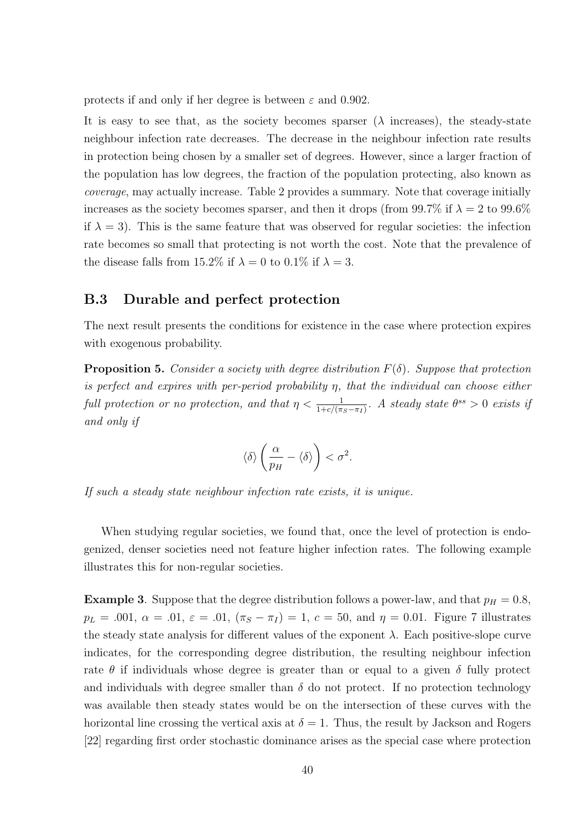protects if and only if her degree is between  $\varepsilon$  and 0.902.

It is easy to see that, as the society becomes sparser ( $\lambda$  increases), the steady-state neighbour infection rate decreases. The decrease in the neighbour infection rate results in protection being chosen by a smaller set of degrees. However, since a larger fraction of the population has low degrees, the fraction of the population protecting, also known as coverage, may actually increase. Table 2 provides a summary. Note that coverage initially increases as the society becomes sparser, and then it drops (from 99.7% if  $\lambda = 2$  to 99.6%) if  $\lambda = 3$ ). This is the same feature that was observed for regular societies: the infection rate becomes so small that protecting is not worth the cost. Note that the prevalence of the disease falls from 15.2% if  $\lambda = 0$  to 0.1% if  $\lambda = 3$ .

### B.3 Durable and perfect protection

The next result presents the conditions for existence in the case where protection expires with exogenous probability.

**Proposition 5.** Consider a society with degree distribution  $F(\delta)$ . Suppose that protection is perfect and expires with per-period probability  $\eta$ , that the individual can choose either full protection or no protection, and that  $\eta < \frac{1}{1+c/(\pi_S-\pi_I)}$ . A steady state  $\theta^{ss} > 0$  exists if and only if

$$
\langle \delta \rangle \left( \frac{\alpha}{p_H} - \langle \delta \rangle \right) < \sigma^2.
$$

If such a steady state neighbour infection rate exists, it is unique.

When studying regular societies, we found that, once the level of protection is endogenized, denser societies need not feature higher infection rates. The following example illustrates this for non-regular societies.

**Example 3**. Suppose that the degree distribution follows a power-law, and that  $p_H = 0.8$ ,  $p_L = .001, \ \alpha = .01, \ \varepsilon = .01, \ (\pi_S - \pi_I) = 1, \ c = 50, \text{ and } \eta = 0.01. \text{ Figure 7 illustrates}$ the steady state analysis for different values of the exponent  $\lambda$ . Each positive-slope curve indicates, for the corresponding degree distribution, the resulting neighbour infection rate  $\theta$  if individuals whose degree is greater than or equal to a given  $\delta$  fully protect and individuals with degree smaller than  $\delta$  do not protect. If no protection technology was available then steady states would be on the intersection of these curves with the horizontal line crossing the vertical axis at  $\delta = 1$ . Thus, the result by Jackson and Rogers [22] regarding first order stochastic dominance arises as the special case where protection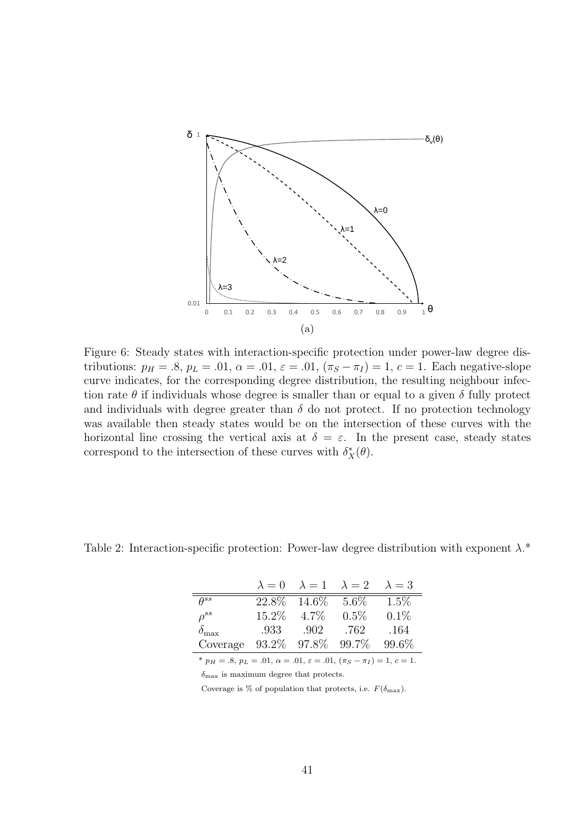

Figure 6: Steady states with interaction-specific protection under power-law degree distributions:  $p_H = .8$ ,  $p_L = .01$ ,  $\alpha = .01$ ,  $\varepsilon = .01$ ,  $(\pi_S - \pi_I) = 1$ ,  $c = 1$ . Each negative-slope curve indicates, for the corresponding degree distribution, the resulting neighbour infection rate  $\theta$  if individuals whose degree is smaller than or equal to a given  $\delta$  fully protect and individuals with degree greater than  $\delta$  do not protect. If no protection technology was available then steady states would be on the intersection of these curves with the horizontal line crossing the vertical axis at  $\delta = \varepsilon$ . In the present case, steady states correspond to the intersection of these curves with  $\delta_X^*(\theta)$ .

|                    |               |                 | $\lambda = 0$ $\lambda = 1$ $\lambda = 2$ $\lambda = 3$ |         |
|--------------------|---------------|-----------------|---------------------------------------------------------|---------|
| $A^{ss}$           |               | $22.8\%$ 14.6\% | $5.6\%$                                                 | $1.5\%$ |
| $\rho^{ss}$        | 15.2\%        | $4.7\%$         | $0.5\%$                                                 | $0.1\%$ |
| $\delta_{\rm max}$ | .933          | .902            | .762                                                    | .164    |
| Coverage           | 93.2\% 97.8\% |                 | 99.7%                                                   | 99.6%   |

Table 2: Interaction-specific protection: Power-law degree distribution with exponent  $\lambda$ <sup>\*</sup>

\*  $p_H = .8, p_L = .01, \alpha = .01, \varepsilon = .01, (\pi_S - \pi_I) = 1, c = 1.$  $\delta_{\text{max}}$  is maximum degree that protects.

Coverage is % of population that protects, i.e.  $F(\delta_{\text{max}})$ .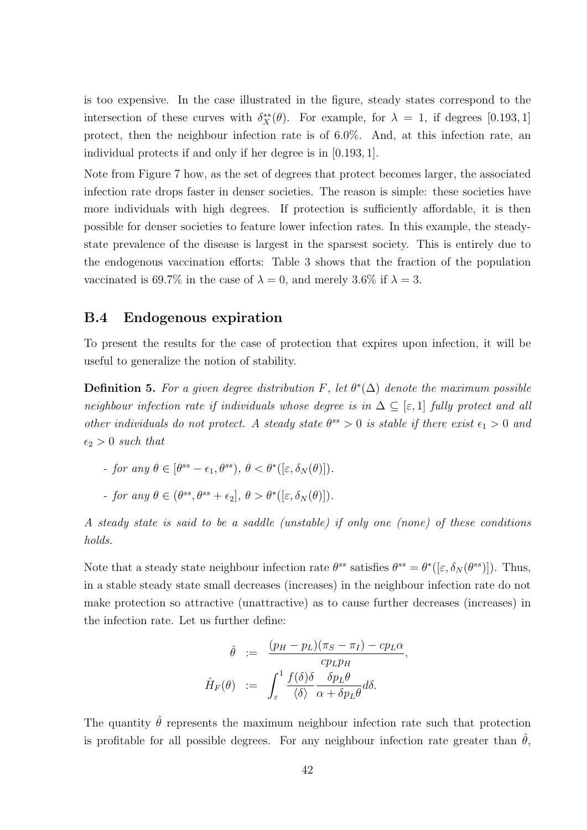is too expensive. In the case illustrated in the figure, steady states correspond to the intersection of these curves with  $\delta_X^{**}(\theta)$ . For example, for  $\lambda = 1$ , if degrees [0.193, 1] protect, then the neighbour infection rate is of 6.0%. And, at this infection rate, an individual protects if and only if her degree is in [0.193, 1].

Note from Figure 7 how, as the set of degrees that protect becomes larger, the associated infection rate drops faster in denser societies. The reason is simple: these societies have more individuals with high degrees. If protection is sufficiently affordable, it is then possible for denser societies to feature lower infection rates. In this example, the steadystate prevalence of the disease is largest in the sparsest society. This is entirely due to the endogenous vaccination efforts: Table 3 shows that the fraction of the population vaccinated is 69.7% in the case of  $\lambda = 0$ , and merely 3.6% if  $\lambda = 3$ .

#### B.4 Endogenous expiration

To present the results for the case of protection that expires upon infection, it will be useful to generalize the notion of stability.

**Definition 5.** For a given degree distribution F, let  $\theta^*(\Delta)$  denote the maximum possible neighbour infection rate if individuals whose degree is in  $\Delta \subseteq [\varepsilon, 1]$  fully protect and all other individuals do not protect. A steady state  $\theta^{ss} > 0$  is stable if there exist  $\epsilon_1 > 0$  and  $\epsilon_2 > 0$  such that

- for any  $\theta \in [\theta^{ss} \epsilon_1, \theta^{ss}), \ \theta < \theta^*([\varepsilon, \delta_N(\theta)]).$
- for any  $\theta \in (\theta^{ss}, \theta^{ss} + \epsilon_2], \ \theta > \theta^*([\varepsilon, \delta_N(\theta)]).$

A steady state is said to be a saddle (unstable) if only one (none) of these conditions holds.

Note that a steady state neighbour infection rate  $\theta^{ss}$  satisfies  $\theta^{ss} = \theta^*([\varepsilon, \delta_N(\theta^{ss})])$ . Thus, in a stable steady state small decreases (increases) in the neighbour infection rate do not make protection so attractive (unattractive) as to cause further decreases (increases) in the infection rate. Let us further define:

$$
\hat{\theta} := \frac{(p_H - p_L)(\pi_S - \pi_I) - cp_L \alpha}{cp_L p_H}
$$

$$
\hat{H}_F(\theta) := \int_{\varepsilon}^1 \frac{f(\delta)\delta}{\langle \delta \rangle} \frac{\delta p_L \theta}{\alpha + \delta p_L \theta} d\delta.
$$

,

The quantity  $\hat{\theta}$  represents the maximum neighbour infection rate such that protection is profitable for all possible degrees. For any neighbour infection rate greater than  $\hat{\theta}$ ,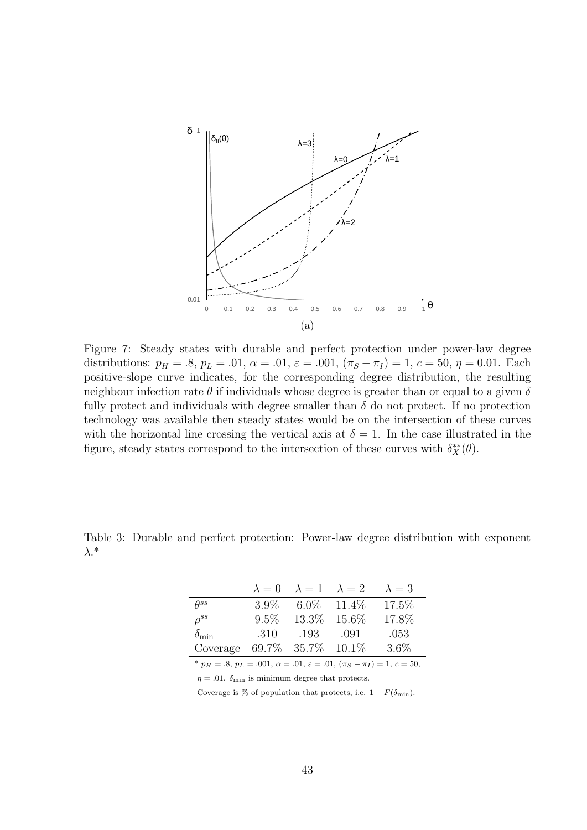

Figure 7: Steady states with durable and perfect protection under power-law degree distributions:  $p_H = .8$ ,  $p_L = .01$ ,  $\alpha = .01$ ,  $\varepsilon = .001$ ,  $(\pi_S - \pi_I) = 1$ ,  $c = 50$ ,  $\eta = 0.01$ . Each positive-slope curve indicates, for the corresponding degree distribution, the resulting neighbour infection rate  $\theta$  if individuals whose degree is greater than or equal to a given  $\delta$ fully protect and individuals with degree smaller than  $\delta$  do not protect. If no protection technology was available then steady states would be on the intersection of these curves with the horizontal line crossing the vertical axis at  $\delta = 1$ . In the case illustrated in the figure, steady states correspond to the intersection of these curves with  $\delta_X^{**}(\theta)$ .

Table 3: Durable and perfect protection: Power-law degree distribution with exponent λ.\*

|                    |         |                      | $\lambda = 0$ $\lambda = 1$ $\lambda = 2$ | $\lambda = 3$ |
|--------------------|---------|----------------------|-------------------------------------------|---------------|
| $A$ ss             | $3.9\%$ |                      | $6.0\%$ 11.4\%                            | 17.5%         |
| $\rho^{ss}$        | $9.5\%$ | $13.3\%$ $15.6\%$    |                                           | 17.8%         |
| $\delta_{\rm min}$ | .310    | .193                 | .091                                      | .053          |
| Coverage           |         | 69.7\% 35.7\% 10.1\% |                                           | $3.6\%$       |

\*  $p_H = .8, p_L = .001, \alpha = .01, \varepsilon = .01, (\pi_S - \pi_I) = 1, c = 50,$  $\eta = .01$ .  $\delta_{\text{min}}$  is minimum degree that protects.

Coverage is % of population that protects, i.e.  $1 - F(\delta_{\min})$ .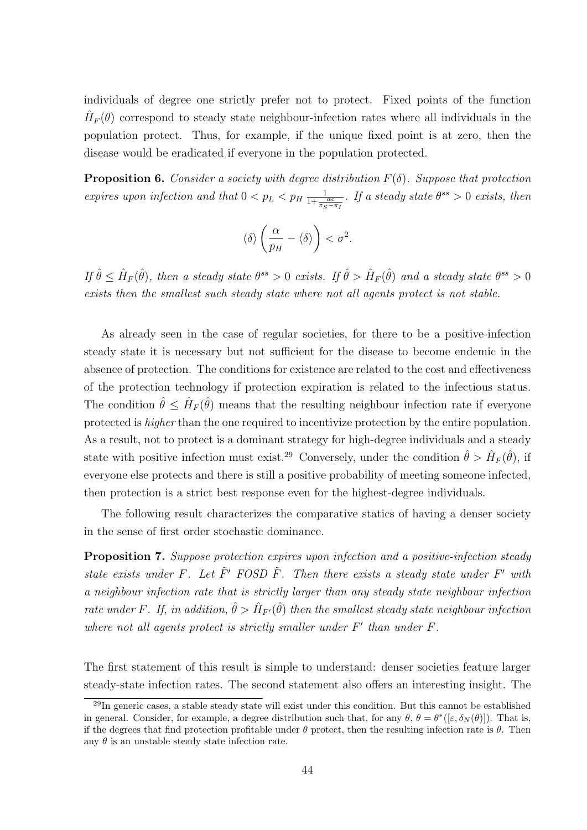individuals of degree one strictly prefer not to protect. Fixed points of the function  $\hat{H}_F(\theta)$  correspond to steady state neighbour-infection rates where all individuals in the population protect. Thus, for example, if the unique fixed point is at zero, then the disease would be eradicated if everyone in the population protected.

**Proposition 6.** Consider a society with degree distribution  $F(\delta)$ . Suppose that protection expires upon infection and that  $0 < p_L < p_H \frac{1}{1 + \frac{\alpha c}{\pi_S - \pi_I}}$ . If a steady state  $\theta^{ss} > 0$  exists, then

$$
\langle \delta \rangle \left( \frac{\alpha}{p_H} - \langle \delta \rangle \right) < \sigma^2.
$$

If  $\hat{\theta} \leq \hat{H}_F(\hat{\theta})$ , then a steady state  $\theta^{ss} > 0$  exists. If  $\hat{\theta} > \hat{H}_F(\hat{\theta})$  and a steady state  $\theta^{ss} > 0$ exists then the smallest such steady state where not all agents protect is not stable.

As already seen in the case of regular societies, for there to be a positive-infection steady state it is necessary but not sufficient for the disease to become endemic in the absence of protection. The conditions for existence are related to the cost and effectiveness of the protection technology if protection expiration is related to the infectious status. The condition  $\hat{\theta} \leq \hat{H}_F(\hat{\theta})$  means that the resulting neighbour infection rate if everyone protected is *higher* than the one required to incentivize protection by the entire population. As a result, not to protect is a dominant strategy for high-degree individuals and a steady state with positive infection must exist.<sup>29</sup> Conversely, under the condition  $\hat{\theta} > \hat{H}_F(\hat{\theta})$ , if everyone else protects and there is still a positive probability of meeting someone infected, then protection is a strict best response even for the highest-degree individuals.

The following result characterizes the comparative statics of having a denser society in the sense of first order stochastic dominance.

Proposition 7. Suppose protection expires upon infection and a positive-infection steady state exists under F. Let  $\tilde{F}'$  FOSD  $\tilde{F}$ . Then there exists a steady state under F' with a neighbour infection rate that is strictly larger than any steady state neighbour infection rate under F. If, in addition,  $\hat{\theta} > \hat{H}_{F}(\hat{\theta})$  then the smallest steady state neighbour infection where not all agents protect is strictly smaller under  $F'$  than under  $F$ .

The first statement of this result is simple to understand: denser societies feature larger steady-state infection rates. The second statement also offers an interesting insight. The

<sup>29</sup>In generic cases, a stable steady state will exist under this condition. But this cannot be established in general. Consider, for example, a degree distribution such that, for any  $\theta$ ,  $\theta = \theta^*([\varepsilon, \delta_N(\theta)])$ . That is, if the degrees that find protection profitable under  $\theta$  protect, then the resulting infection rate is  $\theta$ . Then any  $\theta$  is an unstable steady state infection rate.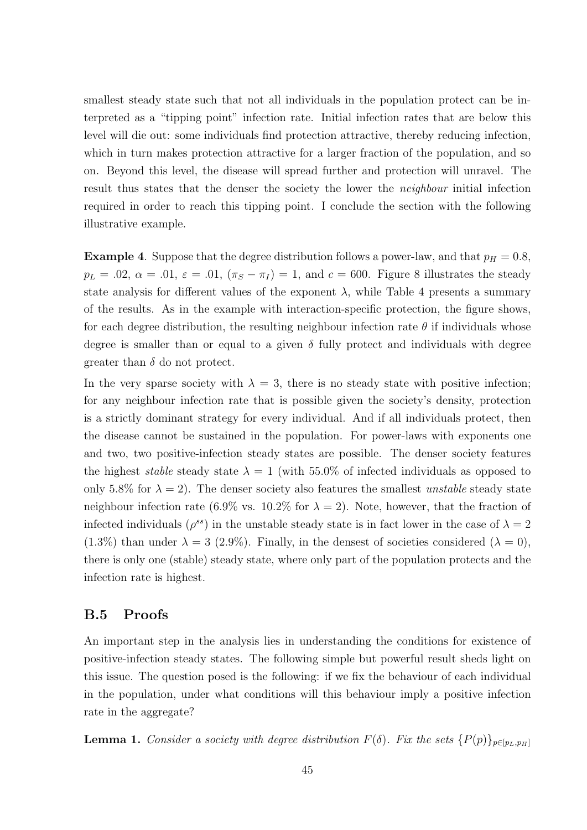smallest steady state such that not all individuals in the population protect can be interpreted as a "tipping point" infection rate. Initial infection rates that are below this level will die out: some individuals find protection attractive, thereby reducing infection, which in turn makes protection attractive for a larger fraction of the population, and so on. Beyond this level, the disease will spread further and protection will unravel. The result thus states that the denser the society the lower the neighbour initial infection required in order to reach this tipping point. I conclude the section with the following illustrative example.

**Example 4.** Suppose that the degree distribution follows a power-law, and that  $p_H = 0.8$ ,  $p_L = .02$ ,  $\alpha = .01$ ,  $\varepsilon = .01$ ,  $(\pi_S - \pi_I) = 1$ , and  $c = 600$ . Figure 8 illustrates the steady state analysis for different values of the exponent  $\lambda$ , while Table 4 presents a summary of the results. As in the example with interaction-specific protection, the figure shows, for each degree distribution, the resulting neighbour infection rate  $\theta$  if individuals whose degree is smaller than or equal to a given  $\delta$  fully protect and individuals with degree greater than  $\delta$  do not protect.

In the very sparse society with  $\lambda = 3$ , there is no steady state with positive infection; for any neighbour infection rate that is possible given the society's density, protection is a strictly dominant strategy for every individual. And if all individuals protect, then the disease cannot be sustained in the population. For power-laws with exponents one and two, two positive-infection steady states are possible. The denser society features the highest *stable* steady state  $\lambda = 1$  (with 55.0% of infected individuals as opposed to only 5.8% for  $\lambda = 2$ ). The denser society also features the smallest *unstable* steady state neighbour infection rate (6.9% vs. 10.2% for  $\lambda = 2$ ). Note, however, that the fraction of infected individuals ( $\rho^{ss}$ ) in the unstable steady state is in fact lower in the case of  $\lambda = 2$  $(1.3\%)$  than under  $\lambda = 3$  (2.9%). Finally, in the densest of societies considered  $(\lambda = 0)$ , there is only one (stable) steady state, where only part of the population protects and the infection rate is highest.

#### B.5 Proofs

An important step in the analysis lies in understanding the conditions for existence of positive-infection steady states. The following simple but powerful result sheds light on this issue. The question posed is the following: if we fix the behaviour of each individual in the population, under what conditions will this behaviour imply a positive infection rate in the aggregate?

**Lemma 1.** Consider a society with degree distribution  $F(\delta)$ . Fix the sets  $\{P(p)\}_{p\in[p_L,p_H]}$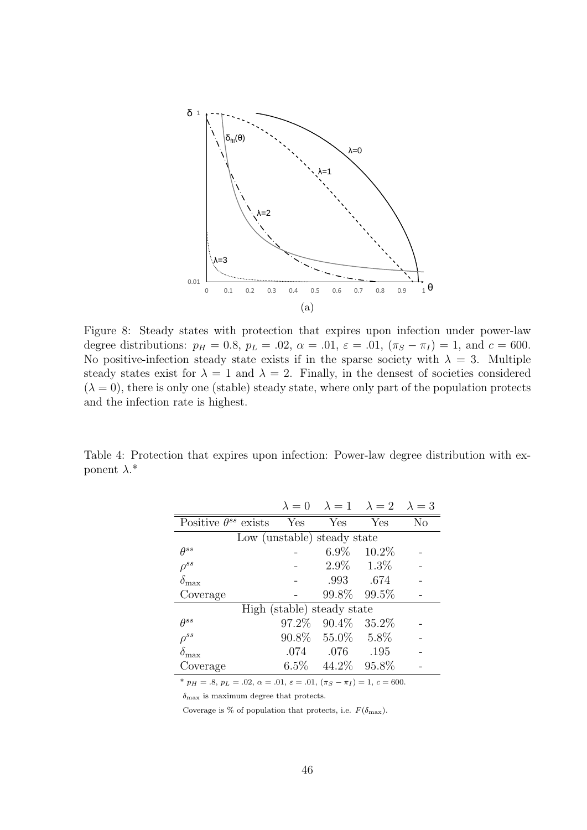

Figure 8: Steady states with protection that expires upon infection under power-law degree distributions:  $p_H = 0.8$ ,  $p_L = .02$ ,  $\alpha = .01$ ,  $\varepsilon = .01$ ,  $(\pi_S - \pi_I) = 1$ , and  $c = 600$ . No positive-infection steady state exists if in the sparse society with  $\lambda = 3$ . Multiple steady states exist for  $\lambda = 1$  and  $\lambda = 2$ . Finally, in the densest of societies considered  $(\lambda = 0)$ , there is only one (stable) steady state, where only part of the population protects and the infection rate is highest.

Table 4: Protection that expires upon infection: Power-law degree distribution with exponent  $\lambda$ <sup>\*</sup>

|                               |      | $\lambda = 0$ $\lambda = 1$ $\lambda = 2$ $\lambda = 3$ |                 |    |  |  |
|-------------------------------|------|---------------------------------------------------------|-----------------|----|--|--|
| Positive $\theta^{ss}$ exists | Yes  | Yes                                                     | Yes             | No |  |  |
| Low (unstable) steady state   |      |                                                         |                 |    |  |  |
| $\theta^{ss}$                 |      | $6.9\%$                                                 | $10.2\%$        |    |  |  |
| $\rho^{ss}$                   |      |                                                         | $2.9\% - 1.3\%$ |    |  |  |
| $\delta_{\rm max}$            |      | .993                                                    | .674            |    |  |  |
| Coverage                      |      |                                                         | 99.8% 99.5%     |    |  |  |
| High (stable) steady state    |      |                                                         |                 |    |  |  |
| $\beta$ ss                    |      | 97.2\% 90.4\% 35.2\%                                    |                 |    |  |  |
| $\rho^{ss}$                   |      | 90.8\% 55.0\% 5.8\%                                     |                 |    |  |  |
| $\delta_{\rm max}$            | .074 | .076                                                    | .195            |    |  |  |
| Coverage                      | 6.5% | 44.2\%                                                  | 95.8%           |    |  |  |

 $\overline{\gamma}_{H} = .8, p_L = .02, \alpha = .01, \epsilon = .01, (\pi_S - \pi_I) = 1, c = 600.$ 

 $\delta_{\text{max}}$  is maximum degree that protects.

Coverage is % of population that protects, i.e.  $F(\delta_{\text{max}})$ .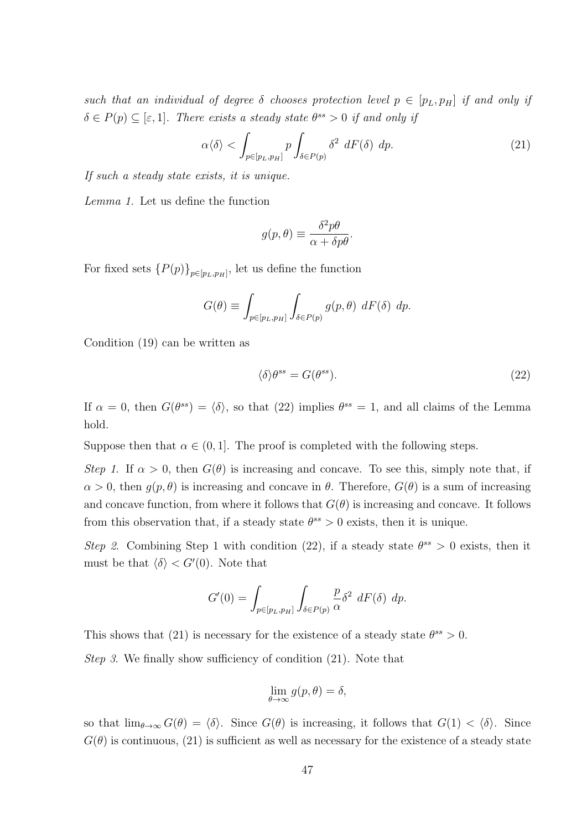such that an individual of degree  $\delta$  chooses protection level  $p \in [p_L, p_H]$  if and only if  $\delta \in P(p) \subseteq [\varepsilon, 1]$ . There exists a steady state  $\theta^{ss} > 0$  if and only if

$$
\alpha \langle \delta \rangle < \int_{p \in [p_L, p_H]} p \int_{\delta \in P(p)} \delta^2 \, dF(\delta) \, dp. \tag{21}
$$

If such a steady state exists, it is unique.

Lemma 1. Let us define the function

$$
g(p,\theta) \equiv \frac{\delta^2 p\theta}{\alpha + \delta p\theta}.
$$

For fixed sets  ${P(p)}_{p\in[p_L,p_H]}$ , let us define the function

$$
G(\theta) \equiv \int_{p \in [p_L, p_H]} \int_{\delta \in P(p)} g(p, \theta) \, dF(\delta) \, dp.
$$

Condition (19) can be written as

$$
\langle \delta \rangle \theta^{ss} = G(\theta^{ss}).\tag{22}
$$

If  $\alpha = 0$ , then  $G(\theta^{ss}) = \langle \delta \rangle$ , so that (22) implies  $\theta^{ss} = 1$ , and all claims of the Lemma hold.

Suppose then that  $\alpha \in (0,1]$ . The proof is completed with the following steps.

Step 1. If  $\alpha > 0$ , then  $G(\theta)$  is increasing and concave. To see this, simply note that, if  $\alpha > 0$ , then  $g(p, \theta)$  is increasing and concave in  $\theta$ . Therefore,  $G(\theta)$  is a sum of increasing and concave function, from where it follows that  $G(\theta)$  is increasing and concave. It follows from this observation that, if a steady state  $\theta^{ss} > 0$  exists, then it is unique.

Step 2. Combining Step 1 with condition (22), if a steady state  $\theta^{ss} > 0$  exists, then it must be that  $\langle \delta \rangle < G'(0)$ . Note that

$$
G'(0) = \int_{p \in [p_L, p_H]} \int_{\delta \in P(p)} \frac{p}{\alpha} \delta^2 \ dF(\delta) \ dp.
$$

This shows that (21) is necessary for the existence of a steady state  $\theta^{ss} > 0$ .

Step 3. We finally show sufficiency of condition (21). Note that

$$
\lim_{\theta \to \infty} g(p, \theta) = \delta,
$$

so that  $\lim_{\theta \to \infty} G(\theta) = \langle \delta \rangle$ . Since  $G(\theta)$  is increasing, it follows that  $G(1) < \langle \delta \rangle$ . Since  $G(\theta)$  is continuous, (21) is sufficient as well as necessary for the existence of a steady state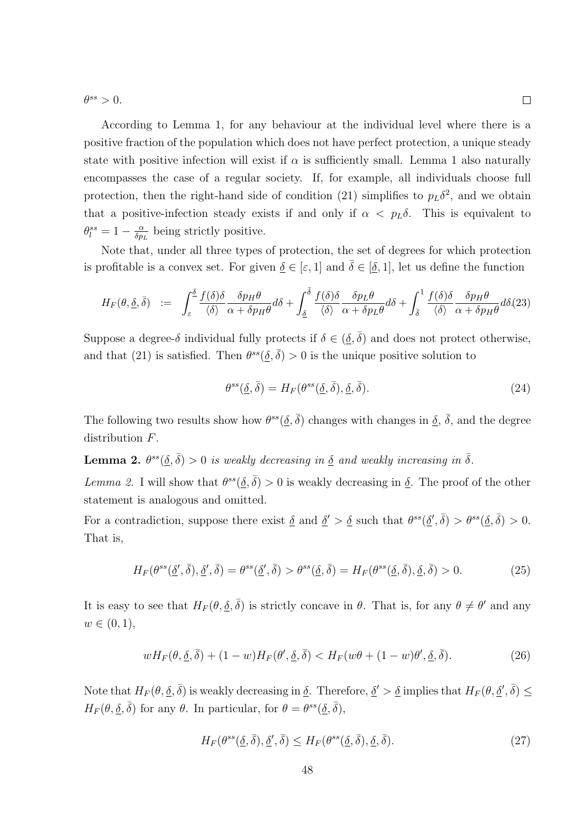$\theta^{ss} > 0.$ 

According to Lemma 1, for any behaviour at the individual level where there is a positive fraction of the population which does not have perfect protection, a unique steady state with positive infection will exist if  $\alpha$  is sufficiently small. Lemma 1 also naturally encompasses the case of a regular society. If, for example, all individuals choose full protection, then the right-hand side of condition (21) simplifies to  $p_L \delta^2$ , and we obtain that a positive-infection steady exists if and only if  $\alpha < p_L \delta$ . This is equivalent to  $\theta_l^{ss} = 1 - \frac{\alpha}{\delta p}$  $\frac{\alpha}{\delta p_L}$  being strictly positive.

Note that, under all three types of protection, the set of degrees for which protection is profitable is a convex set. For given  $\underline{\delta} \in [\varepsilon, 1]$  and  $\overline{\delta} \in [\underline{\delta}, 1]$ , let us define the function

$$
H_F(\theta, \underline{\delta}, \overline{\delta}) \quad := \quad \int_{\varepsilon}^{\underline{\delta}} \frac{f(\delta)\delta}{\langle \delta \rangle} \frac{\delta p_H \theta}{\alpha + \delta p_H \theta} d\delta + \int_{\underline{\delta}}^{\overline{\delta}} \frac{f(\delta)\delta}{\langle \delta \rangle} \frac{\delta p_L \theta}{\alpha + \delta p_L \theta} d\delta + \int_{\overline{\delta}}^1 \frac{f(\delta)\delta}{\langle \delta \rangle} \frac{\delta p_H \theta}{\alpha + \delta p_H \theta} d\delta (23)
$$

Suppose a degree- $\delta$  individual fully protects if  $\delta \in (\underline{\delta}, \overline{\delta})$  and does not protect otherwise, and that (21) is satisfied. Then  $\theta^{ss}(\underline{\delta}, \overline{\delta}) > 0$  is the unique positive solution to

$$
\theta^{ss}(\underline{\delta}, \overline{\delta}) = H_F(\theta^{ss}(\underline{\delta}, \overline{\delta}), \underline{\delta}, \overline{\delta}). \tag{24}
$$

The following two results show how  $\theta^{ss}(\underline{\delta}, \overline{\delta})$  changes with changes in  $\underline{\delta}, \overline{\delta}$ , and the degree distribution F.

**Lemma 2.**  $\theta^{ss}(\underline{\delta}, \overline{\delta}) > 0$  is weakly decreasing in  $\underline{\delta}$  and weakly increasing in  $\overline{\delta}$ .

Lemma 2. I will show that  $\theta^{ss}(\underline{\delta}, \overline{\delta}) > 0$  is weakly decreasing in  $\underline{\delta}$ . The proof of the other statement is analogous and omitted.

For a contradiction, suppose there exist  $\underline{\delta}$  and  $\underline{\delta}' > \underline{\delta}$  such that  $\theta^{ss}(\underline{\delta}', \overline{\delta}) > \theta^{ss}(\underline{\delta}, \overline{\delta}) > 0$ . That is,

$$
H_F(\theta^{ss}(\underline{\delta}',\overline{\delta}), \underline{\delta}',\overline{\delta}) = \theta^{ss}(\underline{\delta}',\overline{\delta}) > \theta^{ss}(\underline{\delta},\overline{\delta}) = H_F(\theta^{ss}(\underline{\delta},\overline{\delta}), \underline{\delta},\overline{\delta}) > 0. \tag{25}
$$

It is easy to see that  $H_F(\theta, \underline{\delta}, \overline{\delta})$  is strictly concave in  $\theta$ . That is, for any  $\theta \neq \theta'$  and any  $w \in (0, 1)$ .

$$
wH_F(\theta, \underline{\delta}, \overline{\delta}) + (1 - w)H_F(\theta', \underline{\delta}, \overline{\delta}) < H_F(w\theta + (1 - w)\theta', \underline{\delta}, \overline{\delta}).\tag{26}
$$

Note that  $H_F(\theta, \underline{\delta}, \overline{\delta})$  is weakly decreasing in  $\underline{\delta}$ . Therefore,  $\underline{\delta}' > \underline{\delta}$  implies that  $H_F(\theta, \underline{\delta}', \overline{\delta}) \le$  $H_F(\theta, \underline{\delta}, \overline{\delta})$  for any  $\theta$ . In particular, for  $\theta = \theta^{ss}(\underline{\delta}, \overline{\delta}),$ 

$$
H_F(\theta^{ss}(\underline{\delta}, \overline{\delta}), \underline{\delta}', \overline{\delta}) \le H_F(\theta^{ss}(\underline{\delta}, \overline{\delta}), \underline{\delta}, \overline{\delta}).\tag{27}
$$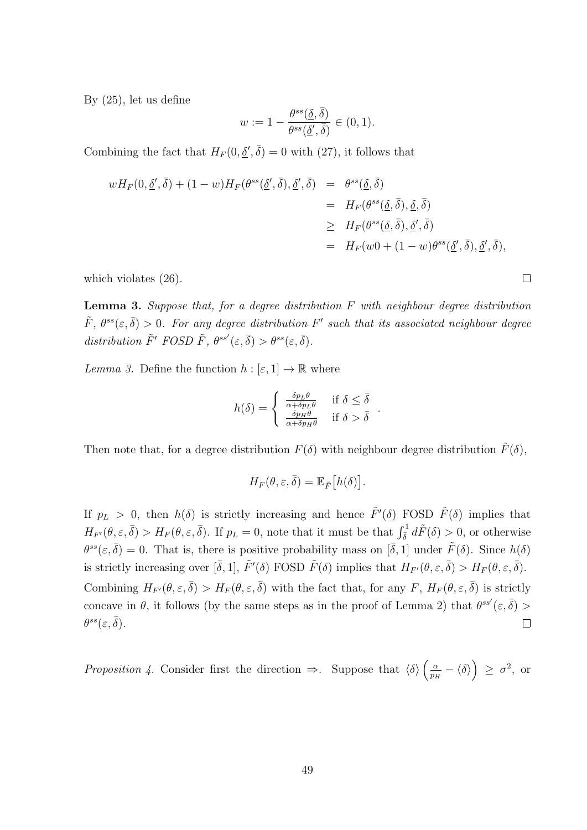By (25), let us define

$$
w := 1 - \frac{\theta^{ss}(\underline{\delta}, \overline{\delta})}{\theta^{ss}(\underline{\delta}', \overline{\delta})} \in (0, 1).
$$

Combining the fact that  $H_F(0, \underline{\delta}', \overline{\delta}) = 0$  with (27), it follows that

$$
wH_F(0, \underline{\delta}', \overline{\delta}) + (1 - w)H_F(\theta^{ss}(\underline{\delta}', \overline{\delta}), \underline{\delta}', \overline{\delta}) = \theta^{ss}(\underline{\delta}, \overline{\delta})
$$
  
\n
$$
= H_F(\theta^{ss}(\underline{\delta}, \overline{\delta}), \underline{\delta}, \overline{\delta})
$$
  
\n
$$
\geq H_F(\theta^{ss}(\underline{\delta}, \overline{\delta}), \underline{\delta}', \overline{\delta})
$$
  
\n
$$
= H_F(w0 + (1 - w)\theta^{ss}(\underline{\delta}', \overline{\delta}), \underline{\delta}', \overline{\delta}),
$$

which violates (26).

**Lemma 3.** Suppose that, for a degree distribution  $F$  with neighbour degree distribution  $\tilde{F}, \theta^{ss}(\varepsilon,\bar{\delta}) > 0$ . For any degree distribution F' such that its associated neighbour degree distribution  $\tilde{F}'$  FOSD  $\tilde{F}$ ,  $\theta^{ss'}(\varepsilon, \bar{\delta}) > \theta^{ss}(\varepsilon, \bar{\delta})$ .

Lemma 3. Define the function  $h : [\varepsilon, 1] \to \mathbb{R}$  where

$$
h(\delta) = \begin{cases} \frac{\delta p_L \theta}{\alpha + \delta p_L \theta} & \text{if } \delta \leq \bar{\delta} \\ \frac{\delta p_H \theta}{\alpha + \delta p_H \theta} & \text{if } \delta > \bar{\delta} \end{cases}
$$

.

Then note that, for a degree distribution  $F(\delta)$  with neighbour degree distribution  $\tilde{F}(\delta)$ ,

$$
H_F(\theta,\varepsilon,\overline{\delta})=\mathbb{E}_{\tilde{F}}\big[h(\delta)\big].
$$

If  $p_L > 0$ , then  $h(\delta)$  is strictly increasing and hence  $\tilde{F}'(\delta)$  FOSD  $\tilde{F}(\delta)$  implies that  $H_{F}(\theta, \varepsilon, \bar{\delta}) > H_F(\theta, \varepsilon, \bar{\delta}).$  If  $p_L = 0$ , note that it must be that  $\int_{\bar{\delta}}^1 d\tilde{F}(\delta) > 0$ , or otherwise  $\theta^{ss}(\varepsilon,\bar{\delta})=0$ . That is, there is positive probability mass on  $[\bar{\delta},1]$  under  $\tilde{F}(\delta)$ . Since  $h(\delta)$ is strictly increasing over  $[\bar{\delta}, 1]$ ,  $\tilde{F}'(\delta)$  FOSD  $\tilde{F}(\delta)$  implies that  $H_{F'}(\theta, \varepsilon, \bar{\delta}) > H_F(\theta, \varepsilon, \bar{\delta})$ . Combining  $H_{F}(\theta, \varepsilon, \overline{\delta}) > H_F(\theta, \varepsilon, \overline{\delta})$  with the fact that, for any F,  $H_F(\theta, \varepsilon, \overline{\delta})$  is strictly concave in  $\theta$ , it follows (by the same steps as in the proof of Lemma 2) that  $\theta^{ss'}(\varepsilon,\bar{\delta})$  $\theta^{ss}(\varepsilon,\bar{\delta}).$  $\Box$ 

*Proposition 4.* Consider first the direction  $\Rightarrow$ . Suppose that  $\langle \delta \rangle \left( \frac{\alpha}{n \epsilon} \right)$  $\frac{\alpha}{p_H} - \langle \delta \rangle$   $\geq \sigma^2$ , or

 $\Box$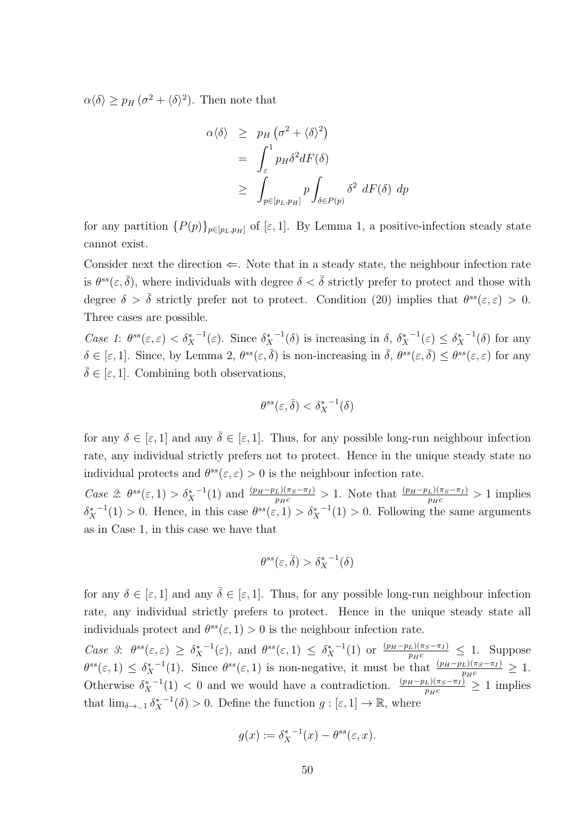$\alpha \langle \delta \rangle \geq p_H \left( \sigma^2 + \langle \delta \rangle^2 \right)$ . Then note that

$$
\alpha \langle \delta \rangle \geq p_H \left( \sigma^2 + \langle \delta \rangle^2 \right)
$$
  
=  $\int_{\varepsilon}^1 p_H \delta^2 dF(\delta)$   

$$
\geq \int_{p \in [p_L, p_H]} p \int_{\delta \in P(p)} \delta^2 dF(\delta) dp
$$

for any partition  $\{P(p)\}_{p\in[p_L,p_H]}$  of  $[\varepsilon,1]$ . By Lemma 1, a positive-infection steady state cannot exist.

Consider next the direction  $\Leftarrow$ . Note that in a steady state, the neighbour infection rate is  $\theta^{ss}(\varepsilon,\bar{\delta})$ , where individuals with degree  $\delta < \bar{\delta}$  strictly prefer to protect and those with degree  $\delta > \bar{\delta}$  strictly prefer not to protect. Condition (20) implies that  $\theta^{ss}(\varepsilon,\varepsilon) > 0$ . Three cases are possible.

Case 1:  $\theta^{ss}(\varepsilon,\varepsilon) < \delta_X^*$ <sup>-1</sup>(ε). Since  $\delta_X^*$ <sup>-1</sup>(δ) is increasing in δ,  $\delta_X^*$ <sup>-1</sup>(ε) ≤  $δ_X^*$  $^{-1}(\delta)$  for any  $\delta \in [\varepsilon, 1]$ . Since, by Lemma 2,  $\theta^{ss}(\varepsilon, \overline{\delta})$  is non-increasing in  $\overline{\delta}, \theta^{ss}(\varepsilon, \overline{\delta}) \leq \theta^{ss}(\varepsilon, \varepsilon)$  for any  $\overline{\delta} \in [\varepsilon, 1]$ . Combining both observations,

$$
\theta^{ss}(\varepsilon,\bar{\delta}) < {\delta_X^*}^{-1}(\delta)
$$

for any  $\delta \in [\varepsilon, 1]$  and any  $\overline{\delta} \in [\varepsilon, 1]$ . Thus, for any possible long-run neighbour infection rate, any individual strictly prefers not to protect. Hence in the unique steady state no individual protects and  $\theta^{ss}(\varepsilon,\varepsilon)>0$  is the neighbour infection rate.

Case 2:  $\theta^{ss}(\varepsilon,1) > \delta_X^*$ <sup>-1</sup>(1) and  $\frac{(p_H-p_L)(\pi_S-\pi_I)}{p_Hc} > 1$ . Note that  $\frac{(p_H-p_L)(\pi_S-\pi_I)}{p_Hc} > 1$  implies  $\delta^*_X$ <sup>-1</sup>(1) > 0. Hence, in this case  $\theta^{ss}(\varepsilon, 1) > \delta_X^*$  $^{-1}(1) > 0$ . Following the same arguments as in Case 1, in this case we have that

$$
\theta^{ss}(\varepsilon,\bar{\delta}) > {\delta_X^*}^{-1}(\delta)
$$

for any  $\delta \in [\varepsilon, 1]$  and any  $\overline{\delta} \in [\varepsilon, 1]$ . Thus, for any possible long-run neighbour infection rate, any individual strictly prefers to protect. Hence in the unique steady state all individuals protect and  $\theta^{ss}(\varepsilon, 1) > 0$  is the neighbour infection rate.

Case 3:  $\theta^{ss}(\varepsilon,\varepsilon) \geq \delta_X^*$ <sup>-1</sup>( $\varepsilon$ ), and  $\theta^{ss}(\varepsilon,1) \leq \delta_X^*$  $\frac{(-1)}{(-1)}$  or  $\frac{(p_H-p_L)(\pi_S-\pi_I)}{p_Hc} \leq 1$ . Suppose  $\theta^{ss}(\varepsilon,1) \leq \delta_X^*$ <sup>-1</sup>(1). Since  $\theta^{ss}(\varepsilon, 1)$  is non-negative, it must be that  $\frac{(p_H-p_L)(\pi_S-\pi_I)}{p_Hc} \geq 1$ . Otherwise  $\delta_X^*$ <sup>-1</sup>(1) < 0 and we would have a contradiction.  $\frac{(p_H-p_L)(\pi_S-\pi_I)}{p_Hc} \geq 1$  implies that  $\lim_{\delta \to -1} \delta_X^*$  $^{-1}(\delta) > 0$ . Define the function  $g : [\varepsilon, 1] \to \mathbb{R}$ , where

$$
g(x) := \delta_X^{*-1}(x) - \theta^{ss}(\varepsilon, x).
$$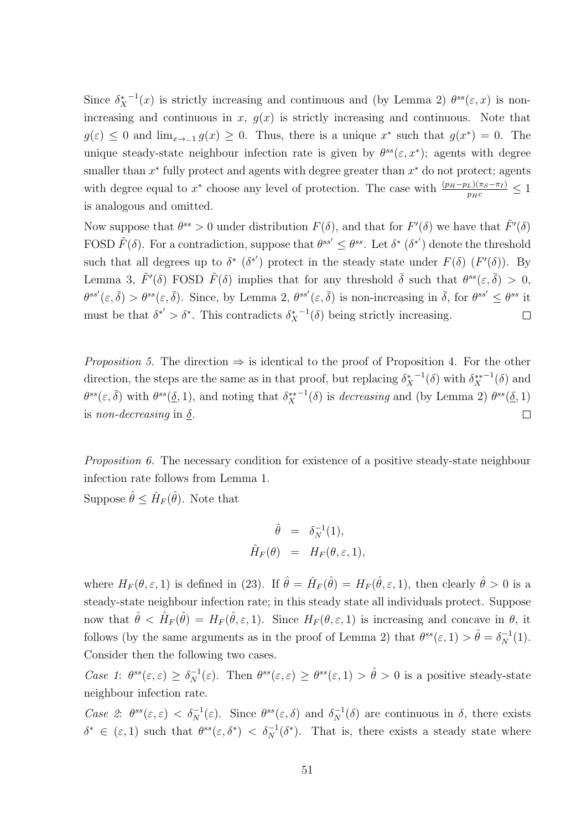Since  $\delta_X^*$  $\tau^{-1}(x)$  is strictly increasing and continuous and (by Lemma 2)  $\theta^{ss}(\varepsilon, x)$  is nonincreasing and continuous in  $x, g(x)$  is strictly increasing and continuous. Note that  $g(\varepsilon) \leq 0$  and  $\lim_{x\to -1} g(x) \geq 0$ . Thus, there is a unique  $x^*$  such that  $g(x^*) = 0$ . The unique steady-state neighbour infection rate is given by  $\theta^{ss}(\varepsilon, x^*)$ ; agents with degree smaller than  $x^*$  fully protect and agents with degree greater than  $x^*$  do not protect; agents with degree equal to  $x^*$  choose any level of protection. The case with  $\frac{(p_H-p_L)(\pi_S-\pi_I)}{p_Hc} \leq 1$ is analogous and omitted.

Now suppose that  $\theta^{ss} > 0$  under distribution  $F(\delta)$ , and that for  $F'(\delta)$  we have that  $\tilde{F}'(\delta)$ FOSD  $\tilde{F}(\delta)$ . For a contradiction, suppose that  $\theta^{ss'} \leq \theta^{ss}$ . Let  $\delta^*$  ( $\delta^{*'}$ ) denote the threshold such that all degrees up to  $\delta^*$  ( $\delta^{*'}$ ) protect in the steady state under  $F(\delta)$  ( $F'(\delta)$ ). By Lemma 3,  $\tilde{F}'(\delta)$  FOSD  $\tilde{F}(\delta)$  implies that for any threshold  $\bar{\delta}$  such that  $\theta^{ss}(\varepsilon,\bar{\delta}) > 0$ ,  $\theta^{ss'}(\varepsilon,\bar{\delta}) > \theta^{ss}(\varepsilon,\bar{\delta})$ . Since, by Lemma 2,  $\theta^{ss'}(\varepsilon,\bar{\delta})$  is non-increasing in  $\bar{\delta}$ , for  $\theta^{ss'} \leq \theta^{ss}$  it must be that  $\delta^{*'} > \delta^*$ . This contradicts  $\delta^*_X$  $^{-1}(\delta)$  being strictly increasing.  $\Box$ 

*Proposition 5.* The direction  $\Rightarrow$  is identical to the proof of Proposition 4. For the other direction, the steps are the same as in that proof, but replacing  $\delta_X^*$  $^{-1}(\delta)$  with  $\delta_X^{**}$  $^{-1}(\delta)$  and  $\theta^{ss}(\varepsilon, \bar{\delta})$  with  $\theta^{ss}(\underline{\delta}, 1)$ , and noting that  $\delta_X^{**}$ <sup>-1</sup>(δ) is *decreasing* and (by Lemma 2)  $\theta^{ss}(\underline{\delta}, 1)$ is non-decreasing in  $\delta$ .  $\Box$ 

Proposition 6. The necessary condition for existence of a positive steady-state neighbour infection rate follows from Lemma 1.

Suppose  $\hat{\theta} \leq \hat{H}_F(\hat{\theta})$ . Note that

$$
\begin{array}{rcl} \hat{\theta} & = & \delta_N^{-1}(1), \\ \hat{H}_F(\theta) & = & H_F(\theta, \varepsilon, 1), \end{array}
$$

where  $H_F(\theta,\varepsilon,1)$  is defined in (23). If  $\hat{\theta} = \hat{H}_F(\hat{\theta}) = H_F(\hat{\theta},\varepsilon,1)$ , then clearly  $\hat{\theta} > 0$  is a steady-state neighbour infection rate; in this steady state all individuals protect. Suppose now that  $\hat{\theta} < \hat{H}_F(\hat{\theta}) = H_F(\hat{\theta}, \varepsilon, 1)$ . Since  $H_F(\theta, \varepsilon, 1)$  is increasing and concave in  $\theta$ , it follows (by the same arguments as in the proof of Lemma 2) that  $\theta^{ss}(\varepsilon, 1) > \hat{\theta} = \delta_N^{-1}(1)$ . Consider then the following two cases.

Case 1:  $\theta^{ss}(\varepsilon,\varepsilon) \geq \delta_N^{-1}(\varepsilon)$ . Then  $\theta^{ss}(\varepsilon,\varepsilon) \geq \theta^{ss}(\varepsilon,1) > \hat{\theta} > 0$  is a positive steady-state neighbour infection rate.

Case 2:  $\theta^{ss}(\varepsilon,\varepsilon) < \delta_N^{-1}(\varepsilon)$ . Since  $\theta^{ss}(\varepsilon,\delta)$  and  $\delta_N^{-1}(\delta)$  are continuous in  $\delta$ , there exists  $\delta^* \in (\varepsilon, 1)$  such that  $\theta^{ss}(\varepsilon, \delta^*) < \delta_N^{-1}(\delta^*)$ . That is, there exists a steady state where